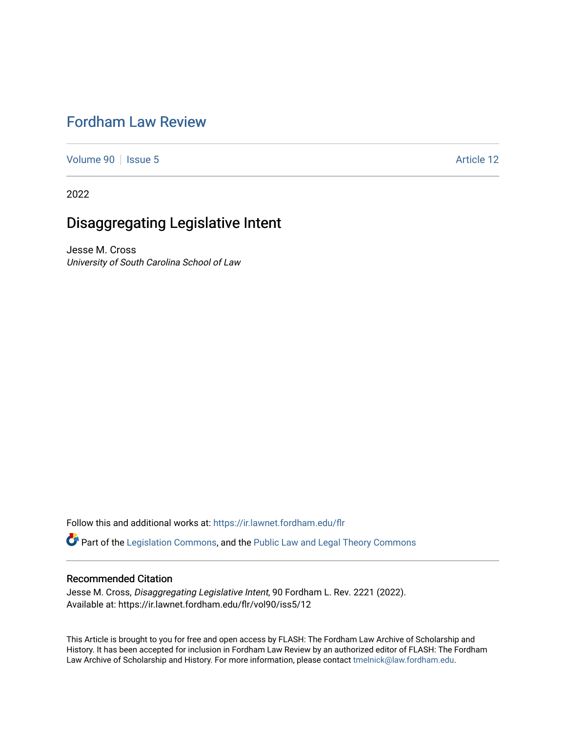# [Fordham Law Review](https://ir.lawnet.fordham.edu/flr)

[Volume 90](https://ir.lawnet.fordham.edu/flr/vol90) | [Issue 5](https://ir.lawnet.fordham.edu/flr/vol90/iss5) Article 12

2022

# Disaggregating Legislative Intent

Jesse M. Cross University of South Carolina School of Law

Follow this and additional works at: [https://ir.lawnet.fordham.edu/flr](https://ir.lawnet.fordham.edu/flr?utm_source=ir.lawnet.fordham.edu%2Fflr%2Fvol90%2Fiss5%2F12&utm_medium=PDF&utm_campaign=PDFCoverPages)

Part of the [Legislation Commons](http://network.bepress.com/hgg/discipline/859?utm_source=ir.lawnet.fordham.edu%2Fflr%2Fvol90%2Fiss5%2F12&utm_medium=PDF&utm_campaign=PDFCoverPages), and the [Public Law and Legal Theory Commons](http://network.bepress.com/hgg/discipline/871?utm_source=ir.lawnet.fordham.edu%2Fflr%2Fvol90%2Fiss5%2F12&utm_medium=PDF&utm_campaign=PDFCoverPages)

## Recommended Citation

Jesse M. Cross, Disaggregating Legislative Intent, 90 Fordham L. Rev. 2221 (2022). Available at: https://ir.lawnet.fordham.edu/flr/vol90/iss5/12

This Article is brought to you for free and open access by FLASH: The Fordham Law Archive of Scholarship and History. It has been accepted for inclusion in Fordham Law Review by an authorized editor of FLASH: The Fordham Law Archive of Scholarship and History. For more information, please contact [tmelnick@law.fordham.edu](mailto:tmelnick@law.fordham.edu).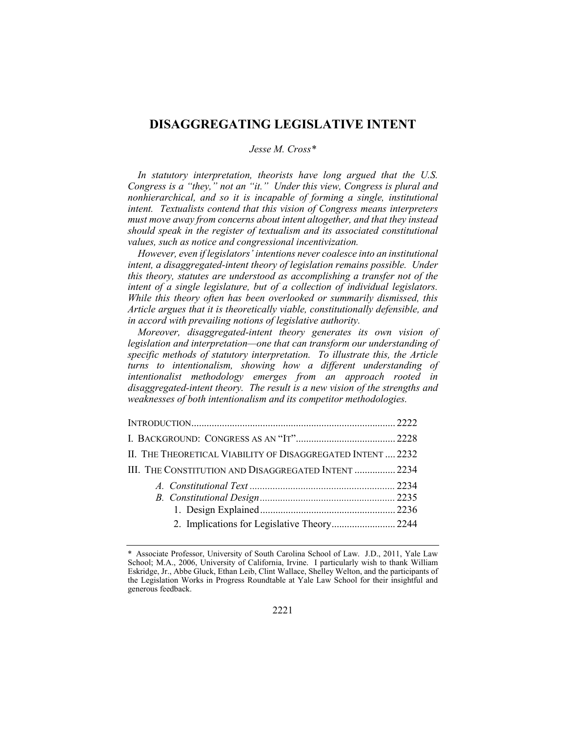## **DISAGGREGATING LEGISLATIVE INTENT**

## *Jesse M. Cross\**

*In statutory interpretation, theorists have long argued that the U.S. Congress is a "they," not an "it." Under this view, Congress is plural and nonhierarchical, and so it is incapable of forming a single, institutional intent. Textualists contend that this vision of Congress means interpreters must move away from concerns about intent altogether, and that they instead should speak in the register of textualism and its associated constitutional values, such as notice and congressional incentivization.*

*However, even if legislators' intentions never coalesce into an institutional intent, a disaggregated-intent theory of legislation remains possible. Under this theory, statutes are understood as accomplishing a transfer not of the intent of a single legislature, but of a collection of individual legislators. While this theory often has been overlooked or summarily dismissed, this Article argues that it is theoretically viable, constitutionally defensible, and in accord with prevailing notions of legislative authority.*

*Moreover, disaggregated-intent theory generates its own vision of legislation and interpretation—one that can transform our understanding of specific methods of statutory interpretation. To illustrate this, the Article turns to intentionalism, showing how a different understanding of intentionalist methodology emerges from an approach rooted in disaggregated-intent theory. The result is a new vision of the strengths and weaknesses of both intentionalism and its competitor methodologies.*

| II. THE THEORETICAL VIABILITY OF DISAGGREGATED INTENT  2232 |  |
|-------------------------------------------------------------|--|
| III. THE CONSTITUTION AND DISAGGREGATED INTENT  2234        |  |
|                                                             |  |
|                                                             |  |
|                                                             |  |
|                                                             |  |

<sup>\*</sup> Associate Professor, University of South Carolina School of Law. J.D., 2011, Yale Law School; M.A., 2006, University of California, Irvine. I particularly wish to thank William Eskridge, Jr., Abbe Gluck, Ethan Leib, Clint Wallace, Shelley Welton, and the participants of the Legislation Works in Progress Roundtable at Yale Law School for their insightful and generous feedback.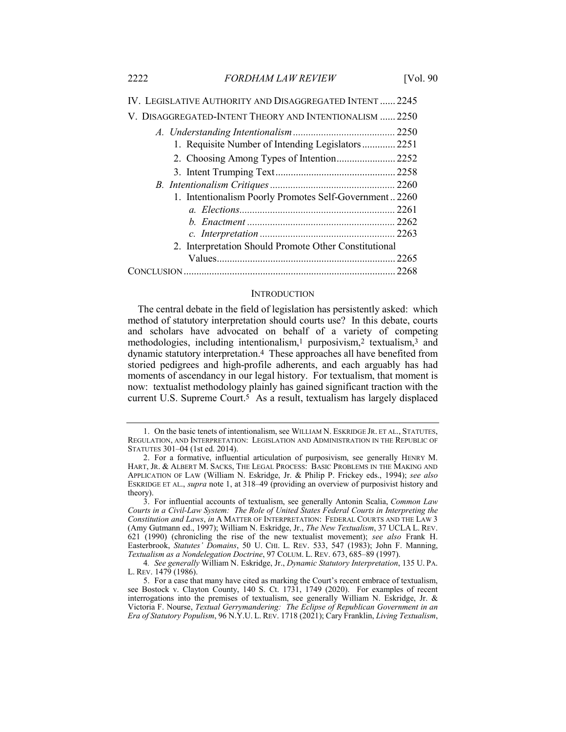| IV. LEGISLATIVE AUTHORITY AND DISAGGREGATED INTENT  2245 |  |
|----------------------------------------------------------|--|
| V. DISAGGREGATED-INTENT THEORY AND INTENTIONALISM  2250  |  |
|                                                          |  |
| 1. Requisite Number of Intending Legislators  2251       |  |
| 2. Choosing Among Types of Intention 2252                |  |
|                                                          |  |
|                                                          |  |
| 1. Intentionalism Poorly Promotes Self-Government2260    |  |
|                                                          |  |
|                                                          |  |
|                                                          |  |
| 2. Interpretation Should Promote Other Constitutional    |  |
|                                                          |  |
|                                                          |  |
|                                                          |  |

#### INTRODUCTION

The central debate in the field of legislation has persistently asked: which method of statutory interpretation should courts use? In this debate, courts and scholars have advocated on behalf of a variety of competing methodologies, including intentionalism,1 purposivism,2 textualism,3 and dynamic statutory interpretation.4 These approaches all have benefited from storied pedigrees and high-profile adherents, and each arguably has had moments of ascendancy in our legal history. For textualism, that moment is now: textualist methodology plainly has gained significant traction with the current U.S. Supreme Court.5 As a result, textualism has largely displaced

<sup>1.</sup> On the basic tenets of intentionalism, see WILLIAM N. ESKRIDGE JR. ET AL., STATUTES, REGULATION, AND INTERPRETATION: LEGISLATION AND ADMINISTRATION IN THE REPUBLIC OF STATUTES 301–04 (1st ed. 2014).

<sup>2.</sup> For a formative, influential articulation of purposivism, see generally HENRY M. HART, JR. & ALBERT M. SACKS, THE LEGAL PROCESS: BASIC PROBLEMS IN THE MAKING AND APPLICATION OF LAW (William N. Eskridge, Jr. & Philip P. Frickey eds., 1994); *see also* ESKRIDGE ET AL., *supra* note 1, at 318–49 (providing an overview of purposivist history and theory).

<sup>3.</sup> For influential accounts of textualism, see generally Antonin Scalia, *Common Law Courts in a Civil-Law System: The Role of United States Federal Courts in Interpreting the Constitution and Laws*, *in* A MATTER OF INTERPRETATION: FEDERAL COURTS AND THE LAW 3 (Amy Gutmann ed., 1997); William N. Eskridge, Jr., *The New Textualism*, 37 UCLA L. REV. 621 (1990) (chronicling the rise of the new textualist movement); *see also* Frank H. Easterbrook, *Statutes' Domains*, 50 U. CHI. L. REV. 533, 547 (1983); John F. Manning, *Textualism as a Nondelegation Doctrine*, 97 COLUM. L. REV. 673, 685–89 (1997).

<sup>4</sup>*. See generally* William N. Eskridge, Jr., *Dynamic Statutory Interpretation*, 135 U. PA. L. REV. 1479 (1986).

<sup>5.</sup> For a case that many have cited as marking the Court's recent embrace of textualism, see Bostock v. Clayton County, 140 S. Ct. 1731, 1749 (2020). For examples of recent interrogations into the premises of textualism, see generally William N. Eskridge, Jr. & Victoria F. Nourse, *Textual Gerrymandering: The Eclipse of Republican Government in an Era of Statutory Populism*, 96 N.Y.U. L. REV. 1718 (2021); Cary Franklin, *Living Textualism*,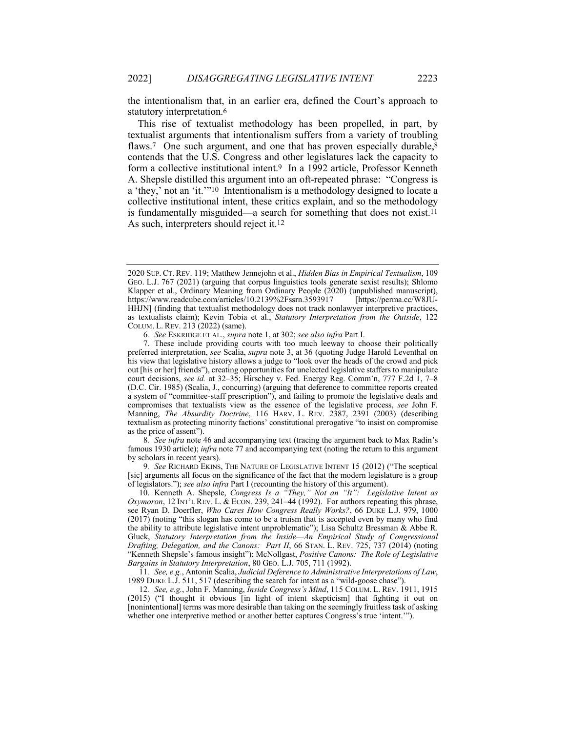the intentionalism that, in an earlier era, defined the Court's approach to statutory interpretation.6

This rise of textualist methodology has been propelled, in part, by textualist arguments that intentionalism suffers from a variety of troubling flaws.<sup>7</sup> One such argument, and one that has proven especially durable,<sup>8</sup> contends that the U.S. Congress and other legislatures lack the capacity to form a collective institutional intent.9 In a 1992 article, Professor Kenneth A. Shepsle distilled this argument into an oft-repeated phrase: "Congress is a 'they,' not an 'it.'"10 Intentionalism is a methodology designed to locate a collective institutional intent, these critics explain, and so the methodology is fundamentally misguided—a search for something that does not exist.11 As such, interpreters should reject it.12

8*. See infra* note 46 and accompanying text (tracing the argument back to Max Radin's famous 1930 article); *infra* note 77 and accompanying text (noting the return to this argument by scholars in recent years).

9*. See* RICHARD EKINS, THE NATURE OF LEGISLATIVE INTENT 15 (2012) ("The sceptical [sic] arguments all focus on the significance of the fact that the modern legislature is a group of legislators."); *see also infra* Part I (recounting the history of this argument).

10. Kenneth A. Shepsle, *Congress Is a "They," Not an "It": Legislative Intent as Oxymoron*, 12 INT'L REV. L. & ECON. 239, 241–44 (1992). For authors repeating this phrase, see Ryan D. Doerfler, *Who Cares How Congress Really Works*?, 66 DUKE L.J. 979, 1000 (2017) (noting "this slogan has come to be a truism that is accepted even by many who find the ability to attribute legislative intent unproblematic"); Lisa Schultz Bressman & Abbe R. Gluck, *Statutory Interpretation from the Inside—An Empirical Study of Congressional Drafting, Delegation, and the Canons: Part II*, 66 STAN. L. REV. 725, 737 (2014) (noting "Kenneth Shepsle's famous insight"); McNollgast, *Positive Canons: The Role of Legislative Bargains in Statutory Interpretation*, 80 GEO. L.J. 705, 711 (1992).

11*. See, e.g.*, Antonin Scalia, *Judicial Deference to Administrative Interpretations of Law*, 1989 DUKE L.J. 511, 517 (describing the search for intent as a "wild-goose chase").

12*. See, e.g.*, John F. Manning, *Inside Congress's Mind*, 115 COLUM. L. REV. 1911, 1915 (2015) ("I thought it obvious [in light of intent skepticism] that fighting it out on [nonintentional] terms was more desirable than taking on the seemingly fruitless task of asking whether one interpretive method or another better captures Congress's true 'intent.'").

<sup>2020</sup> SUP. CT. REV. 119; Matthew Jennejohn et al., *Hidden Bias in Empirical Textualism*, 109 GEO. L.J. 767 (2021) (arguing that corpus linguistics tools generate sexist results); Shlomo Klapper et al., Ordinary Meaning from Ordinary People (2020) (unpublished manuscript), https://www.readcube.com/articles/10.2139%2Fssrn.3593917 [https://perma.cc/W8JUhttps://www.readcube.com/articles/10.2139%2Fssrn.3593917 HHJN] (finding that textualist methodology does not track nonlawyer interpretive practices, as textualists claim); Kevin Tobia et al., *Statutory Interpretation from the Outside*, 122 COLUM. L. REV. 213 (2022) (same).

<sup>6</sup>*. See* ESKRIDGE ET AL., *supra* note 1, at 302; *see also infra* Part I.

<sup>7.</sup> These include providing courts with too much leeway to choose their politically preferred interpretation, *see* Scalia, *supra* note 3, at 36 (quoting Judge Harold Leventhal on his view that legislative history allows a judge to "look over the heads of the crowd and pick out [his or her] friends"), creating opportunities for unelected legislative staffers to manipulate court decisions, *see id.* at 32–35; Hirschey v. Fed. Energy Reg. Comm'n, 777 F.2d 1, 7–8 (D.C. Cir. 1985) (Scalia, J., concurring) (arguing that deference to committee reports created a system of "committee-staff prescription"), and failing to promote the legislative deals and compromises that textualists view as the essence of the legislative process, *see* John F. Manning, *The Absurdity Doctrine*, 116 HARV. L. REV. 2387, 2391 (2003) (describing textualism as protecting minority factions' constitutional prerogative "to insist on compromise as the price of assent").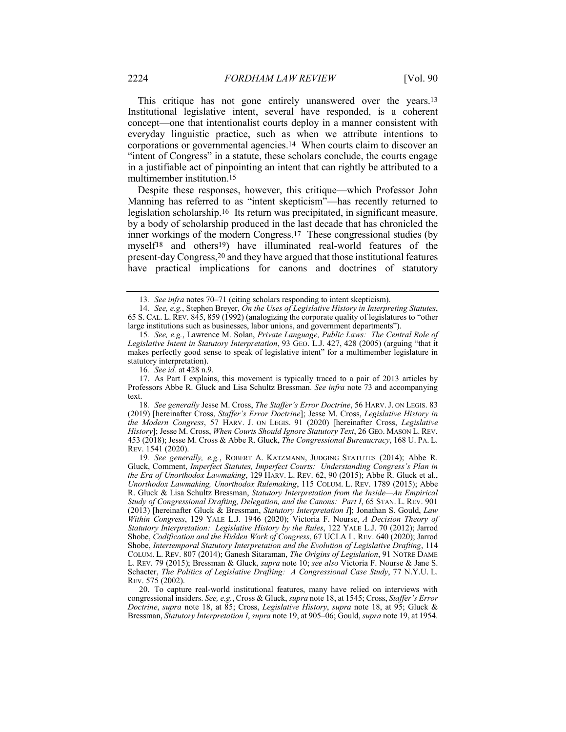This critique has not gone entirely unanswered over the years.13 Institutional legislative intent, several have responded, is a coherent concept—one that intentionalist courts deploy in a manner consistent with everyday linguistic practice, such as when we attribute intentions to corporations or governmental agencies.14 When courts claim to discover an "intent of Congress" in a statute, these scholars conclude, the courts engage in a justifiable act of pinpointing an intent that can rightly be attributed to a multimember institution.15

Despite these responses, however, this critique—which Professor John Manning has referred to as "intent skepticism"—has recently returned to legislation scholarship.16 Its return was precipitated, in significant measure, by a body of scholarship produced in the last decade that has chronicled the inner workings of the modern Congress.17 These congressional studies (by myself18 and others19) have illuminated real-world features of the present-day Congress,20 and they have argued that those institutional features have practical implications for canons and doctrines of statutory

16*. See id.* at 428 n.9.

<sup>13</sup>*. See infra* notes 70–71 (citing scholars responding to intent skepticism).

<sup>14</sup>*. See, e.g.*, Stephen Breyer, *On the Uses of Legislative History in Interpreting Statutes*, 65 S. CAL. L. REV. 845, 859 (1992) (analogizing the corporate quality of legislatures to "other large institutions such as businesses, labor unions, and government departments").

<sup>15</sup>*. See, e.g.*, Lawrence M. Solan, *Private Language, Public Laws: The Central Role of Legislative Intent in Statutory Interpretation*, 93 GEO. L.J. 427, 428 (2005) (arguing "that it makes perfectly good sense to speak of legislative intent" for a multimember legislature in statutory interpretation).

<sup>17.</sup> As Part I explains, this movement is typically traced to a pair of 2013 articles by Professors Abbe R. Gluck and Lisa Schultz Bressman. *See infra* note 73 and accompanying text.

<sup>18</sup>*. See generally* Jesse M. Cross, *The Staffer's Error Doctrine*, 56 HARV. J. ON LEGIS. 83 (2019) [hereinafter Cross, *Staffer's Error Doctrine*]; Jesse M. Cross, *Legislative History in the Modern Congress*, 57 HARV. J. ON LEGIS. 91 (2020) [hereinafter Cross, *Legislative History*]; Jesse M. Cross, *When Courts Should Ignore Statutory Text*, 26 GEO. MASON L. REV. 453 (2018); Jesse M. Cross & Abbe R. Gluck, *The Congressional Bureaucracy*, 168 U. PA. L. REV. 1541 (2020).

<sup>19</sup>*. See generally, e.g.*, ROBERT A. KATZMANN, JUDGING STATUTES (2014); Abbe R. Gluck, Comment, *Imperfect Statutes, Imperfect Courts: Understanding Congress's Plan in the Era of Unorthodox Lawmaking*, 129 HARV. L. REV. 62, 90 (2015); Abbe R. Gluck et al., *Unorthodox Lawmaking, Unorthodox Rulemaking*, 115 COLUM. L. REV. 1789 (2015); Abbe R. Gluck & Lisa Schultz Bressman, *Statutory Interpretation from the Inside—An Empirical Study of Congressional Drafting, Delegation, and the Canons: Part I*, 65 STAN. L. REV. 901 (2013) [hereinafter Gluck & Bressman, *Statutory Interpretation I*]; Jonathan S. Gould, *Law Within Congress*, 129 YALE L.J. 1946 (2020); Victoria F. Nourse, *A Decision Theory of Statutory Interpretation: Legislative History by the Rules*, 122 YALE L.J. 70 (2012); Jarrod Shobe, *Codification and the Hidden Work of Congress*, 67 UCLA L. REV. 640 (2020); Jarrod Shobe, *Intertemporal Statutory Interpretation and the Evolution of Legislative Drafting*, 114 COLUM. L. REV. 807 (2014); Ganesh Sitaraman, *The Origins of Legislation*, 91 NOTRE DAME L. REV. 79 (2015); Bressman & Gluck, *supra* note 10; *see also* Victoria F. Nourse & Jane S. Schacter, *The Politics of Legislative Drafting: A Congressional Case Study*, 77 N.Y.U. L. REV. 575 (2002).

<sup>20.</sup> To capture real-world institutional features, many have relied on interviews with congressional insiders. *See, e.g.*, Cross & Gluck, *supra* note 18, at 1545; Cross, *Staffer's Error Doctrine*, *supra* note 18, at 85; Cross, *Legislative History*, *supra* note 18, at 95; Gluck & Bressman, *Statutory Interpretation I*, *supra* note 19, at 905–06; Gould, *supra* note 19, at 1954.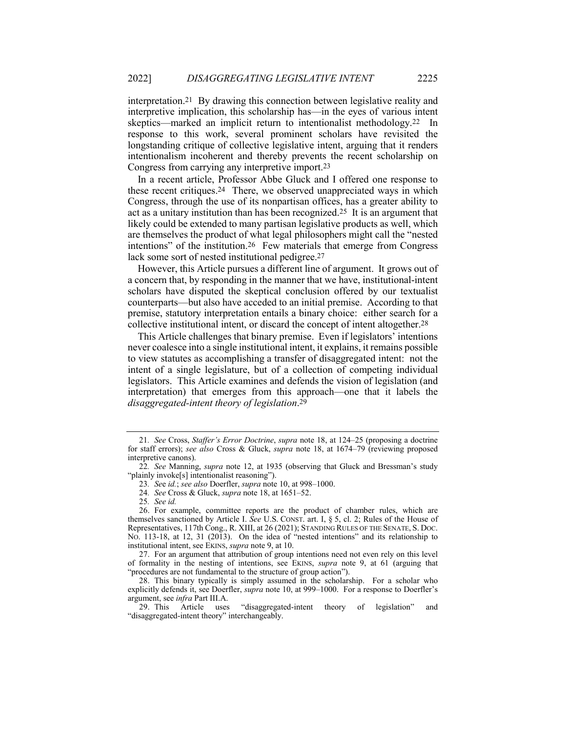interpretation.21 By drawing this connection between legislative reality and interpretive implication, this scholarship has—in the eyes of various intent skeptics—marked an implicit return to intentionalist methodology.22 In response to this work, several prominent scholars have revisited the longstanding critique of collective legislative intent, arguing that it renders intentionalism incoherent and thereby prevents the recent scholarship on Congress from carrying any interpretive import.23

In a recent article, Professor Abbe Gluck and I offered one response to these recent critiques.24 There, we observed unappreciated ways in which Congress, through the use of its nonpartisan offices, has a greater ability to act as a unitary institution than has been recognized.25 It is an argument that likely could be extended to many partisan legislative products as well, which are themselves the product of what legal philosophers might call the "nested intentions" of the institution.26 Few materials that emerge from Congress lack some sort of nested institutional pedigree.<sup>27</sup>

However, this Article pursues a different line of argument. It grows out of a concern that, by responding in the manner that we have, institutional-intent scholars have disputed the skeptical conclusion offered by our textualist counterparts—but also have acceded to an initial premise. According to that premise, statutory interpretation entails a binary choice: either search for a collective institutional intent, or discard the concept of intent altogether.28

This Article challenges that binary premise. Even if legislators' intentions never coalesce into a single institutional intent, it explains, it remains possible to view statutes as accomplishing a transfer of disaggregated intent: not the intent of a single legislature, but of a collection of competing individual legislators. This Article examines and defends the vision of legislation (and interpretation) that emerges from this approach—one that it labels the *disaggregated-intent theory of legislation*.29

<sup>21</sup>*. See* Cross, *Staffer's Error Doctrine*, *supra* note 18, at 124–25 (proposing a doctrine for staff errors); *see also* Cross & Gluck, *supra* note 18, at 1674–79 (reviewing proposed interpretive canons).

<sup>22</sup>*. See* Manning, *supra* note 12, at 1935 (observing that Gluck and Bressman's study "plainly invoke[s] intentionalist reasoning").

<sup>23</sup>*. Se*e *id.*; *see also* Doerfler, *supra* note 10, at 998–1000.

<sup>24</sup>*. See* Cross & Gluck, *supra* note 18, at 1651–52.

<sup>25</sup>*. See id.*

<sup>26.</sup> For example, committee reports are the product of chamber rules, which are themselves sanctioned by Article I. *See* U.S. CONST. art. I, § 5, cl. 2; Rules of the House of Representatives, 117th Cong., R. XIII, at 26 (2021); STANDING RULES OF THE SENATE, S. DOC. NO. 113-18, at 12, 31 (2013). On the idea of "nested intentions" and its relationship to institutional intent, see EKINS, *supra* note 9, at 10.

<sup>27.</sup> For an argument that attribution of group intentions need not even rely on this level of formality in the nesting of intentions, see EKINS, *supra* note 9, at 61 (arguing that "procedures are not fundamental to the structure of group action").

<sup>28.</sup> This binary typically is simply assumed in the scholarship. For a scholar who explicitly defends it, see Doerfler, *supra* note 10, at 999–1000. For a response to Doerfler's argument, see *infra* Part III.A.

<sup>29.</sup> This Article uses "disaggregated-intent theory of legislation" and "disaggregated-intent theory" interchangeably.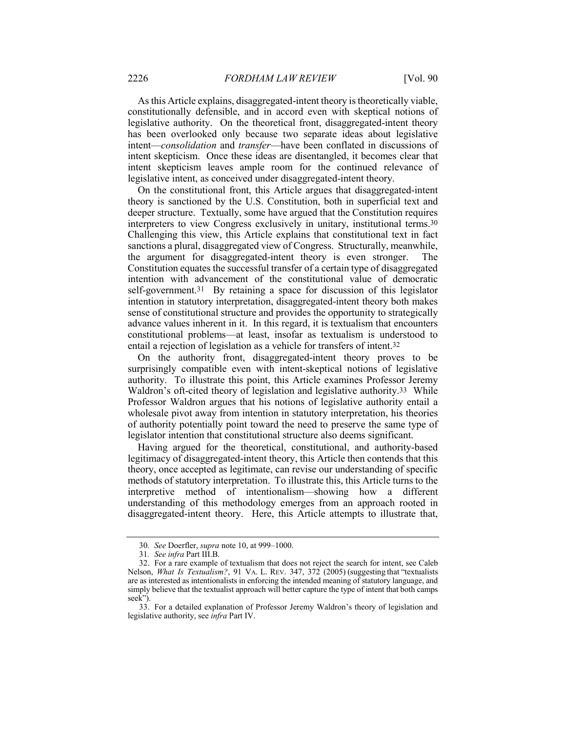As this Article explains, disaggregated-intent theory is theoretically viable, constitutionally defensible, and in accord even with skeptical notions of legislative authority. On the theoretical front, disaggregated-intent theory has been overlooked only because two separate ideas about legislative intent—*consolidation* and *transfer*—have been conflated in discussions of intent skepticism. Once these ideas are disentangled, it becomes clear that intent skepticism leaves ample room for the continued relevance of legislative intent, as conceived under disaggregated-intent theory.

On the constitutional front, this Article argues that disaggregated-intent theory is sanctioned by the U.S. Constitution, both in superficial text and deeper structure. Textually, some have argued that the Constitution requires interpreters to view Congress exclusively in unitary, institutional terms.30 Challenging this view, this Article explains that constitutional text in fact sanctions a plural, disaggregated view of Congress. Structurally, meanwhile, the argument for disaggregated-intent theory is even stronger. The Constitution equates the successful transfer of a certain type of disaggregated intention with advancement of the constitutional value of democratic self-government.31By retaining a space for discussion of this legislator intention in statutory interpretation, disaggregated-intent theory both makes sense of constitutional structure and provides the opportunity to strategically advance values inherent in it. In this regard, it is textualism that encounters constitutional problems—at least, insofar as textualism is understood to entail a rejection of legislation as a vehicle for transfers of intent.32

On the authority front, disaggregated-intent theory proves to be surprisingly compatible even with intent-skeptical notions of legislative authority. To illustrate this point, this Article examines Professor Jeremy Waldron's oft-cited theory of legislation and legislative authority.<sup>33</sup> While Professor Waldron argues that his notions of legislative authority entail a wholesale pivot away from intention in statutory interpretation, his theories of authority potentially point toward the need to preserve the same type of legislator intention that constitutional structure also deems significant.

Having argued for the theoretical, constitutional, and authority-based legitimacy of disaggregated-intent theory, this Article then contends that this theory, once accepted as legitimate, can revise our understanding of specific methods of statutory interpretation. To illustrate this, this Article turns to the interpretive method of intentionalism—showing how a different understanding of this methodology emerges from an approach rooted in disaggregated-intent theory. Here, this Article attempts to illustrate that,

<sup>30</sup>*. See* Doerfler, *supra* note 10, at 999–1000.

<sup>31</sup>*. See infra* Part III.B.

<sup>32.</sup> For a rare example of textualism that does not reject the search for intent, see Caleb Nelson, *What Is Textualism?*, 91 VA. L. REV. 347, 372 (2005) (suggesting that "textualists are as interested as intentionalists in enforcing the intended meaning of statutory language, and simply believe that the textualist approach will better capture the type of intent that both camps seek").

<sup>33.</sup> For a detailed explanation of Professor Jeremy Waldron's theory of legislation and legislative authority, see *infra* Part IV.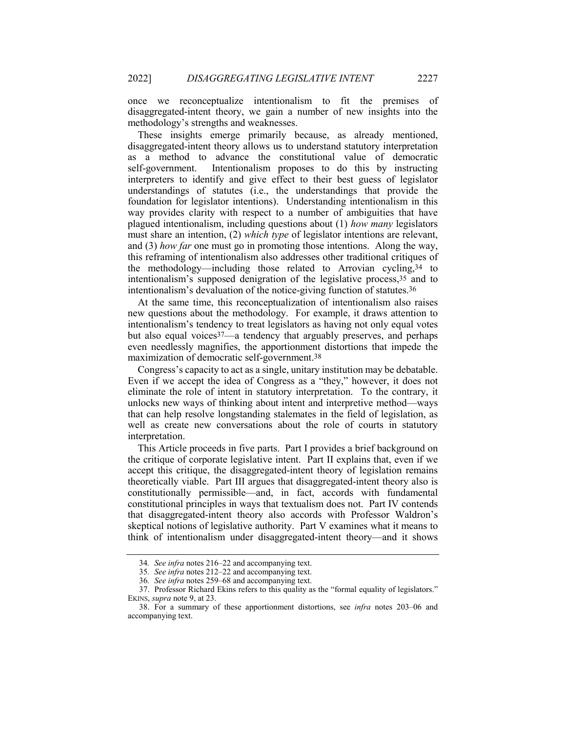once we reconceptualize intentionalism to fit the premises of disaggregated-intent theory, we gain a number of new insights into the methodology's strengths and weaknesses.

These insights emerge primarily because, as already mentioned, disaggregated-intent theory allows us to understand statutory interpretation as a method to advance the constitutional value of democratic self-government. Intentionalism proposes to do this by instructing interpreters to identify and give effect to their best guess of legislator understandings of statutes (i.e., the understandings that provide the foundation for legislator intentions). Understanding intentionalism in this way provides clarity with respect to a number of ambiguities that have plagued intentionalism, including questions about (1) *how many* legislators must share an intention, (2) *which type* of legislator intentions are relevant, and (3) *how far* one must go in promoting those intentions. Along the way, this reframing of intentionalism also addresses other traditional critiques of the methodology—including those related to Arrovian cycling,34 to intentionalism's supposed denigration of the legislative process,35 and to intentionalism's devaluation of the notice-giving function of statutes.36

At the same time, this reconceptualization of intentionalism also raises new questions about the methodology. For example, it draws attention to intentionalism's tendency to treat legislators as having not only equal votes but also equal voices<sup>37</sup>—a tendency that arguably preserves, and perhaps even needlessly magnifies, the apportionment distortions that impede the maximization of democratic self-government.38

Congress's capacity to act as a single, unitary institution may be debatable. Even if we accept the idea of Congress as a "they," however, it does not eliminate the role of intent in statutory interpretation. To the contrary, it unlocks new ways of thinking about intent and interpretive method—ways that can help resolve longstanding stalemates in the field of legislation, as well as create new conversations about the role of courts in statutory interpretation.

This Article proceeds in five parts. Part I provides a brief background on the critique of corporate legislative intent. Part II explains that, even if we accept this critique, the disaggregated-intent theory of legislation remains theoretically viable. Part III argues that disaggregated-intent theory also is constitutionally permissible—and, in fact, accords with fundamental constitutional principles in ways that textualism does not. Part IV contends that disaggregated-intent theory also accords with Professor Waldron's skeptical notions of legislative authority. Part V examines what it means to think of intentionalism under disaggregated-intent theory—and it shows

<sup>34</sup>*. See infra* notes 216–22 and accompanying text.

<sup>35</sup>*. See infra* notes 212–22 and accompanying text.

<sup>36</sup>*. See infra* notes 259–68 and accompanying text.

<sup>37.</sup> Professor Richard Ekins refers to this quality as the "formal equality of legislators." EKINS, *supra* note 9, at 23.

<sup>38.</sup> For a summary of these apportionment distortions, see *infra* notes 203–06 and accompanying text.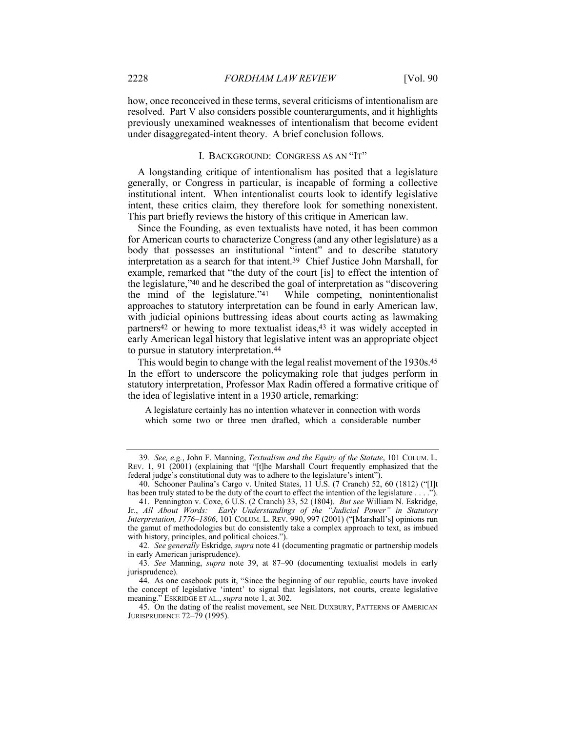how, once reconceived in these terms, several criticisms of intentionalism are resolved. Part V also considers possible counterarguments, and it highlights previously unexamined weaknesses of intentionalism that become evident under disaggregated-intent theory. A brief conclusion follows.

## I. BACKGROUND: CONGRESS AS AN "IT"

A longstanding critique of intentionalism has posited that a legislature generally, or Congress in particular, is incapable of forming a collective institutional intent. When intentionalist courts look to identify legislative intent, these critics claim, they therefore look for something nonexistent. This part briefly reviews the history of this critique in American law.

Since the Founding, as even textualists have noted, it has been common for American courts to characterize Congress (and any other legislature) as a body that possesses an institutional "intent" and to describe statutory interpretation as a search for that intent.39 Chief Justice John Marshall, for example, remarked that "the duty of the court [is] to effect the intention of the legislature," $40$  and he described the goal of interpretation as "discovering the mind of the legislature." $41$  While competing, nonintentionalist While competing, nonintentionalist approaches to statutory interpretation can be found in early American law, with judicial opinions buttressing ideas about courts acting as lawmaking partners42 or hewing to more textualist ideas,43 it was widely accepted in early American legal history that legislative intent was an appropriate object to pursue in statutory interpretation.44

This would begin to change with the legal realist movement of the 1930s.45 In the effort to underscore the policymaking role that judges perform in statutory interpretation, Professor Max Radin offered a formative critique of the idea of legislative intent in a 1930 article, remarking:

A legislature certainly has no intention whatever in connection with words which some two or three men drafted, which a considerable number

<sup>39</sup>*. See, e.g.*, John F. Manning, *Textualism and the Equity of the Statute*, 101 COLUM. L. REV. 1, 91 (2001) (explaining that "[t]he Marshall Court frequently emphasized that the federal judge's constitutional duty was to adhere to the legislature's intent").

<sup>40.</sup> Schooner Paulina's Cargo v. United States, 11 U.S. (7 Cranch) 52, 60 (1812) ("[I]t has been truly stated to be the duty of the court to effect the intention of the legislature . . . .").

<sup>41.</sup> Pennington v. Coxe, 6 U.S. (2 Cranch) 33, 52 (1804). *But see* William N. Eskridge, Jr., *All About Words: Early Understandings of the "Judicial Power" in Statutory Interpretation, 1776–1806*, 101 COLUM. L. REV. 990, 997 (2001) ("[Marshall's] opinions run the gamut of methodologies but do consistently take a complex approach to text, as imbued with history, principles, and political choices.").

<sup>42</sup>*. See generally* Eskridge, *supra* note 41 (documenting pragmatic or partnership models in early American jurisprudence).

<sup>43</sup>*. See* Manning, *supra* note 39, at 87–90 (documenting textualist models in early jurisprudence).

<sup>44.</sup> As one casebook puts it, "Since the beginning of our republic, courts have invoked the concept of legislative 'intent' to signal that legislators, not courts, create legislative meaning." ESKRIDGE ET AL., *supra* note 1, at 302.

<sup>45.</sup> On the dating of the realist movement, see NEIL DUXBURY, PATTERNS OF AMERICAN JURISPRUDENCE 72–79 (1995).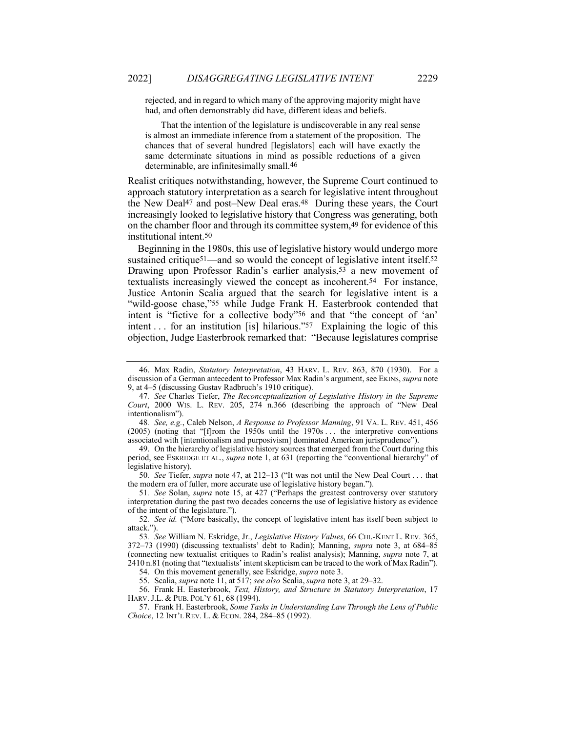rejected, and in regard to which many of the approving majority might have had, and often demonstrably did have, different ideas and beliefs.

That the intention of the legislature is undiscoverable in any real sense is almost an immediate inference from a statement of the proposition. The chances that of several hundred [legislators] each will have exactly the same determinate situations in mind as possible reductions of a given determinable, are infinitesimally small.46

Realist critiques notwithstanding, however, the Supreme Court continued to approach statutory interpretation as a search for legislative intent throughout the New Deal<sup>47</sup> and post–New Deal eras.<sup>48</sup> During these years, the Court increasingly looked to legislative history that Congress was generating, both on the chamber floor and through its committee system,49 for evidence of this institutional intent.50

Beginning in the 1980s, this use of legislative history would undergo more sustained critique<sup>51</sup>—and so would the concept of legislative intent itself.<sup>52</sup> Drawing upon Professor Radin's earlier analysis,<sup>53</sup> a new movement of textualists increasingly viewed the concept as incoherent.54 For instance, Justice Antonin Scalia argued that the search for legislative intent is a "wild-goose chase,"55 while Judge Frank H. Easterbrook contended that intent is "fictive for a collective body"56 and that "the concept of 'an' intent . . . for an institution [is] hilarious."57 Explaining the logic of this objection, Judge Easterbrook remarked that: "Because legislatures comprise

48*. See, e.g.*, Caleb Nelson, *A Response to Professor Manning*, 91 VA. L. REV. 451, 456 (2005) (noting that "[f]rom the 1950s until the 1970s . . . the interpretive conventions associated with [intentionalism and purposivism] dominated American jurisprudence").

49. On the hierarchy of legislative history sources that emerged from the Court during this period, see ESKRIDGE ET AL., *supra* note 1, at 631 (reporting the "conventional hierarchy" of legislative history).

50*. See* Tiefer, *supra* note 47, at 212–13 ("It was not until the New Deal Court . . . that the modern era of fuller, more accurate use of legislative history began.").

51*. See* Solan, *supra* note 15, at 427 ("Perhaps the greatest controversy over statutory interpretation during the past two decades concerns the use of legislative history as evidence of the intent of the legislature.").

52*. See id.* ("More basically, the concept of legislative intent has itself been subject to attack.").

53*. See* William N. Eskridge, Jr., *Legislative History Values*, 66 CHI.-KENT L. REV. 365, 372–73 (1990) (discussing textualists' debt to Radin); Manning, *supra* note 3, at 684–85 (connecting new textualist critiques to Radin's realist analysis); Manning, *supra* note 7, at 2410 n.81 (noting that "textualists' intent skepticism can be traced to the work of Max Radin").

54. On this movement generally, see Eskridge, *supra* note 3.

55. Scalia, *supra* note 11, at 517; *see also* Scalia,*supra* note 3, at 29–32.

56. Frank H. Easterbrook, *Text, History, and Structure in Statutory Interpretation*, 17 HARV. J.L. & PUB. POL'Y 61, 68 (1994).

57. Frank H. Easterbrook, *Some Tasks in Understanding Law Through the Lens of Public Choice*, 12 INT'L REV. L. & ECON. 284, 284–85 (1992).

<sup>46.</sup> Max Radin, *Statutory Interpretation*, 43 HARV. L. REV. 863, 870 (1930). For a discussion of a German antecedent to Professor Max Radin's argument, see EKINS, *supra* note 9, at 4–5 (discussing Gustav Radbruch's 1910 critique).

<sup>47</sup>*. See* Charles Tiefer, *The Reconceptualization of Legislative History in the Supreme Court*, 2000 WIS. L. REV. 205, 274 n.366 (describing the approach of "New Deal intentionalism").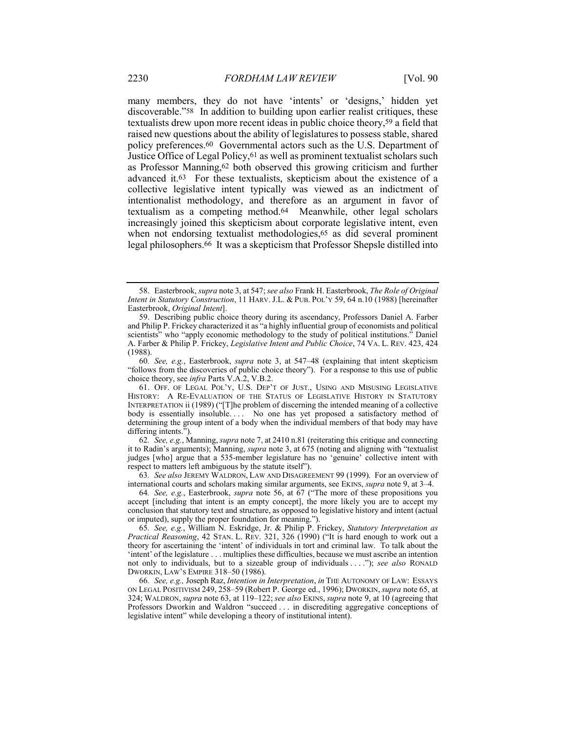many members, they do not have 'intents' or 'designs,' hidden yet discoverable."58 In addition to building upon earlier realist critiques, these textualists drew upon more recent ideas in public choice theory,59 a field that raised new questions about the ability of legislatures to possess stable, shared policy preferences.60 Governmental actors such as the U.S. Department of Justice Office of Legal Policy,61 as well as prominent textualist scholars such as Professor Manning,62 both observed this growing criticism and further advanced it.63 For these textualists, skepticism about the existence of a collective legislative intent typically was viewed as an indictment of intentionalist methodology, and therefore as an argument in favor of textualism as a competing method.64 Meanwhile, other legal scholars increasingly joined this skepticism about corporate legislative intent, even when not endorsing textualist methodologies,<sup>65</sup> as did several prominent legal philosophers.66 It was a skepticism that Professor Shepsle distilled into

60*. See, e.g.*, Easterbrook, *supra* note 3, at 547–48 (explaining that intent skepticism "follows from the discoveries of public choice theory"). For a response to this use of public choice theory, see *infra* Parts V.A.2, V.B.2.

61. OFF. OF LEGAL POL'Y, U.S. DEP'T OF JUST., USING AND MISUSING LEGISLATIVE HISTORY: A RE-EVALUATION OF THE STATUS OF LEGISLATIVE HISTORY IN STATUTORY INTERPRETATION ii (1989) ("[T]he problem of discerning the intended meaning of a collective body is essentially insoluble. . . . No one has yet proposed a satisfactory method of determining the group intent of a body when the individual members of that body may have differing intents.").

62*. See, e.g.*, Manning, *supra* note 7, at 2410 n.81 (reiterating this critique and connecting it to Radin's arguments); Manning, *supra* note 3, at 675 (noting and aligning with "textualist judges [who] argue that a 535-member legislature has no 'genuine' collective intent with respect to matters left ambiguous by the statute itself").

63*. See also* JEREMY WALDRON, LAW AND DISAGREEMENT 99 (1999). For an overview of international courts and scholars making similar arguments, see EKINS, *supra* note 9, at 3–4.

64*. See, e.g.*, Easterbrook, *supra* note 56, at 67 ("The more of these propositions you accept [including that intent is an empty concept], the more likely you are to accept my conclusion that statutory text and structure, as opposed to legislative history and intent (actual or imputed), supply the proper foundation for meaning.").

65*. See, e.g.*, William N. Eskridge, Jr. & Philip P. Frickey, *Statutory Interpretation as Practical Reasoning*, 42 STAN. L. REV. 321, 326 (1990) ("It is hard enough to work out a theory for ascertaining the 'intent' of individuals in tort and criminal law. To talk about the 'intent' of the legislature . . . multiplies these difficulties, because we must ascribe an intention not only to individuals, but to a sizeable group of individuals . . . ."); *see also* RONALD DWORKIN, LAW'S EMPIRE 318–50 (1986).

66*. See, e.g.,* Joseph Raz, *Intention in Interpretation*, *in* THE AUTONOMY OF LAW: ESSAYS ON LEGAL POSITIVISM 249, 258–59 (Robert P. George ed., 1996); DWORKIN, *supra* note 65, at 324; WALDRON, *supra* note 63, at 119–122; *see also* EKINS, *supra* note 9, at 10 (agreeing that Professors Dworkin and Waldron "succeed . . . in discrediting aggregative conceptions of legislative intent" while developing a theory of institutional intent).

<sup>58.</sup> Easterbrook, *supra* note 3, at 547; *see also* Frank H. Easterbrook, *The Role of Original Intent in Statutory Construction*, 11 HARV. J.L. & PUB. POL'Y 59, 64 n.10 (1988) [hereinafter Easterbrook, *Original Intent*].

<sup>59.</sup> Describing public choice theory during its ascendancy, Professors Daniel A. Farber and Philip P. Frickey characterized it as "a highly influential group of economists and political scientists" who "apply economic methodology to the study of political institutions." Daniel A. Farber & Philip P. Frickey, *Legislative Intent and Public Choice*, 74 VA. L. REV. 423, 424 (1988).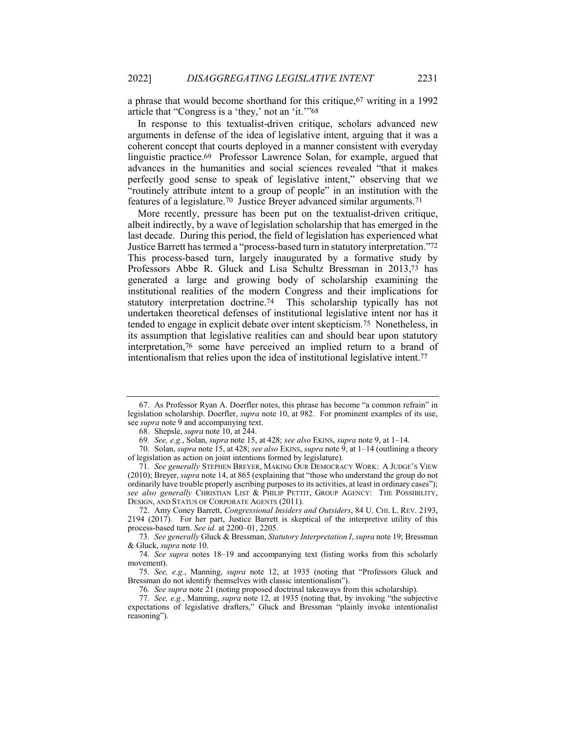a phrase that would become shorthand for this critique,67 writing in a 1992 article that "Congress is a 'they,' not an 'it.'"68

In response to this textualist-driven critique, scholars advanced new arguments in defense of the idea of legislative intent, arguing that it was a coherent concept that courts deployed in a manner consistent with everyday linguistic practice.69 Professor Lawrence Solan, for example, argued that advances in the humanities and social sciences revealed "that it makes perfectly good sense to speak of legislative intent," observing that we "routinely attribute intent to a group of people" in an institution with the features of a legislature.70 Justice Breyer advanced similar arguments.71

More recently, pressure has been put on the textualist-driven critique, albeit indirectly, by a wave of legislation scholarship that has emerged in the last decade. During this period, the field of legislation has experienced what Justice Barrett has termed a "process-based turn in statutory interpretation."72 This process-based turn, largely inaugurated by a formative study by Professors Abbe R. Gluck and Lisa Schultz Bressman in 2013,73 has generated a large and growing body of scholarship examining the institutional realities of the modern Congress and their implications for statutory interpretation doctrine.74 This scholarship typically has not undertaken theoretical defenses of institutional legislative intent nor has it tended to engage in explicit debate over intent skepticism.75 Nonetheless, in its assumption that legislative realities can and should bear upon statutory interpretation,76 some have perceived an implied return to a brand of intentionalism that relies upon the idea of institutional legislative intent.77

<sup>67.</sup> As Professor Ryan A. Doerfler notes, this phrase has become "a common refrain" in legislation scholarship. Doerfler, *supra* note 10, at 982. For prominent examples of its use, see *supra* note 9 and accompanying text.

<sup>68.</sup> Shepsle, *supra* note 10, at 244.

<sup>69</sup>*. See, e.g.*, Solan, *supra* note 15, at 428; *see also* EKINS, *supra* note 9, at 1–14.

<sup>70.</sup> Solan, *supra* note 15, at 428; *see also* EKINS, *supra* note 9, at 1–14 (outlining a theory of legislation as action on joint intentions formed by legislature).

<sup>71</sup>*. See generally* STEPHEN BREYER, MAKING OUR DEMOCRACY WORK: A JUDGE'S VIEW (2010); Breyer, *supra* note 14, at 865 (explaining that "those who understand the group do not ordinarily have trouble properly ascribing purposes to its activities, at least in ordinary cases"); *see also generally* CHRISTIAN LIST & PHILIP PETTIT, GROUP AGENCY: THE POSSIBILITY, DESIGN, AND STATUS OF CORPORATE AGENTS (2011).

<sup>72.</sup> Amy Coney Barrett, *Congressional Insiders and Outsiders*, 84 U. CHI. L. REV. 2193, 2194 (2017). For her part, Justice Barrett is skeptical of the interpretive utility of this process-based turn. *See id.* at 2200–01, 2205.

<sup>73</sup>*. See generally* Gluck & Bressman, *Statutory Interpretation I*, *supra* note 19; Bressman & Gluck, *supra* note 10.

<sup>74</sup>*. See supra* notes 18–19 and accompanying text (listing works from this scholarly movement).

<sup>75</sup>*. See, e.g.*, Manning, *supra* note 12, at 1935 (noting that "Professors Gluck and Bressman do not identify themselves with classic intentionalism").

<sup>76</sup>*. See supra* note 21 (noting proposed doctrinal takeaways from this scholarship).

<sup>77</sup>*. See, e.g.*, Manning, *supra* note 12, at 1935 (noting that, by invoking "the subjective expectations of legislative drafters," Gluck and Bressman "plainly invoke intentionalist reasoning").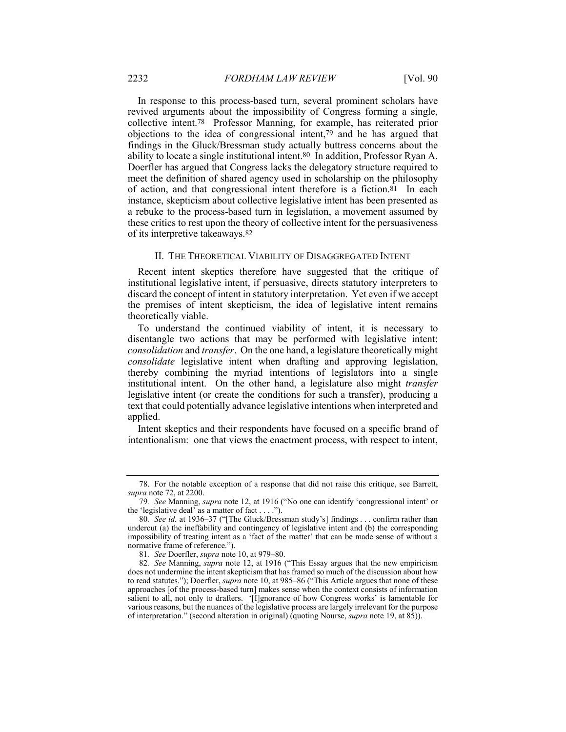In response to this process-based turn, several prominent scholars have revived arguments about the impossibility of Congress forming a single, collective intent.78 Professor Manning, for example, has reiterated prior objections to the idea of congressional intent,79 and he has argued that findings in the Gluck/Bressman study actually buttress concerns about the ability to locate a single institutional intent.80 In addition, Professor Ryan A. Doerfler has argued that Congress lacks the delegatory structure required to meet the definition of shared agency used in scholarship on the philosophy of action, and that congressional intent therefore is a fiction.81 In each instance, skepticism about collective legislative intent has been presented as a rebuke to the process-based turn in legislation, a movement assumed by these critics to rest upon the theory of collective intent for the persuasiveness of its interpretive takeaways.82

#### II. THE THEORETICAL VIABILITY OF DISAGGREGATED INTENT

Recent intent skeptics therefore have suggested that the critique of institutional legislative intent, if persuasive, directs statutory interpreters to discard the concept of intent in statutory interpretation. Yet even if we accept the premises of intent skepticism, the idea of legislative intent remains theoretically viable.

To understand the continued viability of intent, it is necessary to disentangle two actions that may be performed with legislative intent: *consolidation* and *transfer*. On the one hand, a legislature theoretically might *consolidate* legislative intent when drafting and approving legislation, thereby combining the myriad intentions of legislators into a single institutional intent. On the other hand, a legislature also might *transfer* legislative intent (or create the conditions for such a transfer), producing a text that could potentially advance legislative intentions when interpreted and applied.

Intent skeptics and their respondents have focused on a specific brand of intentionalism: one that views the enactment process, with respect to intent,

<sup>78.</sup> For the notable exception of a response that did not raise this critique, see Barrett, *supra* note 72, at 2200.

<sup>79</sup>*. See* Manning, *supra* note 12, at 1916 ("No one can identify 'congressional intent' or the 'legislative deal' as a matter of fact  $\dots$ .").

<sup>80</sup>*. See id.* at 1936–37 ("[The Gluck/Bressman study's] findings . . . confirm rather than undercut (a) the ineffability and contingency of legislative intent and (b) the corresponding impossibility of treating intent as a 'fact of the matter' that can be made sense of without a normative frame of reference.").

<sup>81</sup>*. See* Doerfler, *supra* note 10, at 979–80.

<sup>82</sup>*. See* Manning, *supra* note 12, at 1916 ("This Essay argues that the new empiricism does not undermine the intent skepticism that has framed so much of the discussion about how to read statutes."); Doerfler, *supra* note 10, at 985–86 ("This Article argues that none of these approaches [of the process-based turn] makes sense when the context consists of information salient to all, not only to drafters. '[I]gnorance of how Congress works' is lamentable for various reasons, but the nuances of the legislative process are largely irrelevant for the purpose of interpretation." (second alteration in original) (quoting Nourse, *supra* note 19, at 85)).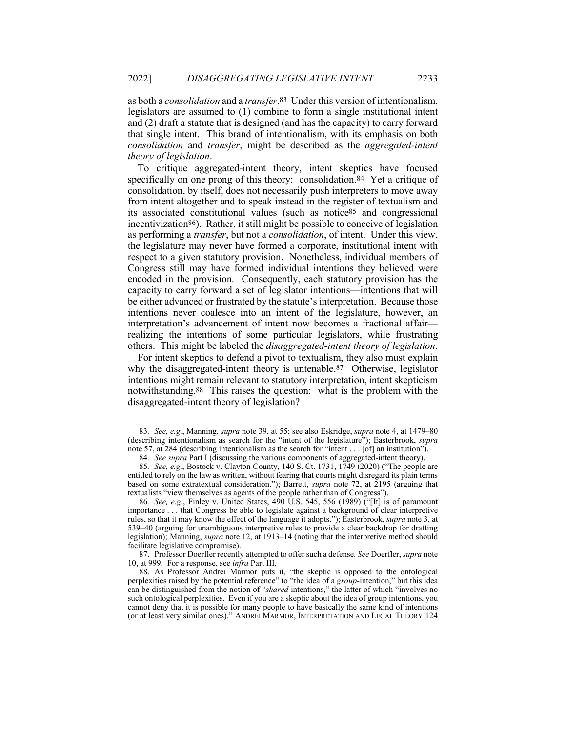as both a *consolidation* and a *transfer*.83 Under this version of intentionalism, legislators are assumed to (1) combine to form a single institutional intent and (2) draft a statute that is designed (and has the capacity) to carry forward that single intent. This brand of intentionalism, with its emphasis on both *consolidation* and *transfer*, might be described as the *aggregated-intent theory of legislation*.

To critique aggregated-intent theory, intent skeptics have focused specifically on one prong of this theory: consolidation.<sup>84</sup> Yet a critique of consolidation, by itself, does not necessarily push interpreters to move away from intent altogether and to speak instead in the register of textualism and its associated constitutional values (such as notice85 and congressional incentivization86). Rather, it still might be possible to conceive of legislation as performing a *transfer*, but not a *consolidation*, of intent. Under this view, the legislature may never have formed a corporate, institutional intent with respect to a given statutory provision. Nonetheless, individual members of Congress still may have formed individual intentions they believed were encoded in the provision. Consequently, each statutory provision has the capacity to carry forward a set of legislator intentions—intentions that will be either advanced or frustrated by the statute's interpretation. Because those intentions never coalesce into an intent of the legislature, however, an interpretation's advancement of intent now becomes a fractional affair realizing the intentions of some particular legislators, while frustrating others. This might be labeled the *disaggregated-intent theory of legislation*.

For intent skeptics to defend a pivot to textualism, they also must explain why the disaggregated-intent theory is untenable.<sup>87</sup> Otherwise, legislator intentions might remain relevant to statutory interpretation, intent skepticism notwithstanding.88 This raises the question: what is the problem with the disaggregated-intent theory of legislation?

87. Professor Doerfler recently attempted to offer such a defense. *See* Doerfler, *supra* note 10, at 999. For a response, see *infra* Part III.

<sup>83</sup>*. See, e.g.*, Manning, *supra* note 39, at 55; see also Eskridge, *supra* note 4, at 1479–80 (describing intentionalism as search for the "intent of the legislature"); Easterbrook, *supra* note 57, at 284 (describing intentionalism as the search for "intent . . . [of] an institution").

<sup>84</sup>*. See supra* Part I (discussing the various components of aggregated-intent theory).

<sup>85</sup>*. See, e.g.*, Bostock v. Clayton County, 140 S. Ct. 1731, 1749 (2020) ("The people are entitled to rely on the law as written, without fearing that courts might disregard its plain terms based on some extratextual consideration."); Barrett, *supra* note 72, at 2195 (arguing that textualists "view themselves as agents of the people rather than of Congress").

<sup>86</sup>*. See, e.g.*, Finley v. United States, 490 U.S. 545, 556 (1989) ("[It] is of paramount importance . . . that Congress be able to legislate against a background of clear interpretive rules, so that it may know the effect of the language it adopts."); Easterbrook, *supra* note 3, at 539–40 (arguing for unambiguous interpretive rules to provide a clear backdrop for drafting legislation); Manning, *supra* note 12, at 1913–14 (noting that the interpretive method should facilitate legislative compromise).

<sup>88.</sup> As Professor Andrei Marmor puts it, "the skeptic is opposed to the ontological perplexities raised by the potential reference" to "the idea of a *group*-intention," but this idea can be distinguished from the notion of "*shared* intentions," the latter of which "involves no such ontological perplexities. Even if you are a skeptic about the idea of group intentions, you cannot deny that it is possible for many people to have basically the same kind of intentions (or at least very similar ones)." ANDREI MARMOR, INTERPRETATION AND LEGAL THEORY 124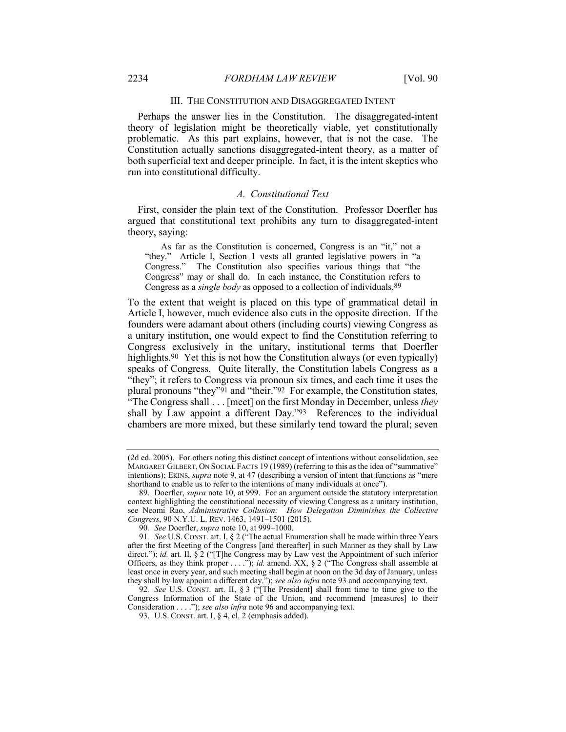## III. THE CONSTITUTION AND DISAGGREGATED INTENT

Perhaps the answer lies in the Constitution. The disaggregated-intent theory of legislation might be theoretically viable, yet constitutionally problematic. As this part explains, however, that is not the case. The Constitution actually sanctions disaggregated-intent theory, as a matter of both superficial text and deeper principle. In fact, it is the intent skeptics who run into constitutional difficulty.

## *A. Constitutional Text*

First, consider the plain text of the Constitution. Professor Doerfler has argued that constitutional text prohibits any turn to disaggregated-intent theory, saying:

As far as the Constitution is concerned, Congress is an "it," not a "they." Article I, Section 1 vests all granted legislative powers in "a Congress." The Constitution also specifies various things that "the Congress" may or shall do. In each instance, the Constitution refers to Congress as a *single body* as opposed to a collection of individuals.89

To the extent that weight is placed on this type of grammatical detail in Article I, however, much evidence also cuts in the opposite direction. If the founders were adamant about others (including courts) viewing Congress as a unitary institution, one would expect to find the Constitution referring to Congress exclusively in the unitary, institutional terms that Doerfler highlights.<sup>90</sup> Yet this is not how the Constitution always (or even typically) speaks of Congress. Quite literally, the Constitution labels Congress as a "they"; it refers to Congress via pronoun six times, and each time it uses the plural pronouns "they"91 and "their."92 For example, the Constitution states, "The Congress shall . . . [meet] on the first Monday in December, unless *they* shall by Law appoint a different Day."93 References to the individual chambers are more mixed, but these similarly tend toward the plural; seven

92*. See* U.S. CONST. art. II, § 3 ("[The President] shall from time to time give to the Congress Information of the State of the Union, and recommend [measures] to their Consideration . . . ."); *see also infra* note 96 and accompanying text.

<sup>(2</sup>d ed. 2005). For others noting this distinct concept of intentions without consolidation, see MARGARET GILBERT, ON SOCIAL FACTS 19 (1989) (referring to this as the idea of "summative" intentions); EKINS, *supra* note 9, at 47 (describing a version of intent that functions as "mere shorthand to enable us to refer to the intentions of many individuals at once").

<sup>89.</sup> Doerfler, *supra* note 10, at 999. For an argument outside the statutory interpretation context highlighting the constitutional necessity of viewing Congress as a unitary institution, see Neomi Rao, *Administrative Collusion: How Delegation Diminishes the Collective Congress*, 90 N.Y.U. L. REV. 1463, 1491–1501 (2015).

<sup>90</sup>*. See* Doerfler, *supra* note 10, at 999–1000.

<sup>91</sup>*. See* U.S. CONST. art. I, § 2 ("The actual Enumeration shall be made within three Years after the first Meeting of the Congress [and thereafter] in such Manner as they shall by Law direct."); *id.* art. II, § 2 ("[T]he Congress may by Law vest the Appointment of such inferior Officers, as they think proper . . . ."); *id.* amend. XX, § 2 ("The Congress shall assemble at least once in every year, and such meeting shall begin at noon on the 3d day of January, unless they shall by law appoint a different day."); *see also infra* note 93 and accompanying text.

<sup>93.</sup> U.S. CONST. art. I, § 4, cl. 2 (emphasis added).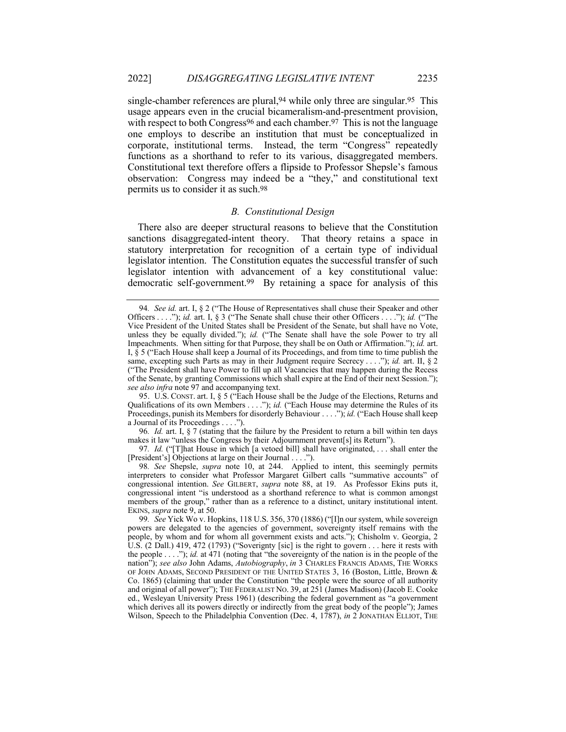single-chamber references are plural,<sup>94</sup> while only three are singular.<sup>95</sup> This usage appears even in the crucial bicameralism-and-presentment provision, with respect to both Congress<sup>96</sup> and each chamber.<sup>97</sup> This is not the language one employs to describe an institution that must be conceptualized in corporate, institutional terms. Instead, the term "Congress" repeatedly functions as a shorthand to refer to its various, disaggregated members. Constitutional text therefore offers a flipside to Professor Shepsle's famous observation: Congress may indeed be a "they," and constitutional text permits us to consider it as such.98

#### *B. Constitutional Design*

There also are deeper structural reasons to believe that the Constitution sanctions disaggregated-intent theory. That theory retains a space in statutory interpretation for recognition of a certain type of individual legislator intention. The Constitution equates the successful transfer of such legislator intention with advancement of a key constitutional value: democratic self-government.99 By retaining a space for analysis of this

95. U.S. CONST. art. I, § 5 ("Each House shall be the Judge of the Elections, Returns and Qualifications of its own Members . . . ."); *id.* ("Each House may determine the Rules of its Proceedings, punish its Members for disorderly Behaviour . . . ."); *id.* ("Each House shall keep a Journal of its Proceedings . . . .").

96*. Id.* art. I, § 7 (stating that the failure by the President to return a bill within ten days makes it law "unless the Congress by their Adjournment prevent[s] its Return").

97*. Id.* ("[T]hat House in which [a vetoed bill] shall have originated, . . . shall enter the [President's] Objections at large on their Journal . . . .").

98*. See* Shepsle, *supra* note 10, at 244. Applied to intent, this seemingly permits interpreters to consider what Professor Margaret Gilbert calls "summative accounts" of congressional intention. *See* GILBERT, *supra* note 88, at 19. As Professor Ekins puts it, congressional intent "is understood as a shorthand reference to what is common amongst members of the group," rather than as a reference to a distinct, unitary institutional intent. EKINS, *supra* note 9, at 50.

<sup>94</sup>*. See id.* art. I, § 2 ("The House of Representatives shall chuse their Speaker and other Officers . . . ."); *id.* art. I, § 3 ("The Senate shall chuse their other Officers . . . ."); *id.* ("The Vice President of the United States shall be President of the Senate, but shall have no Vote, unless they be equally divided."); *id.* ("The Senate shall have the sole Power to try all Impeachments. When sitting for that Purpose, they shall be on Oath or Affirmation."); *id.* art. I,  $\hat{\S}$  5 ("Each House shall keep a Journal of its Proceedings, and from time to time publish the same, excepting such Parts as may in their Judgment require Secrecy . . . ."); *id.* art. II, § 2 ("The President shall have Power to fill up all Vacancies that may happen during the Recess of the Senate, by granting Commissions which shall expire at the End of their next Session."); *see also infra* note 97 and accompanying text.

<sup>99</sup>*. See* Yick Wo v. Hopkins, 118 U.S. 356, 370 (1886) ("[I]n our system, while sovereign powers are delegated to the agencies of government, sovereignty itself remains with the people, by whom and for whom all government exists and acts."); Chisholm v. Georgia, 2 U.S. (2 Dall.) 419, 472 (1793) ("Soverignty [sic] is the right to govern . . . here it rests with the people . . . ."); *id.* at 471 (noting that "the sovereignty of the nation is in the people of the nation"); *see also* John Adams, *Autobiography*, *in* 3 CHARLES FRANCIS ADAMS, THE WORKS OF JOHN ADAMS, SECOND PRESIDENT OF THE UNITED STATES 3, 16 (Boston, Little, Brown & Co. 1865) (claiming that under the Constitution "the people were the source of all authority and original of all power"); THE FEDERALIST NO. 39, at 251 (James Madison) (Jacob E. Cooke ed., Wesleyan University Press 1961) (describing the federal government as "a government which derives all its powers directly or indirectly from the great body of the people"); James Wilson, Speech to the Philadelphia Convention (Dec. 4, 1787), *in* 2 JONATHAN ELLIOT, THE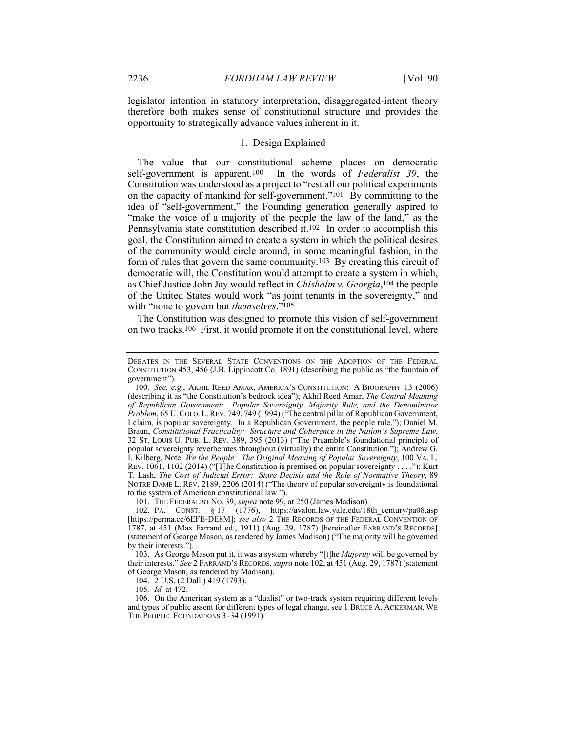legislator intention in statutory interpretation, disaggregated-intent theory therefore both makes sense of constitutional structure and provides the opportunity to strategically advance values inherent in it.

## 1. Design Explained

The value that our constitutional scheme places on democratic self-government is apparent.100 In the words of *Federalist 39*, the Constitution was understood as a project to "rest all our political experiments on the capacity of mankind for self-government."101 By committing to the idea of "self-government," the Founding generation generally aspired to "make the voice of a majority of the people the law of the land," as the Pennsylvania state constitution described it.102 In order to accomplish this goal, the Constitution aimed to create a system in which the political desires of the community would circle around, in some meaningful fashion, in the form of rules that govern the same community.103 By creating this circuit of democratic will, the Constitution would attempt to create a system in which, as Chief Justice John Jay would reflect in *Chisholm v. Georgia*,104 the people of the United States would work "as joint tenants in the sovereignty," and with "none to govern but *themselves*."105

The Constitution was designed to promote this vision of self-government on two tracks.106 First, it would promote it on the constitutional level, where

101. THE FEDERALIST NO. 39, *supra* note 99, at 250 (James Madison).

103. As George Mason put it, it was a system whereby "[t]he *Majority* will be governed by their interests." *See* 2 FARRAND'S RECORDS, *supra* note 102, at 451 (Aug. 29, 1787) (statement of George Mason, as rendered by Madison).

104. 2 U.S. (2 Dall.) 419 (1793).

105*. Id.* at 472.

106. On the American system as a "dualist" or two-track system requiring different levels and types of public assent for different types of legal change, see 1 BRUCE A. ACKERMAN, WE THE PEOPLE: FOUNDATIONS 3-34 (1991).

DEBATES IN THE SEVERAL STATE CONVENTIONS ON THE ADOPTION OF THE FEDERAL CONSTITUTION 453, 456 (J.B. Lippincott Co. 1891) (describing the public as "the fountain of government").

<sup>100</sup>*. See, e.g.*, AKHIL REED AMAR, AMERICA'S CONSTITUTION: A BIOGRAPHY 13 (2006) (describing it as "the Constitution's bedrock idea"); Akhil Reed Amar, *The Central Meaning of Republican Government: Popular Sovereignty, Majority Rule, and the Denominator Problem*, 65 U.COLO. L.REV. 749, 749 (1994) ("The central pillar of Republican Government, I claim, is popular sovereignty. In a Republican Government, the people rule."); Daniel M. Braun, *Constitutional Fracticality: Structure and Coherence in the Nation's Supreme Law*, 32 ST. LOUIS U. PUB. L. REV. 389, 395 (2013) ("The Preamble's foundational principle of popular sovereignty reverberates throughout (virtually) the entire Constitution."); Andrew G. I. Kilberg, Note, *We the People: The Original Meaning of Popular Sovereignty*, 100 VA. L. REV. 1061, 1102 (2014) ("[T]he Constitution is premised on popular sovereignty . . . ."); Kurt T. Lash, *The Cost of Judicial Error: Stare Decisis and the Role of Normative Theory*, 89 NOTRE DAME L. REV. 2189, 2206 (2014) ("The theory of popular sovereignty is foundational to the system of American constitutional law.").

<sup>102.</sup> PA. CONST. § 17 (1776), https://avalon.law.yale.edu/18th\_century/pa08.asp [https://perma.cc/6EFE-DE8M]; *see also* 2 THE RECORDS OF THE FEDERAL CONVENTION OF 1787, at 451 (Max Farrand ed., 1911) (Aug. 29, 1787) [hereinafter FARRAND'S RECORDS] (statement of George Mason, as rendered by James Madison) ("The majority will be governed by their interests.").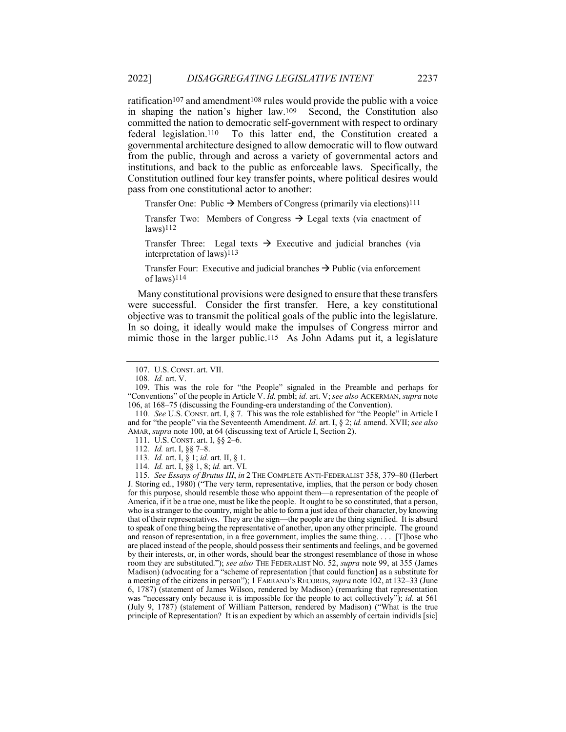ratification<sup>107</sup> and amendment<sup>108</sup> rules would provide the public with a voice in shaping the nation's higher law.109 Second, the Constitution also committed the nation to democratic self-government with respect to ordinary federal legislation.110 To this latter end, the Constitution created a governmental architecture designed to allow democratic will to flow outward from the public, through and across a variety of governmental actors and institutions, and back to the public as enforceable laws. Specifically, the Constitution outlined four key transfer points, where political desires would pass from one constitutional actor to another:

Transfer One: Public  $\rightarrow$  Members of Congress (primarily via elections)<sup>111</sup>

Transfer Two: Members of Congress  $\rightarrow$  Legal texts (via enactment of  $laws)$ <sup>112</sup>

Transfer Three: Legal texts  $\rightarrow$  Executive and judicial branches (via interpretation of laws)113

Transfer Four: Executive and judicial branches  $\rightarrow$  Public (via enforcement of laws)114

Many constitutional provisions were designed to ensure that these transfers were successful. Consider the first transfer. Here, a key constitutional objective was to transmit the political goals of the public into the legislature. In so doing, it ideally would make the impulses of Congress mirror and mimic those in the larger public.<sup>115</sup> As John Adams put it, a legislature

110*. See* U.S. CONST. art. I, § 7. This was the role established for "the People" in Article I and for "the people" via the Seventeenth Amendment. *Id.* art. I, § 2; *id.* amend. XVII; *see also* AMAR, *supra* note 100, at 64 (discussing text of Article I, Section 2).

111. U.S. CONST. art. I, §§ 2–6.

112*. Id.* art. I, §§ 7–8.

113*. Id.* art. I, § 1; *id.* art. II, § 1.

114*. Id.* art. I, §§ 1, 8; *id.* art. VI.

<sup>107.</sup> U.S. CONST. art. VII.

<sup>108</sup>*. Id.* art. V.

<sup>109.</sup> This was the role for "the People" signaled in the Preamble and perhaps for "Conventions" of the people in Article V. *Id.* pmbl; *id.* art. V; *see also* ACKERMAN, *supra* note 106, at 168–75 (discussing the Founding-era understanding of the Convention).

<sup>115</sup>*. See Essays of Brutus III*, *in* 2 THE COMPLETE ANTI-FEDERALIST 358, 379–80 (Herbert J. Storing ed., 1980) ("The very term, representative, implies, that the person or body chosen for this purpose, should resemble those who appoint them—a representation of the people of America, if it be a true one, must be like the people. It ought to be so constituted, that a person, who is a stranger to the country, might be able to form a just idea of their character, by knowing that of their representatives. They are the sign—the people are the thing signified. It is absurd to speak of one thing being the representative of another, upon any other principle. The ground and reason of representation, in a free government, implies the same thing. . . . [T]hose who are placed instead of the people, should possess their sentiments and feelings, and be governed by their interests, or, in other words, should bear the strongest resemblance of those in whose room they are substituted."); *see also* THE FEDERALIST NO. 52, *supra* note 99, at 355 (James Madison) (advocating for a "scheme of representation [that could function] as a substitute for a meeting of the citizens in person"); 1 FARRAND'S RECORDS,*supra* note 102, at 132–33 (June 6, 1787) (statement of James Wilson, rendered by Madison) (remarking that representation was "necessary only because it is impossible for the people to act collectively"); *id.* at 561 (July 9, 1787) (statement of William Patterson, rendered by Madison) ("What is the true principle of Representation? It is an expedient by which an assembly of certain individls [sic]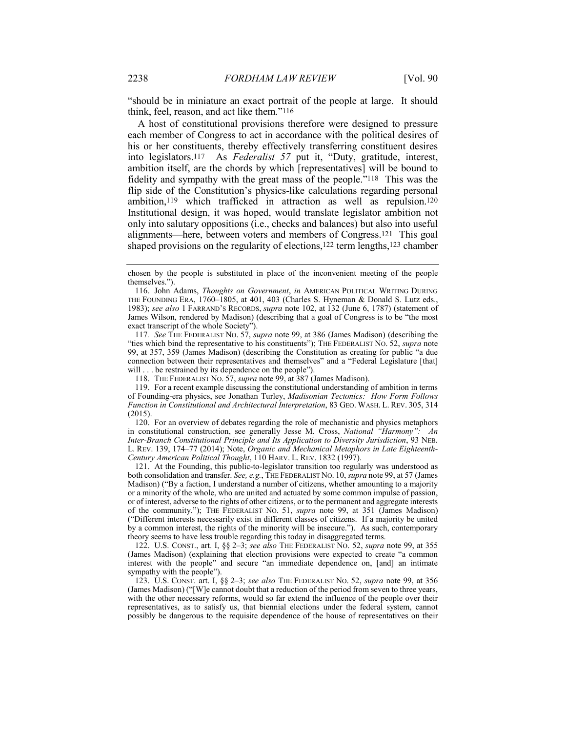"should be in miniature an exact portrait of the people at large. It should think, feel, reason, and act like them."116

A host of constitutional provisions therefore were designed to pressure each member of Congress to act in accordance with the political desires of his or her constituents, thereby effectively transferring constituent desires into legislators.117 As *Federalist 57* put it, "Duty, gratitude, interest, ambition itself, are the chords by which [representatives] will be bound to fidelity and sympathy with the great mass of the people."118 This was the flip side of the Constitution's physics-like calculations regarding personal ambition,119 which trafficked in attraction as well as repulsion.120 Institutional design, it was hoped, would translate legislator ambition not only into salutary oppositions (i.e., checks and balances) but also into useful alignments—here, between voters and members of Congress.121 This goal shaped provisions on the regularity of elections,122 term lengths,123 chamber

117*. See* THE FEDERALIST NO. 57, *supra* note 99, at 386 (James Madison) (describing the "ties which bind the representative to his constituents"); THE FEDERALIST NO. 52, *supra* note 99, at 357, 359 (James Madison) (describing the Constitution as creating for public "a due connection between their representatives and themselves" and a "Federal Legislature [that] will . . . be restrained by its dependence on the people").

118. THE FEDERALIST NO. 57, *supra* note 99, at 387 (James Madison).

119. For a recent example discussing the constitutional understanding of ambition in terms of Founding-era physics, see Jonathan Turley, *Madisonian Tectonics: How Form Follows Function in Constitutional and Architectural Interpretation*, 83 GEO. WASH. L. REV. 305, 314 (2015).

120. For an overview of debates regarding the role of mechanistic and physics metaphors in constitutional construction, see generally Jesse M. Cross, *National "Harmony": An Inter-Branch Constitutional Principle and Its Application to Diversity Jurisdiction*, 93 NEB. L. REV. 139, 174–77 (2014); Note, *Organic and Mechanical Metaphors in Late Eighteenth-Century American Political Thought*, 110 HARV. L. REV. 1832 (1997).

121. At the Founding, this public-to-legislator transition too regularly was understood as both consolidation and transfer. *See, e.g.*, THE FEDERALIST NO. 10, *supra* note 99, at 57 (James Madison) ("By a faction, I understand a number of citizens, whether amounting to a majority or a minority of the whole, who are united and actuated by some common impulse of passion, or of interest, adverse to the rights of other citizens, or to the permanent and aggregate interests of the community."); THE FEDERALIST NO. 51, *supra* note 99, at 351 (James Madison) ("Different interests necessarily exist in different classes of citizens. If a majority be united by a common interest, the rights of the minority will be insecure."). As such, contemporary theory seems to have less trouble regarding this today in disaggregated terms.

122. U.S. CONST., art. I, §§ 2–3; *see also* THE FEDERALIST NO. 52, *supra* note 99, at 355 (James Madison) (explaining that election provisions were expected to create "a common interest with the people" and secure "an immediate dependence on, [and] an intimate sympathy with the people").

123. U.S. CONST. art. I, §§ 2–3; *see also* THE FEDERALIST NO. 52, *supra* note 99, at 356 (James Madison) ("[W]e cannot doubt that a reduction of the period from seven to three years, with the other necessary reforms, would so far extend the influence of the people over their representatives, as to satisfy us, that biennial elections under the federal system, cannot possibly be dangerous to the requisite dependence of the house of representatives on their

chosen by the people is substituted in place of the inconvenient meeting of the people themselves.").

<sup>116.</sup> John Adams, *Thoughts on Government*, *in* AMERICAN POLITICAL WRITING DURING THE FOUNDING ERA, 1760–1805, at 401, 403 (Charles S. Hyneman & Donald S. Lutz eds., 1983); *see also* 1 FARRAND'S RECORDS, *supra* note 102, at 132 (June 6, 1787) (statement of James Wilson, rendered by Madison) (describing that a goal of Congress is to be "the most exact transcript of the whole Society").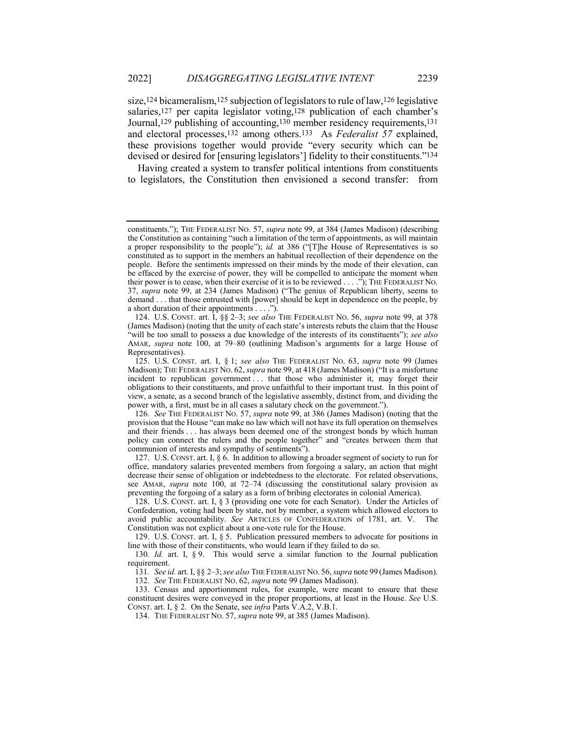size,124 bicameralism,125 subjection of legislators to rule of law,126 legislative salaries,<sup>127</sup> per capita legislator voting,<sup>128</sup> publication of each chamber's Journal,129 publishing of accounting,130 member residency requirements,131 and electoral processes,132 among others.133 As *Federalist 57* explained, these provisions together would provide "every security which can be devised or desired for [ensuring legislators'] fidelity to their constituents."134

Having created a system to transfer political intentions from constituents to legislators, the Constitution then envisioned a second transfer: from

131*. See id.* art. I, §§ 2–3; *see also* THE FEDERALIST NO. 56, *supra* note 99 (James Madison).

132*. See* THE FEDERALIST NO. 62, *supra* note 99 (James Madison).

133. Census and apportionment rules, for example, were meant to ensure that these constituent desires were conveyed in the proper proportions, at least in the House. *See* U.S. CONST. art. I, § 2. On the Senate, see *infra* Parts V.A.2, V.B.1.

134. THE FEDERALIST NO. 57, *supra* note 99, at 385 (James Madison).

constituents."); THE FEDERALIST NO. 57, *supra* note 99, at 384 (James Madison) (describing the Constitution as containing "such a limitation of the term of appointments, as will maintain a proper responsibility to the people"); *id.* at 386 ("[T]he House of Representatives is so constituted as to support in the members an habitual recollection of their dependence on the people. Before the sentiments impressed on their minds by the mode of their elevation, can be effaced by the exercise of power, they will be compelled to anticipate the moment when their power is to cease, when their exercise of it is to be reviewed . . . ."); THE FEDERALIST NO. 37, *supra* note 99, at 234 (James Madison) ("The genius of Republican liberty, seems to demand . . . that those entrusted with [power] should be kept in dependence on the people, by a short duration of their appointments . . . .").

<sup>124.</sup> U.S. CONST. art. I, §§ 2–3; *see also* THE FEDERALIST NO. 56, *supra* note 99, at 378 (James Madison) (noting that the unity of each state's interests rebuts the claim that the House "will be too small to possess a due knowledge of the interests of its constituents"); *see also* AMAR, *supra* note 100, at 79–80 (outlining Madison's arguments for a large House of Representatives).

<sup>125.</sup> U.S. CONST. art. I, § 1; *see also* THE FEDERALIST NO. 63, *supra* note 99 (James Madison); THE FEDERALIST NO. 62, *supra* note 99, at 418 (James Madison) ("It is a misfortune incident to republican government ... that those who administer it, may forget their obligations to their constituents, and prove unfaithful to their important trust. In this point of view, a senate, as a second branch of the legislative assembly, distinct from, and dividing the power with, a first, must be in all cases a salutary check on the government.").

<sup>126</sup>*. See* THE FEDERALIST NO. 57, *supra* note 99, at 386 (James Madison) (noting that the provision that the House "can make no law which will not have its full operation on themselves and their friends . . . has always been deemed one of the strongest bonds by which human policy can connect the rulers and the people together" and "creates between them that communion of interests and sympathy of sentiments").

<sup>127.</sup> U.S. CONST. art. I, § 6. In addition to allowing a broader segment of society to run for office, mandatory salaries prevented members from forgoing a salary, an action that might decrease their sense of obligation or indebtedness to the electorate. For related observations, see AMAR, *supra* note 100, at 72–74 (discussing the constitutional salary provision as preventing the forgoing of a salary as a form of bribing electorates in colonial America).

<sup>128.</sup> U.S. CONST. art. I, § 3 (providing one vote for each Senator). Under the Articles of Confederation, voting had been by state, not by member, a system which allowed electors to avoid public accountability. *See* ARTICLES OF CONFEDERATION of 1781, art. V. The Constitution was not explicit about a one-vote rule for the House.

<sup>129.</sup> U.S. CONST. art. I, § 5. Publication pressured members to advocate for positions in line with those of their constituents, who would learn if they failed to do so.

<sup>130</sup>*. Id.* art. I, § 9. This would serve a similar function to the Journal publication requirement.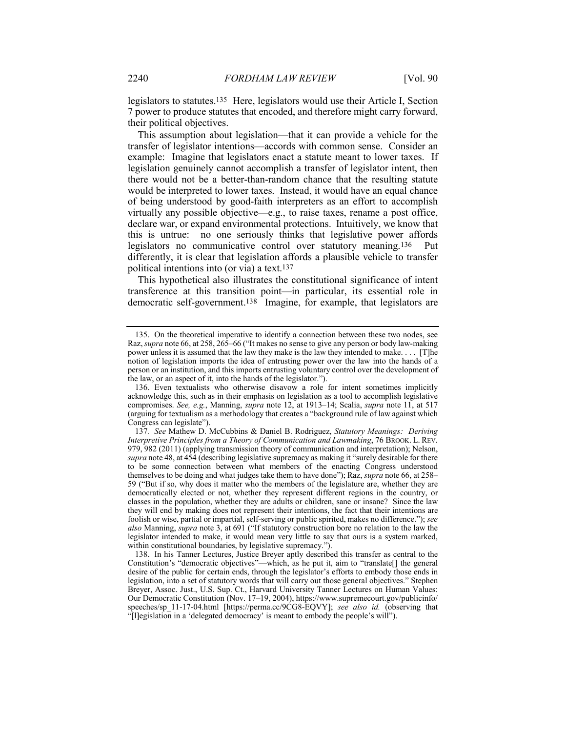legislators to statutes.135 Here, legislators would use their Article I, Section 7 power to produce statutes that encoded, and therefore might carry forward, their political objectives.

This assumption about legislation—that it can provide a vehicle for the transfer of legislator intentions—accords with common sense. Consider an example: Imagine that legislators enact a statute meant to lower taxes. If legislation genuinely cannot accomplish a transfer of legislator intent, then there would not be a better-than-random chance that the resulting statute would be interpreted to lower taxes. Instead, it would have an equal chance of being understood by good-faith interpreters as an effort to accomplish virtually any possible objective—e.g., to raise taxes, rename a post office, declare war, or expand environmental protections. Intuitively, we know that this is untrue: no one seriously thinks that legislative power affords legislators no communicative control over statutory meaning.136 Put differently, it is clear that legislation affords a plausible vehicle to transfer political intentions into (or via) a text.137

This hypothetical also illustrates the constitutional significance of intent transference at this transition point—in particular, its essential role in democratic self-government.138 Imagine, for example, that legislators are

<sup>135.</sup> On the theoretical imperative to identify a connection between these two nodes, see Raz, *supra* note 66, at 258, 265–66 ("It makes no sense to give any person or body law-making power unless it is assumed that the law they make is the law they intended to make. . . . [T]he notion of legislation imports the idea of entrusting power over the law into the hands of a person or an institution, and this imports entrusting voluntary control over the development of the law, or an aspect of it, into the hands of the legislator.").

<sup>136.</sup> Even textualists who otherwise disavow a role for intent sometimes implicitly acknowledge this, such as in their emphasis on legislation as a tool to accomplish legislative compromises. *See, e.g.*, Manning, *supra* note 12, at 1913–14; Scalia, *supra* note 11, at 517 (arguing for textualism as a methodology that creates a "background rule of law against which Congress can legislate").

<sup>137</sup>*. See* Mathew D. McCubbins & Daniel B. Rodriguez, *Statutory Meanings: Deriving Interpretive Principles from a Theory of Communication and Lawmaking*, 76 BROOK. L. REV. 979, 982 (2011) (applying transmission theory of communication and interpretation); Nelson, *supra* note 48, at 454 (describing legislative supremacy as making it "surely desirable for there to be some connection between what members of the enacting Congress understood themselves to be doing and what judges take them to have done"); Raz, *supra* note 66, at 258– 59 ("But if so, why does it matter who the members of the legislature are, whether they are democratically elected or not, whether they represent different regions in the country, or classes in the population, whether they are adults or children, sane or insane? Since the law they will end by making does not represent their intentions, the fact that their intentions are foolish or wise, partial or impartial, self-serving or public spirited, makes no difference."); *see also* Manning, *supra* note 3, at 691 ("If statutory construction bore no relation to the law the legislator intended to make, it would mean very little to say that ours is a system marked, within constitutional boundaries, by legislative supremacy.").

<sup>138.</sup> In his Tanner Lectures, Justice Breyer aptly described this transfer as central to the Constitution's "democratic objectives"—which, as he put it, aim to "translate[] the general desire of the public for certain ends, through the legislator's efforts to embody those ends in legislation, into a set of statutory words that will carry out those general objectives." Stephen Breyer, Assoc. Just., U.S. Sup. Ct., Harvard University Tanner Lectures on Human Values: Our Democratic Constitution (Nov. 17–19, 2004), https://www.supremecourt.gov/publicinfo/ speeches/sp\_11-17-04.html [https://perma.cc/9CG8-EQVY]; *see also id.* (observing that "[l]egislation in a 'delegated democracy' is meant to embody the people's will").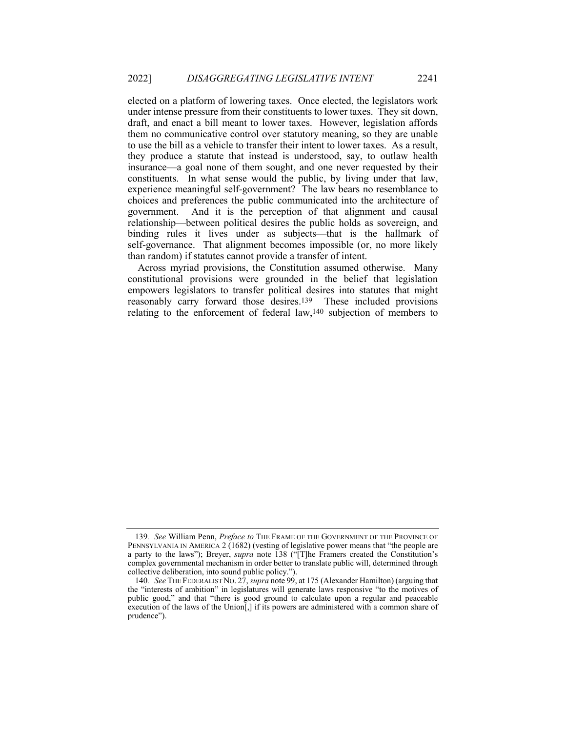elected on a platform of lowering taxes. Once elected, the legislators work under intense pressure from their constituents to lower taxes. They sit down, draft, and enact a bill meant to lower taxes. However, legislation affords them no communicative control over statutory meaning, so they are unable to use the bill as a vehicle to transfer their intent to lower taxes. As a result, they produce a statute that instead is understood, say, to outlaw health insurance—a goal none of them sought, and one never requested by their constituents. In what sense would the public, by living under that law, experience meaningful self-government? The law bears no resemblance to choices and preferences the public communicated into the architecture of government. And it is the perception of that alignment and causal relationship—between political desires the public holds as sovereign, and binding rules it lives under as subjects—that is the hallmark of self-governance. That alignment becomes impossible (or, no more likely than random) if statutes cannot provide a transfer of intent.

Across myriad provisions, the Constitution assumed otherwise. Many constitutional provisions were grounded in the belief that legislation empowers legislators to transfer political desires into statutes that might reasonably carry forward those desires.139 These included provisions relating to the enforcement of federal law,140 subjection of members to

<sup>139</sup>*. See* William Penn, *Preface to* THE FRAME OF THE GOVERNMENT OF THE PROVINCE OF PENNSYLVANIA IN AMERICA 2 (1682) (vesting of legislative power means that "the people are a party to the laws"); Breyer, *supra* note 138 ("[T]he Framers created the Constitution's complex governmental mechanism in order better to translate public will, determined through collective deliberation, into sound public policy.").

<sup>140</sup>*. See* THE FEDERALIST NO. 27, *supra* note 99, at 175 (Alexander Hamilton) (arguing that the "interests of ambition" in legislatures will generate laws responsive "to the motives of public good," and that "there is good ground to calculate upon a regular and peaceable execution of the laws of the Union[,] if its powers are administered with a common share of prudence").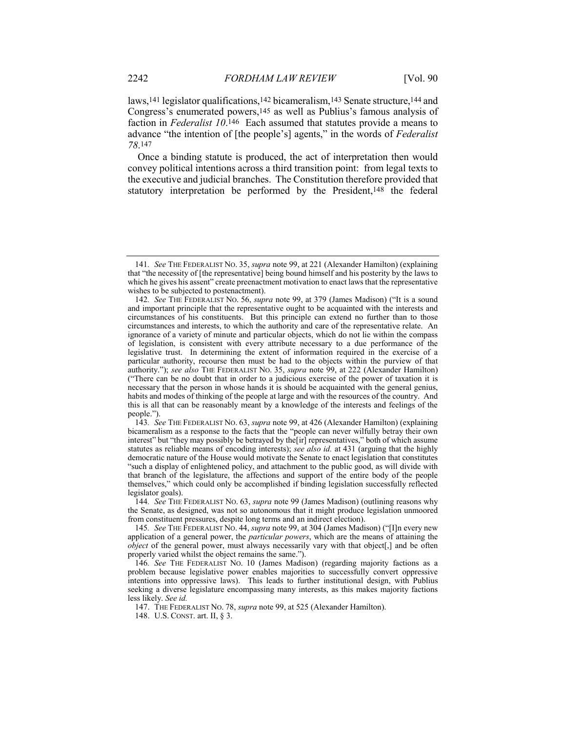laws,<sup>141</sup> legislator qualifications,<sup>142</sup> bicameralism,<sup>143</sup> Senate structure,<sup>144</sup> and Congress's enumerated powers,145 as well as Publius's famous analysis of faction in *Federalist 10*.146 Each assumed that statutes provide a means to advance "the intention of [the people's] agents," in the words of *Federalist 78*.147

Once a binding statute is produced, the act of interpretation then would convey political intentions across a third transition point: from legal texts to the executive and judicial branches. The Constitution therefore provided that statutory interpretation be performed by the President,148 the federal

<sup>141</sup>*. See* THE FEDERALIST NO. 35, *supra* note 99, at 221 (Alexander Hamilton) (explaining that "the necessity of [the representative] being bound himself and his posterity by the laws to which he gives his assent" create preenactment motivation to enact laws that the representative wishes to be subjected to postenactment).

<sup>142</sup>*. See* THE FEDERALIST NO. 56, *supra* note 99, at 379 (James Madison) ("It is a sound and important principle that the representative ought to be acquainted with the interests and circumstances of his constituents. But this principle can extend no further than to those circumstances and interests, to which the authority and care of the representative relate. An ignorance of a variety of minute and particular objects, which do not lie within the compass of legislation, is consistent with every attribute necessary to a due performance of the legislative trust. In determining the extent of information required in the exercise of a particular authority, recourse then must be had to the objects within the purview of that authority."); *see also* THE FEDERALIST NO. 35, *supra* note 99, at 222 (Alexander Hamilton) ("There can be no doubt that in order to a judicious exercise of the power of taxation it is necessary that the person in whose hands it is should be acquainted with the general genius, habits and modes of thinking of the people at large and with the resources of the country. And this is all that can be reasonably meant by a knowledge of the interests and feelings of the people.").

<sup>143</sup>*. See* THE FEDERALIST NO. 63, *supra* note 99, at 426 (Alexander Hamilton) (explaining bicameralism as a response to the facts that the "people can never wilfully betray their own interest" but "they may possibly be betrayed by the[ir] representatives," both of which assume statutes as reliable means of encoding interests); *see also id.* at 431 (arguing that the highly democratic nature of the House would motivate the Senate to enact legislation that constitutes "such a display of enlightened policy, and attachment to the public good, as will divide with that branch of the legislature, the affections and support of the entire body of the people themselves," which could only be accomplished if binding legislation successfully reflected legislator goals).

<sup>144</sup>*. See* THE FEDERALIST NO. 63, *supra* note 99 (James Madison) (outlining reasons why the Senate, as designed, was not so autonomous that it might produce legislation unmoored from constituent pressures, despite long terms and an indirect election).

<sup>145</sup>*. See* THE FEDERALIST NO. 44, *supra* note 99, at 304 (James Madison) ("[I]n every new application of a general power, the *particular powers*, which are the means of attaining the *object* of the general power, must always necessarily vary with that object, and be often properly varied whilst the object remains the same.").

<sup>146</sup>*. See* THE FEDERALIST NO. 10 (James Madison) (regarding majority factions as a problem because legislative power enables majorities to successfully convert oppressive intentions into oppressive laws). This leads to further institutional design, with Publius seeking a diverse legislature encompassing many interests, as this makes majority factions less likely. *See id.*

<sup>147.</sup> THE FEDERALIST NO. 78, *supra* note 99, at 525 (Alexander Hamilton).

<sup>148.</sup> U.S. CONST. art. II, § 3.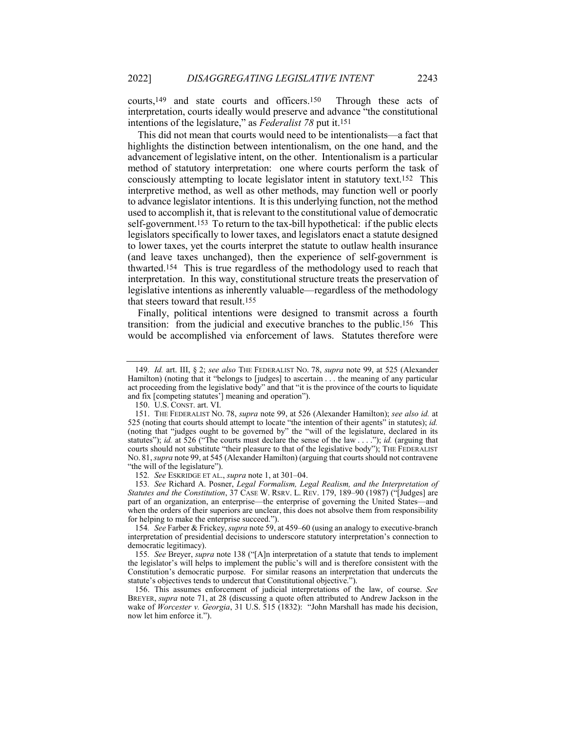courts,149 and state courts and officers.150 Through these acts of interpretation, courts ideally would preserve and advance "the constitutional intentions of the legislature," as *Federalist 78* put it.151

This did not mean that courts would need to be intentionalists—a fact that highlights the distinction between intentionalism, on the one hand, and the advancement of legislative intent, on the other. Intentionalism is a particular method of statutory interpretation: one where courts perform the task of consciously attempting to locate legislator intent in statutory text.152 This interpretive method, as well as other methods, may function well or poorly to advance legislator intentions. It is this underlying function, not the method used to accomplish it, that is relevant to the constitutional value of democratic self-government.153 To return to the tax-bill hypothetical: if the public elects legislators specifically to lower taxes, and legislators enact a statute designed to lower taxes, yet the courts interpret the statute to outlaw health insurance (and leave taxes unchanged), then the experience of self-government is thwarted.154 This is true regardless of the methodology used to reach that interpretation. In this way, constitutional structure treats the preservation of legislative intentions as inherently valuable—regardless of the methodology that steers toward that result.155

Finally, political intentions were designed to transmit across a fourth transition: from the judicial and executive branches to the public.156 This would be accomplished via enforcement of laws. Statutes therefore were

<sup>149</sup>*. Id.* art. III, § 2; *see also* THE FEDERALIST NO. 78, *supra* note 99, at 525 (Alexander Hamilton) (noting that it "belongs to [judges] to ascertain . . . the meaning of any particular act proceeding from the legislative body" and that "it is the province of the courts to liquidate and fix [competing statutes'] meaning and operation").

<sup>150.</sup> U.S. CONST. art. VI.

<sup>151.</sup> THE FEDERALIST NO. 78, *supra* note 99, at 526 (Alexander Hamilton); *see also id.* at 525 (noting that courts should attempt to locate "the intention of their agents" in statutes); *id.* (noting that "judges ought to be governed by" the "will of the legislature, declared in its statutes"); *id.* at 526 ("The courts must declare the sense of the law . . . ."); *id.* (arguing that courts should not substitute "their pleasure to that of the legislative body"); THE FEDERALIST NO. 81, *supra* note 99, at 545 (Alexander Hamilton) (arguing that courts should not contravene "the will of the legislature").

<sup>152</sup>*. See* ESKRIDGE ET AL., *supra* note 1, at 301–04.

<sup>153</sup>*. See* Richard A. Posner, *Legal Formalism, Legal Realism, and the Interpretation of Statutes and the Constitution*, 37 CASE W. RSRV. L. REV. 179, 189–90 (1987) ("[Judges] are part of an organization, an enterprise—the enterprise of governing the United States—and when the orders of their superiors are unclear, this does not absolve them from responsibility for helping to make the enterprise succeed.").

<sup>154</sup>*. See* Farber & Frickey, *supra* note 59, at 459–60 (using an analogy to executive-branch interpretation of presidential decisions to underscore statutory interpretation's connection to democratic legitimacy).

<sup>155</sup>*. See* Breyer, *supra* note 138 ("[A]n interpretation of a statute that tends to implement the legislator's will helps to implement the public's will and is therefore consistent with the Constitution's democratic purpose. For similar reasons an interpretation that undercuts the statute's objectives tends to undercut that Constitutional objective.").

<sup>156.</sup> This assumes enforcement of judicial interpretations of the law, of course. *See* BREYER, *supra* note 71, at 28 (discussing a quote often attributed to Andrew Jackson in the wake of *Worcester v. Georgia*, 31 U.S. 515 (1832): "John Marshall has made his decision, now let him enforce it.").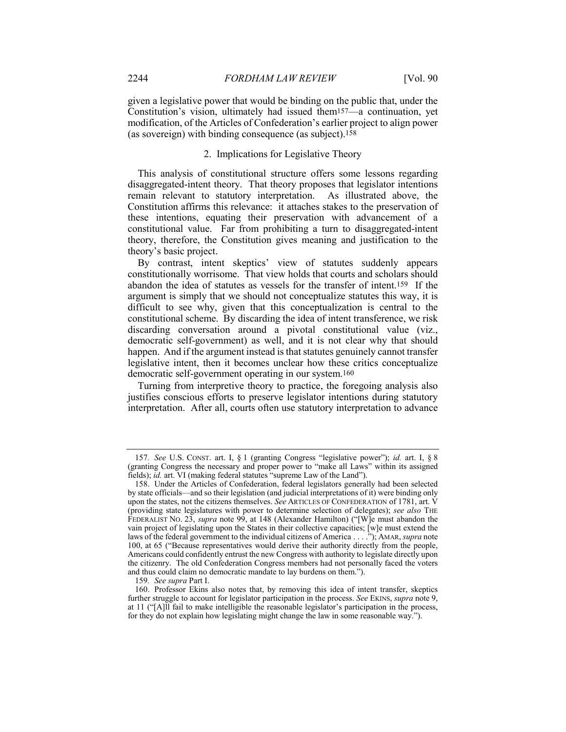given a legislative power that would be binding on the public that, under the Constitution's vision, ultimately had issued them157—a continuation, yet modification, of the Articles of Confederation's earlier project to align power (as sovereign) with binding consequence (as subject).158

## 2. Implications for Legislative Theory

This analysis of constitutional structure offers some lessons regarding disaggregated-intent theory. That theory proposes that legislator intentions remain relevant to statutory interpretation. As illustrated above, the Constitution affirms this relevance: it attaches stakes to the preservation of these intentions, equating their preservation with advancement of a constitutional value. Far from prohibiting a turn to disaggregated-intent theory, therefore, the Constitution gives meaning and justification to the theory's basic project.

By contrast, intent skeptics' view of statutes suddenly appears constitutionally worrisome. That view holds that courts and scholars should abandon the idea of statutes as vessels for the transfer of intent.159 If the argument is simply that we should not conceptualize statutes this way, it is difficult to see why, given that this conceptualization is central to the constitutional scheme. By discarding the idea of intent transference, we risk discarding conversation around a pivotal constitutional value (viz., democratic self-government) as well, and it is not clear why that should happen. And if the argument instead is that statutes genuinely cannot transfer legislative intent, then it becomes unclear how these critics conceptualize democratic self-government operating in our system.160

Turning from interpretive theory to practice, the foregoing analysis also justifies conscious efforts to preserve legislator intentions during statutory interpretation. After all, courts often use statutory interpretation to advance

<sup>157</sup>*. See* U.S. CONST. art. I, § 1 (granting Congress "legislative power"); *id.* art. I, § 8 (granting Congress the necessary and proper power to "make all Laws" within its assigned fields); *id.* art. VI (making federal statutes "supreme Law of the Land").

<sup>158.</sup> Under the Articles of Confederation, federal legislators generally had been selected by state officials—and so their legislation (and judicial interpretations of it) were binding only upon the states, not the citizens themselves. *See* ARTICLES OF CONFEDERATION of 1781, art. V (providing state legislatures with power to determine selection of delegates); *see also* THE FEDERALIST NO. 23, *supra* note 99, at 148 (Alexander Hamilton) ("[W]e must abandon the vain project of legislating upon the States in their collective capacities; [w]e must extend the laws of the federal government to the individual citizens of America . . . ."); AMAR, *supra* note 100, at 65 ("Because representatives would derive their authority directly from the people, Americans could confidently entrust the new Congress with authority to legislate directly upon the citizenry. The old Confederation Congress members had not personally faced the voters and thus could claim no democratic mandate to lay burdens on them.").

<sup>159</sup>*. See supra* Part I.

<sup>160.</sup> Professor Ekins also notes that, by removing this idea of intent transfer, skeptics further struggle to account for legislator participation in the process. *See* EKINS, *supra* note 9, at 11 ("[A]ll fail to make intelligible the reasonable legislator's participation in the process, for they do not explain how legislating might change the law in some reasonable way.").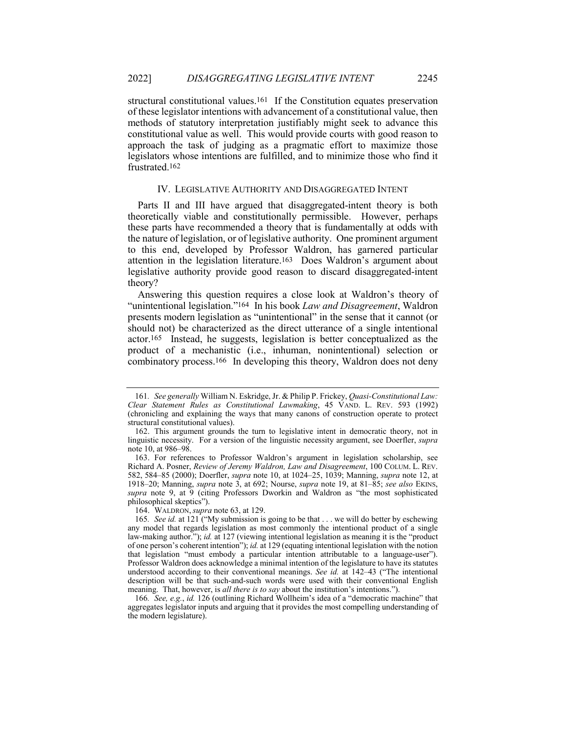structural constitutional values.161 If the Constitution equates preservation of these legislator intentions with advancement of a constitutional value, then methods of statutory interpretation justifiably might seek to advance this constitutional value as well. This would provide courts with good reason to approach the task of judging as a pragmatic effort to maximize those legislators whose intentions are fulfilled, and to minimize those who find it frustrated.162

#### IV. LEGISLATIVE AUTHORITY AND DISAGGREGATED INTENT

Parts II and III have argued that disaggregated-intent theory is both theoretically viable and constitutionally permissible. However, perhaps these parts have recommended a theory that is fundamentally at odds with the nature of legislation, or of legislative authority. One prominent argument to this end, developed by Professor Waldron, has garnered particular attention in the legislation literature.163 Does Waldron's argument about legislative authority provide good reason to discard disaggregated-intent theory?

Answering this question requires a close look at Waldron's theory of "unintentional legislation."164 In his book *Law and Disagreement*, Waldron presents modern legislation as "unintentional" in the sense that it cannot (or should not) be characterized as the direct utterance of a single intentional actor.165 Instead, he suggests, legislation is better conceptualized as the product of a mechanistic (i.e., inhuman, nonintentional) selection or combinatory process.166 In developing this theory, Waldron does not deny

164. WALDRON, *supra* note 63, at 129.

<sup>161</sup>*. See generally* William N. Eskridge, Jr. & Philip P. Frickey, *Quasi-Constitutional Law: Clear Statement Rules as Constitutional Lawmaking*, 45 VAND. L. REV. 593 (1992) (chronicling and explaining the ways that many canons of construction operate to protect structural constitutional values).

<sup>162.</sup> This argument grounds the turn to legislative intent in democratic theory, not in linguistic necessity. For a version of the linguistic necessity argument, see Doerfler, *supra* note 10, at 986–98.

<sup>163.</sup> For references to Professor Waldron's argument in legislation scholarship, see Richard A. Posner, *Review of Jeremy Waldron, Law and Disagreement*, 100 COLUM. L. REV. 582, 584–85 (2000); Doerfler, *supra* note 10, at 1024–25, 1039; Manning, *supra* note 12, at 1918–20; Manning, *supra* note 3, at 692; Nourse, *supra* note 19, at 81–85; *see also* EKINS, *supra* note 9, at 9 (citing Professors Dworkin and Waldron as "the most sophisticated philosophical skeptics").

<sup>165</sup>*. See id.* at 121 ("My submission is going to be that . . . we will do better by eschewing any model that regards legislation as most commonly the intentional product of a single law-making author."); *id.* at 127 (viewing intentional legislation as meaning it is the "product of one person's coherent intention"); *id.* at 129 (equating intentional legislation with the notion that legislation "must embody a particular intention attributable to a language-user"). Professor Waldron does acknowledge a minimal intention of the legislature to have its statutes understood according to their conventional meanings. *See id.* at 142–43 ("The intentional description will be that such-and-such words were used with their conventional English meaning. That, however, is *all there is to say* about the institution's intentions.").

<sup>166</sup>*. See, e.g.*, *id.* 126 (outlining Richard Wollheim's idea of a "democratic machine" that aggregates legislator inputs and arguing that it provides the most compelling understanding of the modern legislature).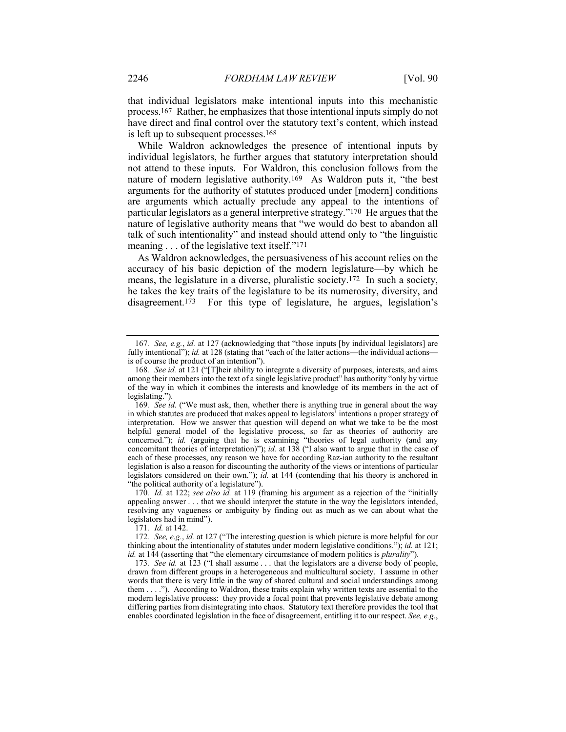that individual legislators make intentional inputs into this mechanistic process.167 Rather, he emphasizes that those intentional inputs simply do not have direct and final control over the statutory text's content, which instead is left up to subsequent processes.168

While Waldron acknowledges the presence of intentional inputs by individual legislators, he further argues that statutory interpretation should not attend to these inputs. For Waldron, this conclusion follows from the nature of modern legislative authority.169 As Waldron puts it, "the best arguments for the authority of statutes produced under [modern] conditions are arguments which actually preclude any appeal to the intentions of particular legislators as a general interpretive strategy."170 He argues that the nature of legislative authority means that "we would do best to abandon all talk of such intentionality" and instead should attend only to "the linguistic meaning . . . of the legislative text itself."<sup>171</sup>

As Waldron acknowledges, the persuasiveness of his account relies on the accuracy of his basic depiction of the modern legislature—by which he means, the legislature in a diverse, pluralistic society.172 In such a society, he takes the key traits of the legislature to be its numerosity, diversity, and disagreement.173 For this type of legislature, he argues, legislation's

171*. Id.* at 142.

<sup>167</sup>*. See, e.g.*, *id.* at 127 (acknowledging that "those inputs [by individual legislators] are fully intentional"); *id.* at 128 (stating that "each of the latter actions—the individual actions is of course the product of an intention").

<sup>168</sup>*. See id.* at 121 ("[T]heir ability to integrate a diversity of purposes, interests, and aims among their members into the text of a single legislative product" has authority "only by virtue of the way in which it combines the interests and knowledge of its members in the act of legislating.").

<sup>169</sup>*. See id.* ("We must ask, then, whether there is anything true in general about the way in which statutes are produced that makes appeal to legislators' intentions a proper strategy of interpretation. How we answer that question will depend on what we take to be the most helpful general model of the legislative process, so far as theories of authority are concerned."); *id.* (arguing that he is examining "theories of legal authority (and any concomitant theories of interpretation)"); *id.* at 138 ("I also want to argue that in the case of each of these processes, any reason we have for according Raz-ian authority to the resultant legislation is also a reason for discounting the authority of the views or intentions of particular legislators considered on their own."); *id.* at 144 (contending that his theory is anchored in "the political authority of a legislature").

<sup>170</sup>*. Id.* at 122; *see also id.* at 119 (framing his argument as a rejection of the "initially appealing answer . . . that we should interpret the statute in the way the legislators intended, resolving any vagueness or ambiguity by finding out as much as we can about what the legislators had in mind").

<sup>172</sup>*. See, e.g.*, *id.* at 127 ("The interesting question is which picture is more helpful for our thinking about the intentionality of statutes under modern legislative conditions."); *id.* at 121; *id.* at 144 (asserting that "the elementary circumstance of modern politics is *plurality*").

<sup>173</sup>*. See id.* at 123 ("I shall assume . . . that the legislators are a diverse body of people, drawn from different groups in a heterogeneous and multicultural society. I assume in other words that there is very little in the way of shared cultural and social understandings among them . . . ."). According to Waldron, these traits explain why written texts are essential to the modern legislative process: they provide a focal point that prevents legislative debate among differing parties from disintegrating into chaos. Statutory text therefore provides the tool that enables coordinated legislation in the face of disagreement, entitling it to our respect. *See, e.g.*,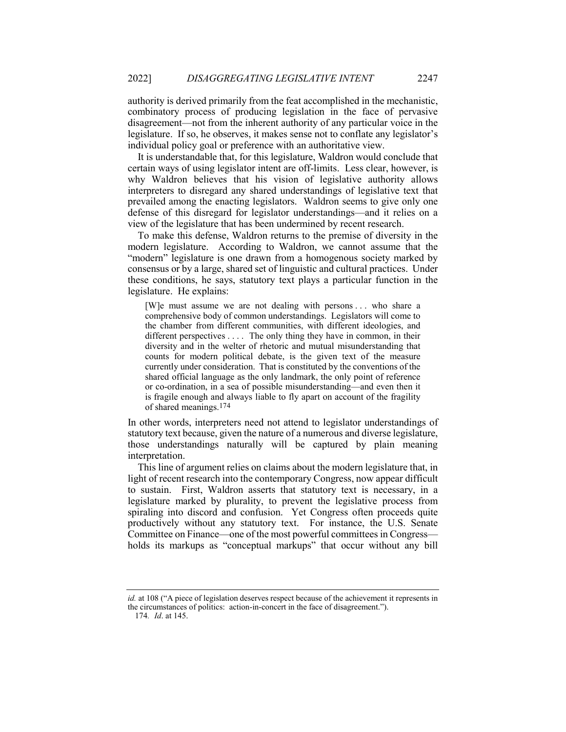authority is derived primarily from the feat accomplished in the mechanistic, combinatory process of producing legislation in the face of pervasive disagreement—not from the inherent authority of any particular voice in the legislature. If so, he observes, it makes sense not to conflate any legislator's individual policy goal or preference with an authoritative view.

It is understandable that, for this legislature, Waldron would conclude that certain ways of using legislator intent are off-limits. Less clear, however, is why Waldron believes that his vision of legislative authority allows interpreters to disregard any shared understandings of legislative text that prevailed among the enacting legislators. Waldron seems to give only one defense of this disregard for legislator understandings—and it relies on a view of the legislature that has been undermined by recent research.

To make this defense, Waldron returns to the premise of diversity in the modern legislature. According to Waldron, we cannot assume that the "modern" legislature is one drawn from a homogenous society marked by consensus or by a large, shared set of linguistic and cultural practices. Under these conditions, he says, statutory text plays a particular function in the legislature. He explains:

[W]e must assume we are not dealing with persons . . . who share a comprehensive body of common understandings. Legislators will come to the chamber from different communities, with different ideologies, and different perspectives . . . . The only thing they have in common, in their diversity and in the welter of rhetoric and mutual misunderstanding that counts for modern political debate, is the given text of the measure currently under consideration. That is constituted by the conventions of the shared official language as the only landmark, the only point of reference or co-ordination, in a sea of possible misunderstanding—and even then it is fragile enough and always liable to fly apart on account of the fragility of shared meanings.174

In other words, interpreters need not attend to legislator understandings of statutory text because, given the nature of a numerous and diverse legislature, those understandings naturally will be captured by plain meaning interpretation.

This line of argument relies on claims about the modern legislature that, in light of recent research into the contemporary Congress, now appear difficult to sustain. First, Waldron asserts that statutory text is necessary, in a legislature marked by plurality, to prevent the legislative process from spiraling into discord and confusion. Yet Congress often proceeds quite productively without any statutory text. For instance, the U.S. Senate Committee on Finance—one of the most powerful committees in Congress holds its markups as "conceptual markups" that occur without any bill

174*. Id*. at 145.

*id.* at 108 ("A piece of legislation deserves respect because of the achievement it represents in the circumstances of politics: action-in-concert in the face of disagreement.").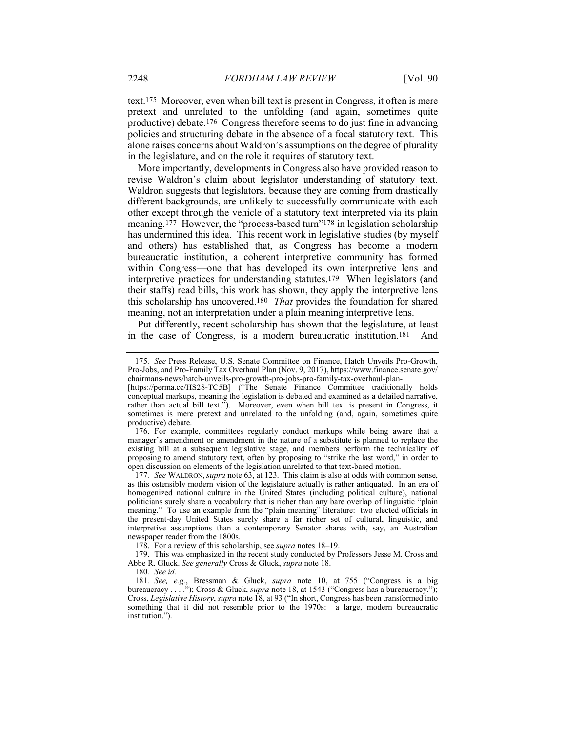text.175 Moreover, even when bill text is present in Congress, it often is mere pretext and unrelated to the unfolding (and again, sometimes quite productive) debate.176 Congress therefore seems to do just fine in advancing policies and structuring debate in the absence of a focal statutory text. This alone raises concerns about Waldron's assumptions on the degree of plurality in the legislature, and on the role it requires of statutory text.

More importantly, developments in Congress also have provided reason to revise Waldron's claim about legislator understanding of statutory text. Waldron suggests that legislators, because they are coming from drastically different backgrounds, are unlikely to successfully communicate with each other except through the vehicle of a statutory text interpreted via its plain meaning.<sup>177</sup> However, the "process-based turn"<sup>178</sup> in legislation scholarship has undermined this idea. This recent work in legislative studies (by myself and others) has established that, as Congress has become a modern bureaucratic institution, a coherent interpretive community has formed within Congress—one that has developed its own interpretive lens and interpretive practices for understanding statutes.179 When legislators (and their staffs) read bills, this work has shown, they apply the interpretive lens this scholarship has uncovered.180 *That* provides the foundation for shared meaning, not an interpretation under a plain meaning interpretive lens.

Put differently, recent scholarship has shown that the legislature, at least in the case of Congress, is a modern bureaucratic institution.181 And

178. For a review of this scholarship, see *supra* notes 18–19.

179. This was emphasized in the recent study conducted by Professors Jesse M. Cross and Abbe R. Gluck. *See generally* Cross & Gluck, *supra* note 18.

180*. See id.*

<sup>175</sup>*. See* Press Release, U.S. Senate Committee on Finance, Hatch Unveils Pro-Growth, Pro-Jobs, and Pro-Family Tax Overhaul Plan (Nov. 9, 2017), https://www.finance.senate.gov/ chairmans-news/hatch-unveils-pro-growth-pro-jobs-pro-family-tax-overhaul-plan-

<sup>[</sup>https://perma.cc/HS28-TC5B] ("The Senate Finance Committee traditionally holds conceptual markups, meaning the legislation is debated and examined as a detailed narrative, rather than actual bill text."). Moreover, even when bill text is present in Congress, it sometimes is mere pretext and unrelated to the unfolding (and, again, sometimes quite productive) debate.

<sup>176.</sup> For example, committees regularly conduct markups while being aware that a manager's amendment or amendment in the nature of a substitute is planned to replace the existing bill at a subsequent legislative stage, and members perform the technicality of proposing to amend statutory text, often by proposing to "strike the last word," in order to open discussion on elements of the legislation unrelated to that text-based motion.

<sup>177</sup>*. See* WALDRON, *supra* note 63, at 123. This claim is also at odds with common sense, as this ostensibly modern vision of the legislature actually is rather antiquated. In an era of homogenized national culture in the United States (including political culture), national politicians surely share a vocabulary that is richer than any bare overlap of linguistic "plain meaning." To use an example from the "plain meaning" literature: two elected officials in the present-day United States surely share a far richer set of cultural, linguistic, and interpretive assumptions than a contemporary Senator shares with, say, an Australian newspaper reader from the 1800s.

<sup>181</sup>*. See, e.g.*, Bressman & Gluck, *supra* note 10, at 755 ("Congress is a big bureaucracy . . . ."); Cross & Gluck, *supra* note 18, at 1543 ("Congress has a bureaucracy."); Cross, *Legislative History*, *supra* note 18, at 93 ("In short, Congress has been transformed into something that it did not resemble prior to the 1970s: a large, modern bureaucratic institution.").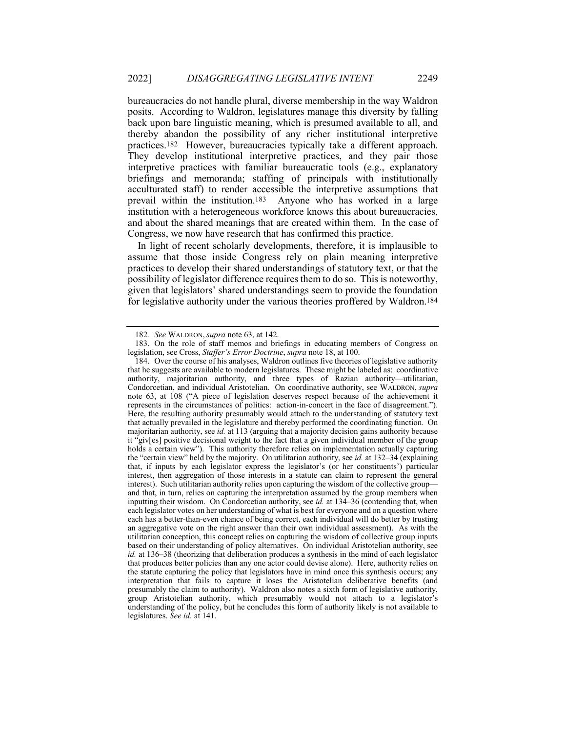bureaucracies do not handle plural, diverse membership in the way Waldron posits. According to Waldron, legislatures manage this diversity by falling back upon bare linguistic meaning, which is presumed available to all, and thereby abandon the possibility of any richer institutional interpretive practices.182 However, bureaucracies typically take a different approach. They develop institutional interpretive practices, and they pair those interpretive practices with familiar bureaucratic tools (e.g., explanatory briefings and memoranda; staffing of principals with institutionally acculturated staff) to render accessible the interpretive assumptions that prevail within the institution.183 Anyone who has worked in a large institution with a heterogeneous workforce knows this about bureaucracies, and about the shared meanings that are created within them. In the case of Congress, we now have research that has confirmed this practice.

In light of recent scholarly developments, therefore, it is implausible to assume that those inside Congress rely on plain meaning interpretive practices to develop their shared understandings of statutory text, or that the possibility of legislator difference requires them to do so. This is noteworthy, given that legislators' shared understandings seem to provide the foundation for legislative authority under the various theories proffered by Waldron.184

<sup>182</sup>*. See* WALDRON, *supra* note 63, at 142.

<sup>183.</sup> On the role of staff memos and briefings in educating members of Congress on legislation, see Cross, *Staffer's Error Doctrine*, *supra* note 18, at 100.

<sup>184.</sup> Over the course of his analyses, Waldron outlines five theories of legislative authority that he suggests are available to modern legislatures. These might be labeled as: coordinative authority, majoritarian authority, and three types of Razian authority—utilitarian, Condorcetian, and individual Aristotelian. On coordinative authority, see WALDRON, *supra* note 63, at 108 ("A piece of legislation deserves respect because of the achievement it represents in the circumstances of politics: action-in-concert in the face of disagreement."). Here, the resulting authority presumably would attach to the understanding of statutory text that actually prevailed in the legislature and thereby performed the coordinating function. On majoritarian authority, see *id.* at 113 (arguing that a majority decision gains authority because it "giv[es] positive decisional weight to the fact that a given individual member of the group holds a certain view"). This authority therefore relies on implementation actually capturing the "certain view" held by the majority. On utilitarian authority, see *id.* at 132–34 (explaining that, if inputs by each legislator express the legislator's (or her constituents') particular interest, then aggregation of those interests in a statute can claim to represent the general interest). Such utilitarian authority relies upon capturing the wisdom of the collective group and that, in turn, relies on capturing the interpretation assumed by the group members when inputting their wisdom. On Condorcetian authority, see *id.* at 134–36 (contending that, when each legislator votes on her understanding of what is best for everyone and on a question where each has a better-than-even chance of being correct, each individual will do better by trusting an aggregative vote on the right answer than their own individual assessment). As with the utilitarian conception, this concept relies on capturing the wisdom of collective group inputs based on their understanding of policy alternatives. On individual Aristotelian authority, see *id.* at 136–38 (theorizing that deliberation produces a synthesis in the mind of each legislator that produces better policies than any one actor could devise alone). Here, authority relies on the statute capturing the policy that legislators have in mind once this synthesis occurs; any interpretation that fails to capture it loses the Aristotelian deliberative benefits (and presumably the claim to authority). Waldron also notes a sixth form of legislative authority, group Aristotelian authority, which presumably would not attach to a legislator's understanding of the policy, but he concludes this form of authority likely is not available to legislatures. *See id.* at 141.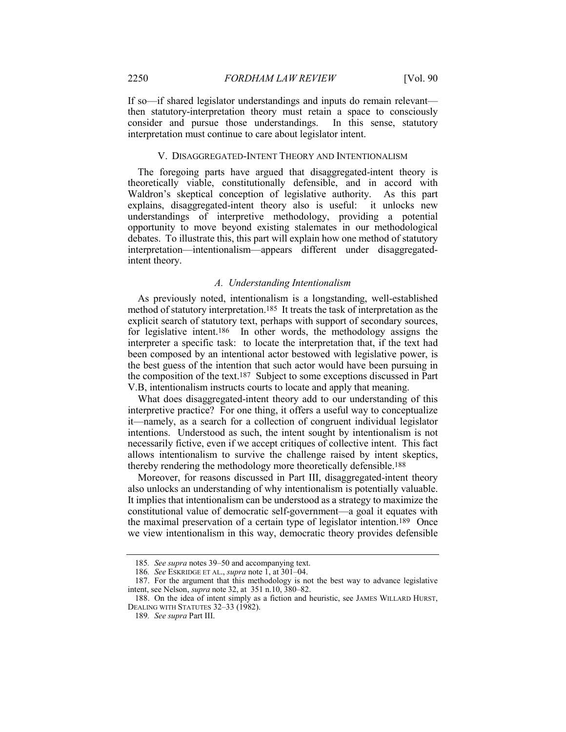If so—if shared legislator understandings and inputs do remain relevant then statutory-interpretation theory must retain a space to consciously consider and pursue those understandings. In this sense, statutory interpretation must continue to care about legislator intent.

#### V. DISAGGREGATED-INTENT THEORY AND INTENTIONALISM

The foregoing parts have argued that disaggregated-intent theory is theoretically viable, constitutionally defensible, and in accord with Waldron's skeptical conception of legislative authority. As this part explains, disaggregated-intent theory also is useful: it unlocks new understandings of interpretive methodology, providing a potential opportunity to move beyond existing stalemates in our methodological debates. To illustrate this, this part will explain how one method of statutory interpretation—intentionalism—appears different under disaggregatedintent theory.

## *A. Understanding Intentionalism*

As previously noted, intentionalism is a longstanding, well-established method of statutory interpretation.185 It treats the task of interpretation as the explicit search of statutory text, perhaps with support of secondary sources, for legislative intent.186 In other words, the methodology assigns the interpreter a specific task: to locate the interpretation that, if the text had been composed by an intentional actor bestowed with legislative power, is the best guess of the intention that such actor would have been pursuing in the composition of the text.187 Subject to some exceptions discussed in Part V.B, intentionalism instructs courts to locate and apply that meaning.

What does disaggregated-intent theory add to our understanding of this interpretive practice? For one thing, it offers a useful way to conceptualize it—namely, as a search for a collection of congruent individual legislator intentions. Understood as such, the intent sought by intentionalism is not necessarily fictive, even if we accept critiques of collective intent. This fact allows intentionalism to survive the challenge raised by intent skeptics, thereby rendering the methodology more theoretically defensible.188

Moreover, for reasons discussed in Part III, disaggregated-intent theory also unlocks an understanding of why intentionalism is potentially valuable. It implies that intentionalism can be understood as a strategy to maximize the constitutional value of democratic self-government—a goal it equates with the maximal preservation of a certain type of legislator intention.189 Once we view intentionalism in this way, democratic theory provides defensible

<sup>185</sup>*. See supra* notes 39–50 and accompanying text.

<sup>186</sup>*. See* ESKRIDGE ET AL., *supra* note 1, at 301–04.

<sup>187.</sup> For the argument that this methodology is not the best way to advance legislative intent, see Nelson, *supra* note 32, at 351 n.10, 380–82.

<sup>188.</sup> On the idea of intent simply as a fiction and heuristic, see JAMES WILLARD HURST, DEALING WITH STATUTES 32–33 (1982).

<sup>189</sup>*. See supra* Part III.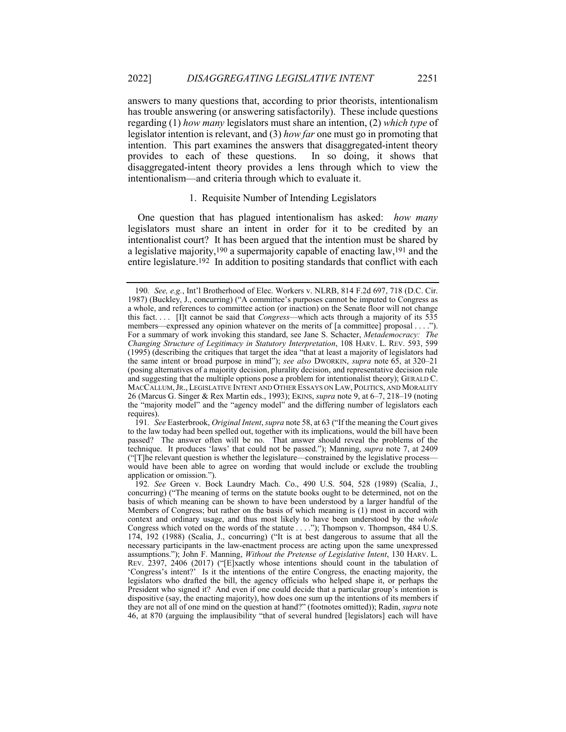answers to many questions that, according to prior theorists, intentionalism has trouble answering (or answering satisfactorily). These include questions regarding (1) *how many* legislators must share an intention, (2) *which type* of legislator intention is relevant, and (3) *how far* one must go in promoting that intention. This part examines the answers that disaggregated-intent theory provides to each of these questions. In so doing, it shows that disaggregated-intent theory provides a lens through which to view the intentionalism—and criteria through which to evaluate it.

## 1. Requisite Number of Intending Legislators

One question that has plagued intentionalism has asked: *how many* legislators must share an intent in order for it to be credited by an intentionalist court? It has been argued that the intention must be shared by a legislative majority,190 a supermajority capable of enacting law,191 and the entire legislature.<sup>192</sup> In addition to positing standards that conflict with each

<sup>190</sup>*. See, e.g.*, Int'l Brotherhood of Elec. Workers v. NLRB, 814 F.2d 697, 718 (D.C. Cir. 1987) (Buckley, J., concurring) ("A committee's purposes cannot be imputed to Congress as a whole, and references to committee action (or inaction) on the Senate floor will not change this fact. . . . [I]t cannot be said that *Congress*—which acts through a majority of its 535 members—expressed any opinion whatever on the merits of [a committee] proposal . . . ."). For a summary of work invoking this standard, see Jane S. Schacter, *Metademocracy: The Changing Structure of Legitimacy in Statutory Interpretation*, 108 HARV. L. REV. 593, 599 (1995) (describing the critiques that target the idea "that at least a majority of legislators had the same intent or broad purpose in mind"); *see also* DWORKIN, *supra* note 65, at 320–21 (posing alternatives of a majority decision, plurality decision, and representative decision rule and suggesting that the multiple options pose a problem for intentionalist theory); GERALD C. MACCALLUM,JR., LEGISLATIVE INTENT AND OTHER ESSAYS ON LAW, POLITICS, AND MORALITY 26 (Marcus G. Singer & Rex Martin eds., 1993); EKINS, *supra* note 9, at 6–7, 218–19 (noting the "majority model" and the "agency model" and the differing number of legislators each requires).

<sup>191</sup>*. See* Easterbrook, *Original Intent*, *supra* note 58, at 63 ("If the meaning the Court gives to the law today had been spelled out, together with its implications, would the bill have been passed? The answer often will be no. That answer should reveal the problems of the technique. It produces 'laws' that could not be passed."); Manning, *supra* note 7, at 2409 ("[T]he relevant question is whether the legislature—constrained by the legislative process would have been able to agree on wording that would include or exclude the troubling application or omission.").

<sup>192</sup>*. See* Green v. Bock Laundry Mach. Co., 490 U.S. 504, 528 (1989) (Scalia, J., concurring) ("The meaning of terms on the statute books ought to be determined, not on the basis of which meaning can be shown to have been understood by a larger handful of the Members of Congress; but rather on the basis of which meaning is (1) most in accord with context and ordinary usage, and thus most likely to have been understood by the *whole* Congress which voted on the words of the statute . . . ."); Thompson v. Thompson, 484 U.S. 174, 192 (1988) (Scalia, J., concurring) ("It is at best dangerous to assume that all the necessary participants in the law-enactment process are acting upon the same unexpressed assumptions."); John F. Manning, *Without the Pretense of Legislative Intent*, 130 HARV. L. REV. 2397, 2406 (2017) ("[E]xactly whose intentions should count in the tabulation of 'Congress's intent?' Is it the intentions of the entire Congress, the enacting majority, the legislators who drafted the bill, the agency officials who helped shape it, or perhaps the President who signed it? And even if one could decide that a particular group's intention is dispositive (say, the enacting majority), how does one sum up the intentions of its members if they are not all of one mind on the question at hand?" (footnotes omitted)); Radin, *supra* note 46, at 870 (arguing the implausibility "that of several hundred [legislators] each will have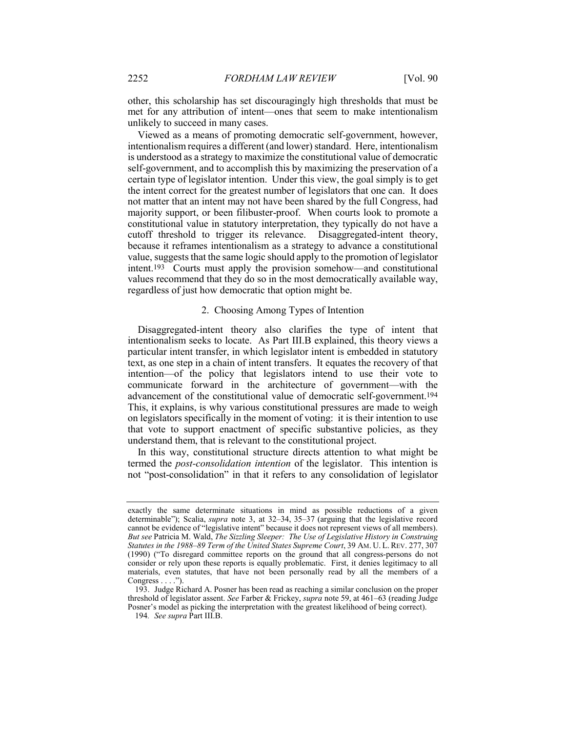other, this scholarship has set discouragingly high thresholds that must be met for any attribution of intent—ones that seem to make intentionalism unlikely to succeed in many cases.

Viewed as a means of promoting democratic self-government, however, intentionalism requires a different (and lower) standard. Here, intentionalism is understood as a strategy to maximize the constitutional value of democratic self-government, and to accomplish this by maximizing the preservation of a certain type of legislator intention. Under this view, the goal simply is to get the intent correct for the greatest number of legislators that one can. It does not matter that an intent may not have been shared by the full Congress, had majority support, or been filibuster-proof. When courts look to promote a constitutional value in statutory interpretation, they typically do not have a cutoff threshold to trigger its relevance. Disaggregated-intent theory, because it reframes intentionalism as a strategy to advance a constitutional value, suggests that the same logic should apply to the promotion of legislator intent.193 Courts must apply the provision somehow—and constitutional values recommend that they do so in the most democratically available way, regardless of just how democratic that option might be.

## 2. Choosing Among Types of Intention

Disaggregated-intent theory also clarifies the type of intent that intentionalism seeks to locate. As Part III.B explained, this theory views a particular intent transfer, in which legislator intent is embedded in statutory text, as one step in a chain of intent transfers. It equates the recovery of that intention—of the policy that legislators intend to use their vote to communicate forward in the architecture of government—with the advancement of the constitutional value of democratic self-government.194 This, it explains, is why various constitutional pressures are made to weigh on legislators specifically in the moment of voting: it is their intention to use that vote to support enactment of specific substantive policies, as they understand them, that is relevant to the constitutional project.

In this way, constitutional structure directs attention to what might be termed the *post-consolidation intention* of the legislator. This intention is not "post-consolidation" in that it refers to any consolidation of legislator

exactly the same determinate situations in mind as possible reductions of a given determinable"); Scalia, *supra* note 3, at 32–34, 35–37 (arguing that the legislative record cannot be evidence of "legislative intent" because it does not represent views of all members). *But see* Patricia M. Wald, *The Sizzling Sleeper: The Use of Legislative History in Construing Statutes in the 1988–89 Term of the United States Supreme Court*, 39 AM. U. L. REV. 277, 307 (1990) ("To disregard committee reports on the ground that all congress-persons do not consider or rely upon these reports is equally problematic. First, it denies legitimacy to all materials, even statutes, that have not been personally read by all the members of a Congress . . . .")

<sup>193.</sup> Judge Richard A. Posner has been read as reaching a similar conclusion on the proper threshold of legislator assent. *See* Farber & Frickey, *supra* note 59, at 461–63 (reading Judge Posner's model as picking the interpretation with the greatest likelihood of being correct).

<sup>194</sup>*. See supra* Part III.B.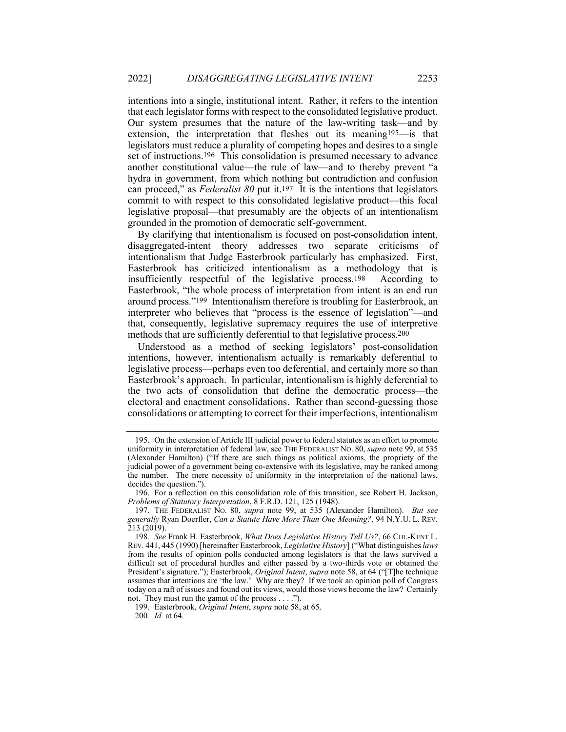intentions into a single, institutional intent. Rather, it refers to the intention that each legislator forms with respect to the consolidated legislative product. Our system presumes that the nature of the law-writing task—and by extension, the interpretation that fleshes out its meaning195—is that legislators must reduce a plurality of competing hopes and desires to a single set of instructions.196 This consolidation is presumed necessary to advance another constitutional value—the rule of law—and to thereby prevent "a hydra in government, from which nothing but contradiction and confusion can proceed," as *Federalist 80* put it.197 It is the intentions that legislators commit to with respect to this consolidated legislative product—this focal legislative proposal—that presumably are the objects of an intentionalism grounded in the promotion of democratic self-government.

By clarifying that intentionalism is focused on post-consolidation intent, disaggregated-intent theory addresses two separate criticisms of intentionalism that Judge Easterbrook particularly has emphasized. First, Easterbrook has criticized intentionalism as a methodology that is insufficiently respectful of the legislative process.198 According to Easterbrook, "the whole process of interpretation from intent is an end run around process."199 Intentionalism therefore is troubling for Easterbrook, an interpreter who believes that "process is the essence of legislation"—and that, consequently, legislative supremacy requires the use of interpretive methods that are sufficiently deferential to that legislative process.200

Understood as a method of seeking legislators' post-consolidation intentions, however, intentionalism actually is remarkably deferential to legislative process—perhaps even too deferential, and certainly more so than Easterbrook's approach. In particular, intentionalism is highly deferential to the two acts of consolidation that define the democratic process—the electoral and enactment consolidations. Rather than second-guessing those consolidations or attempting to correct for their imperfections, intentionalism

199. Easterbrook, *Original Intent*, *supra* note 58, at 65.

200*. Id.* at 64.

<sup>195.</sup> On the extension of Article III judicial power to federal statutes as an effort to promote uniformity in interpretation of federal law, see THE FEDERALIST NO. 80, *supra* note 99, at 535 (Alexander Hamilton) ("If there are such things as political axioms, the propriety of the judicial power of a government being co-extensive with its legislative, may be ranked among the number. The mere necessity of uniformity in the interpretation of the national laws, decides the question.").

<sup>196.</sup> For a reflection on this consolidation role of this transition, see Robert H. Jackson, *Problems of Statutory Interpretation*, 8 F.R.D. 121, 125 (1948).

<sup>197.</sup> THE FEDERALIST NO. 80, *supra* note 99, at 535 (Alexander Hamilton). *But see generally* Ryan Doerfler, *Can a Statute Have More Than One Meaning?*, 94 N.Y.U. L. REV. 213 (2019).

<sup>198</sup>*. See* Frank H. Easterbrook, *What Does Legislative History Tell Us?*, 66 CHI.-KENT L. REV. 441, 445 (1990) [hereinafter Easterbrook, *Legislative History*] ("What distinguishes *laws* from the results of opinion polls conducted among legislators is that the laws survived a difficult set of procedural hurdles and either passed by a two-thirds vote or obtained the President's signature."); Easterbrook, *Original Intent*, *supra* note 58, at 64 ("[T]he technique assumes that intentions are 'the law.' Why are they? If we took an opinion poll of Congress today on a raft of issues and found out its views, would those views become the law? Certainly not. They must run the gamut of the process . . . .").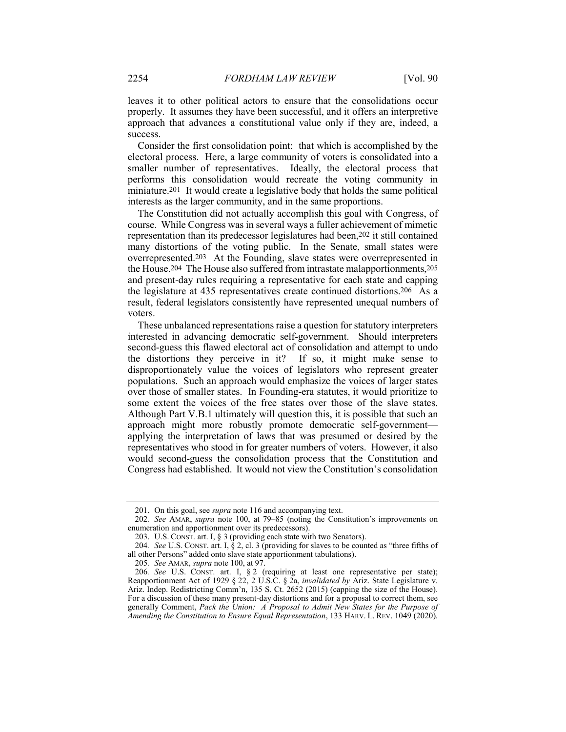leaves it to other political actors to ensure that the consolidations occur properly. It assumes they have been successful, and it offers an interpretive approach that advances a constitutional value only if they are, indeed, a success.

Consider the first consolidation point: that which is accomplished by the electoral process. Here, a large community of voters is consolidated into a smaller number of representatives. Ideally, the electoral process that performs this consolidation would recreate the voting community in miniature.201 It would create a legislative body that holds the same political interests as the larger community, and in the same proportions.

The Constitution did not actually accomplish this goal with Congress, of course. While Congress was in several ways a fuller achievement of mimetic representation than its predecessor legislatures had been,202 it still contained many distortions of the voting public. In the Senate, small states were overrepresented.203 At the Founding, slave states were overrepresented in the House.204 The House also suffered from intrastate malapportionments,205 and present-day rules requiring a representative for each state and capping the legislature at 435 representatives create continued distortions.206 As a result, federal legislators consistently have represented unequal numbers of voters.

These unbalanced representations raise a question for statutory interpreters interested in advancing democratic self-government. Should interpreters second-guess this flawed electoral act of consolidation and attempt to undo the distortions they perceive in it? If so, it might make sense to disproportionately value the voices of legislators who represent greater populations. Such an approach would emphasize the voices of larger states over those of smaller states. In Founding-era statutes, it would prioritize to some extent the voices of the free states over those of the slave states. Although Part V.B.1 ultimately will question this, it is possible that such an approach might more robustly promote democratic self-government applying the interpretation of laws that was presumed or desired by the representatives who stood in for greater numbers of voters. However, it also would second-guess the consolidation process that the Constitution and Congress had established. It would not view the Constitution's consolidation

<sup>201.</sup> On this goal, see *supra* note 116 and accompanying text.

<sup>202</sup>*. See* AMAR, *supra* note 100, at 79–85 (noting the Constitution's improvements on enumeration and apportionment over its predecessors).

<sup>203.</sup> U.S. CONST. art. I, § 3 (providing each state with two Senators).

<sup>204</sup>*. See* U.S. CONST. art. I, § 2, cl. 3 (providing for slaves to be counted as "three fifths of all other Persons" added onto slave state apportionment tabulations).

<sup>205</sup>*. See* AMAR, *supra* note 100, at 97.

<sup>206</sup>*. See* U.S. CONST. art. I, § 2 (requiring at least one representative per state); Reapportionment Act of 1929 § 22, 2 U.S.C. § 2a, *invalidated by* Ariz. State Legislature v. Ariz. Indep. Redistricting Comm'n, 135 S. Ct. 2652 (2015) (capping the size of the House). For a discussion of these many present-day distortions and for a proposal to correct them, see generally Comment, *Pack the Union: A Proposal to Admit New States for the Purpose of Amending the Constitution to Ensure Equal Representation*, 133 HARV. L. REV. 1049 (2020).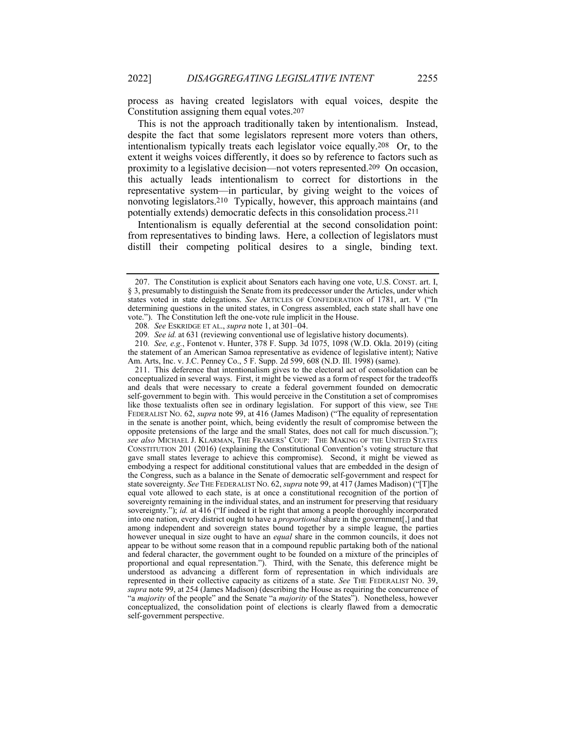process as having created legislators with equal voices, despite the Constitution assigning them equal votes.207

This is not the approach traditionally taken by intentionalism. Instead, despite the fact that some legislators represent more voters than others, intentionalism typically treats each legislator voice equally.208 Or, to the extent it weighs voices differently, it does so by reference to factors such as proximity to a legislative decision—not voters represented.209 On occasion, this actually leads intentionalism to correct for distortions in the representative system—in particular, by giving weight to the voices of nonvoting legislators.210 Typically, however, this approach maintains (and potentially extends) democratic defects in this consolidation process.211

Intentionalism is equally deferential at the second consolidation point: from representatives to binding laws. Here, a collection of legislators must distill their competing political desires to a single, binding text.

211. This deference that intentionalism gives to the electoral act of consolidation can be conceptualized in several ways. First, it might be viewed as a form of respect for the tradeoffs and deals that were necessary to create a federal government founded on democratic self-government to begin with. This would perceive in the Constitution a set of compromises like those textualists often see in ordinary legislation. For support of this view, see THE FEDERALIST NO. 62, *supra* note 99, at 416 (James Madison) ("The equality of representation in the senate is another point, which, being evidently the result of compromise between the opposite pretensions of the large and the small States, does not call for much discussion."); *see also* MICHAEL J. KLARMAN, THE FRAMERS' COUP: THE MAKING OF THE UNITED STATES CONSTITUTION 201 (2016) (explaining the Constitutional Convention's voting structure that gave small states leverage to achieve this compromise). Second, it might be viewed as embodying a respect for additional constitutional values that are embedded in the design of the Congress, such as a balance in the Senate of democratic self-government and respect for state sovereignty. *See* THE FEDERALIST NO. 62, *supra* note 99, at 417 (James Madison) ("[T]he equal vote allowed to each state, is at once a constitutional recognition of the portion of sovereignty remaining in the individual states, and an instrument for preserving that residuary sovereignty."); *id.* at 416 ("If indeed it be right that among a people thoroughly incorporated into one nation, every district ought to have a *proportional* share in the government[,] and that among independent and sovereign states bound together by a simple league, the parties however unequal in size ought to have an *equal* share in the common councils, it does not appear to be without some reason that in a compound republic partaking both of the national and federal character, the government ought to be founded on a mixture of the principles of proportional and equal representation.").Third, with the Senate, this deference might be understood as advancing a different form of representation in which individuals are represented in their collective capacity as citizens of a state. *See* THE FEDERALIST NO. 39, *supra* note 99, at 254 (James Madison) (describing the House as requiring the concurrence of "a *majority* of the people" and the Senate "a *majority* of the States"). Nonetheless, however conceptualized, the consolidation point of elections is clearly flawed from a democratic self-government perspective.

<sup>207.</sup> The Constitution is explicit about Senators each having one vote, U.S. CONST. art. I, § 3, presumably to distinguish the Senate from its predecessor under the Articles, under which states voted in state delegations. *See* ARTICLES OF CONFEDERATION of 1781, art. V ("In determining questions in the united states, in Congress assembled, each state shall have one vote."). The Constitution left the one-vote rule implicit in the House.

<sup>208</sup>*. See* ESKRIDGE ET AL., *supra* note 1, at 301–04.

<sup>209</sup>*. See id.* at 631 (reviewing conventional use of legislative history documents).

<sup>210</sup>*. See, e.g.*, Fontenot v. Hunter, 378 F. Supp. 3d 1075, 1098 (W.D. Okla. 2019) (citing the statement of an American Samoa representative as evidence of legislative intent); Native Am. Arts, Inc. v. J.C. Penney Co., 5 F. Supp. 2d 599, 608 (N.D. Ill. 1998) (same).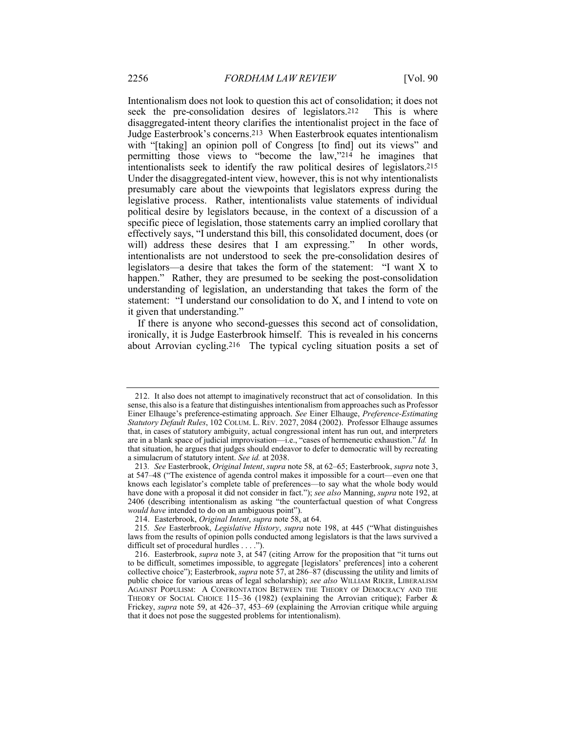Intentionalism does not look to question this act of consolidation; it does not seek the pre-consolidation desires of legislators.212 This is where disaggregated-intent theory clarifies the intentionalist project in the face of Judge Easterbrook's concerns.213 When Easterbrook equates intentionalism with "[taking] an opinion poll of Congress [to find] out its views" and permitting those views to "become the law,"214 he imagines that intentionalists seek to identify the raw political desires of legislators.215 Under the disaggregated-intent view, however, this is not why intentionalists presumably care about the viewpoints that legislators express during the legislative process. Rather, intentionalists value statements of individual political desire by legislators because, in the context of a discussion of a specific piece of legislation, those statements carry an implied corollary that effectively says, "I understand this bill, this consolidated document, does (or will) address these desires that I am expressing." In other words, intentionalists are not understood to seek the pre-consolidation desires of legislators—a desire that takes the form of the statement: "I want X to happen." Rather, they are presumed to be seeking the post-consolidation understanding of legislation, an understanding that takes the form of the statement: "I understand our consolidation to do X, and I intend to vote on it given that understanding."

If there is anyone who second-guesses this second act of consolidation, ironically, it is Judge Easterbrook himself. This is revealed in his concerns about Arrovian cycling.216 The typical cycling situation posits a set of

<sup>212.</sup> It also does not attempt to imaginatively reconstruct that act of consolidation. In this sense, this also is a feature that distinguishes intentionalism from approaches such as Professor Einer Elhauge's preference-estimating approach. *See* Einer Elhauge, *Preference-Estimating Statutory Default Rules*, 102 COLUM. L. REV. 2027, 2084 (2002). Professor Elhauge assumes that, in cases of statutory ambiguity, actual congressional intent has run out, and interpreters are in a blank space of judicial improvisation—i.e., "cases of hermeneutic exhaustion." *Id.* In that situation, he argues that judges should endeavor to defer to democratic will by recreating a simulacrum of statutory intent. *See id.* at 2038.

<sup>213</sup>*. See* Easterbrook, *Original Intent*, *supra* note 58, at 62–65; Easterbrook, *supra* note 3, at 547–48 ("The existence of agenda control makes it impossible for a court—even one that knows each legislator's complete table of preferences—to say what the whole body would have done with a proposal it did not consider in fact."); *see also* Manning, *supra* note 192, at 2406 (describing intentionalism as asking "the counterfactual question of what Congress *would have* intended to do on an ambiguous point").

<sup>214.</sup> Easterbrook, *Original Intent*, *supra* note 58, at 64.

<sup>215</sup>*. See* Easterbrook, *Legislative History*, *supra* note 198, at 445 ("What distinguishes laws from the results of opinion polls conducted among legislators is that the laws survived a difficult set of procedural hurdles . . . .").

<sup>216.</sup> Easterbrook, *supra* note 3, at 547 (citing Arrow for the proposition that "it turns out to be difficult, sometimes impossible, to aggregate [legislators' preferences] into a coherent collective choice"); Easterbrook, *supra* note 57, at 286–87 (discussing the utility and limits of public choice for various areas of legal scholarship); *see also* WILLIAM RIKER, LIBERALISM AGAINST POPULISM: A CONFRONTATION BETWEEN THE THEORY OF DEMOCRACY AND THE THEORY OF SOCIAL CHOICE 115–36 (1982) (explaining the Arrovian critique); Farber & Frickey, *supra* note 59, at 426–37, 453–69 (explaining the Arrovian critique while arguing that it does not pose the suggested problems for intentionalism).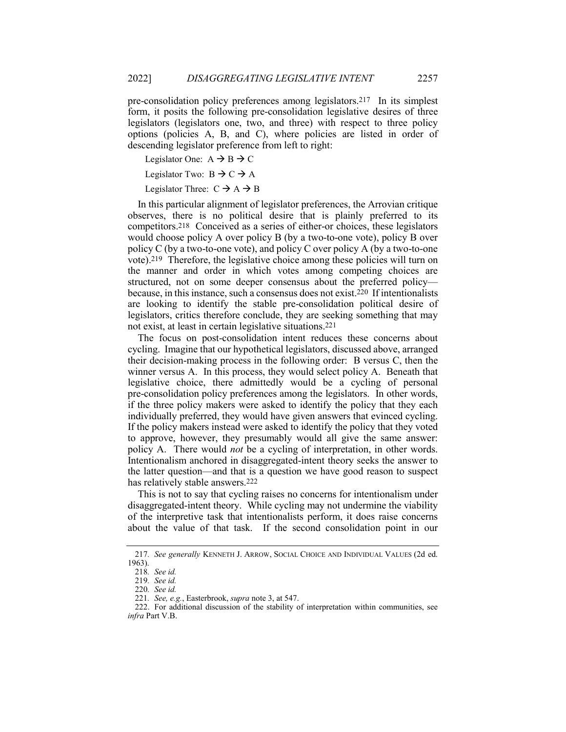pre-consolidation policy preferences among legislators.217 In its simplest form, it posits the following pre-consolidation legislative desires of three legislators (legislators one, two, and three) with respect to three policy options (policies A, B, and C), where policies are listed in order of descending legislator preference from left to right:

Legislator One:  $A \rightarrow B \rightarrow C$ 

Legislator Two:  $B \rightarrow C \rightarrow A$ 

Legislator Three:  $C \rightarrow A \rightarrow B$ 

In this particular alignment of legislator preferences, the Arrovian critique observes, there is no political desire that is plainly preferred to its competitors.218 Conceived as a series of either-or choices, these legislators would choose policy A over policy B (by a two-to-one vote), policy B over policy C (by a two-to-one vote), and policy C over policy A (by a two-to-one vote).219 Therefore, the legislative choice among these policies will turn on the manner and order in which votes among competing choices are structured, not on some deeper consensus about the preferred policy because, in this instance, such a consensus does not exist.220 If intentionalists are looking to identify the stable pre-consolidation political desire of legislators, critics therefore conclude, they are seeking something that may not exist, at least in certain legislative situations.221

The focus on post-consolidation intent reduces these concerns about cycling. Imagine that our hypothetical legislators, discussed above, arranged their decision-making process in the following order: B versus C, then the winner versus A. In this process, they would select policy A. Beneath that legislative choice, there admittedly would be a cycling of personal pre-consolidation policy preferences among the legislators. In other words, if the three policy makers were asked to identify the policy that they each individually preferred, they would have given answers that evinced cycling. If the policy makers instead were asked to identify the policy that they voted to approve, however, they presumably would all give the same answer: policy A. There would *not* be a cycling of interpretation, in other words. Intentionalism anchored in disaggregated-intent theory seeks the answer to the latter question—and that is a question we have good reason to suspect has relatively stable answers.222

This is not to say that cycling raises no concerns for intentionalism under disaggregated-intent theory. While cycling may not undermine the viability of the interpretive task that intentionalists perform, it does raise concerns about the value of that task. If the second consolidation point in our

<sup>217</sup>*. See generally* KENNETH J. ARROW, SOCIAL CHOICE AND INDIVIDUAL VALUES (2d ed. 1963).

<sup>218</sup>*. See id.*

<sup>219</sup>*. See id.*

<sup>220</sup>*. See id.*

<sup>221</sup>*. See, e.g.*, Easterbrook, *supra* note 3, at 547.

<sup>222.</sup> For additional discussion of the stability of interpretation within communities, see *infra* Part V.B.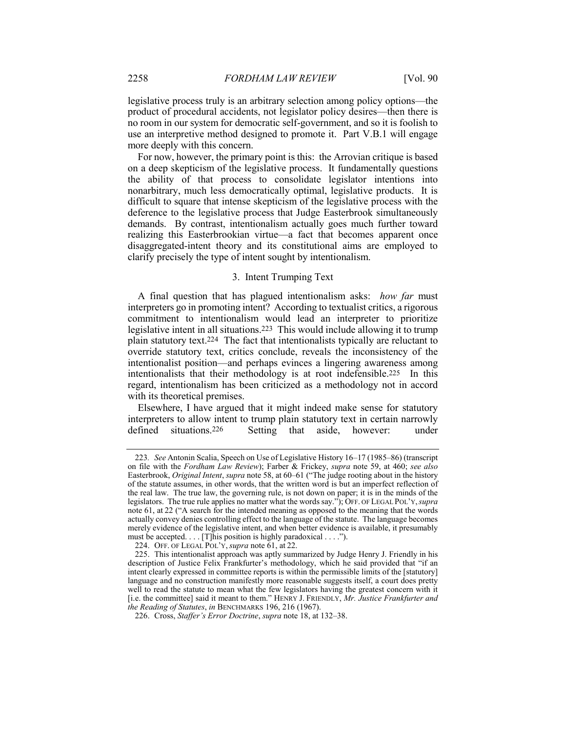legislative process truly is an arbitrary selection among policy options—the product of procedural accidents, not legislator policy desires—then there is no room in our system for democratic self-government, and so it is foolish to use an interpretive method designed to promote it. Part V.B.1 will engage more deeply with this concern.

For now, however, the primary point is this: the Arrovian critique is based on a deep skepticism of the legislative process. It fundamentally questions the ability of that process to consolidate legislator intentions into nonarbitrary, much less democratically optimal, legislative products. It is difficult to square that intense skepticism of the legislative process with the deference to the legislative process that Judge Easterbrook simultaneously demands. By contrast, intentionalism actually goes much further toward realizing this Easterbrookian virtue—a fact that becomes apparent once disaggregated-intent theory and its constitutional aims are employed to clarify precisely the type of intent sought by intentionalism.

## 3. Intent Trumping Text

A final question that has plagued intentionalism asks: *how far* must interpreters go in promoting intent? According to textualist critics, a rigorous commitment to intentionalism would lead an interpreter to prioritize legislative intent in all situations.223 This would include allowing it to trump plain statutory text.224 The fact that intentionalists typically are reluctant to override statutory text, critics conclude, reveals the inconsistency of the intentionalist position—and perhaps evinces a lingering awareness among intentionalists that their methodology is at root indefensible.225 In this regard, intentionalism has been criticized as a methodology not in accord with its theoretical premises.

Elsewhere, I have argued that it might indeed make sense for statutory interpreters to allow intent to trump plain statutory text in certain narrowly defined situations.226 Setting that aside, however: under

<sup>223</sup>*. See* Antonin Scalia, Speech on Use of Legislative History 16–17 (1985–86) (transcript on file with the *Fordham Law Review*); Farber & Frickey, *supra* note 59, at 460; *see also* Easterbrook, *Original Intent*, *supra* note 58, at 60–61 ("The judge rooting about in the history of the statute assumes, in other words, that the written word is but an imperfect reflection of the real law. The true law, the governing rule, is not down on paper; it is in the minds of the legislators. The true rule applies no matter what the words say."); OFF. OF LEGAL POL'Y,*supra* note 61, at 22 ("A search for the intended meaning as opposed to the meaning that the words actually convey denies controlling effect to the language of the statute. The language becomes merely evidence of the legislative intent, and when better evidence is available, it presumably must be accepted. . . . [T]his position is highly paradoxical . . . .").

<sup>224.</sup> OFF. OF LEGAL POL'Y, *supra* note 61, at 22.

<sup>225.</sup> This intentionalist approach was aptly summarized by Judge Henry J. Friendly in his description of Justice Felix Frankfurter's methodology, which he said provided that "if an intent clearly expressed in committee reports is within the permissible limits of the [statutory] language and no construction manifestly more reasonable suggests itself, a court does pretty well to read the statute to mean what the few legislators having the greatest concern with it [i.e. the committee] said it meant to them." HENRY J. FRIENDLY, *Mr. Justice Frankfurter and the Reading of Statutes*, *in* BENCHMARKS 196, 216 (1967).

<sup>226.</sup> Cross, *Staffer's Error Doctrine*, *supra* note 18, at 132–38.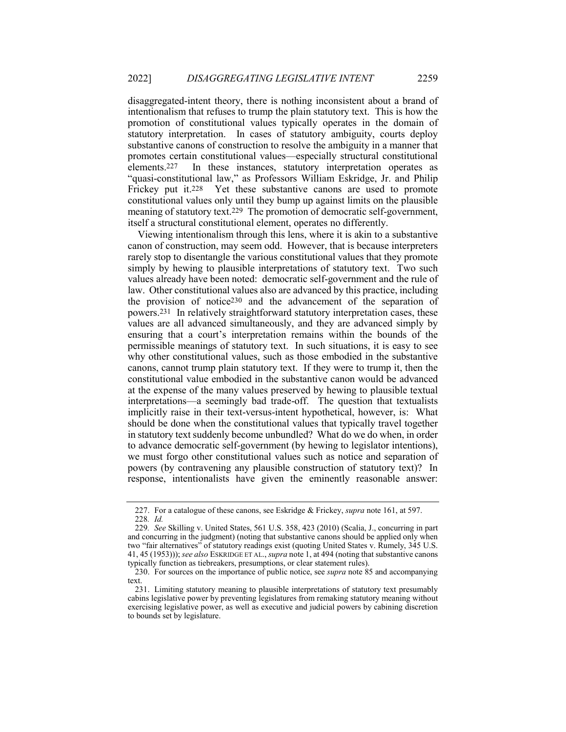disaggregated-intent theory, there is nothing inconsistent about a brand of intentionalism that refuses to trump the plain statutory text. This is how the promotion of constitutional values typically operates in the domain of statutory interpretation. In cases of statutory ambiguity, courts deploy substantive canons of construction to resolve the ambiguity in a manner that promotes certain constitutional values—especially structural constitutional elements.<sup>227</sup> In these instances, statutory interpretation operates as In these instances, statutory interpretation operates as "quasi-constitutional law," as Professors William Eskridge, Jr. and Philip Frickey put it.228 Yet these substantive canons are used to promote constitutional values only until they bump up against limits on the plausible meaning of statutory text.229 The promotion of democratic self-government, itself a structural constitutional element, operates no differently.

Viewing intentionalism through this lens, where it is akin to a substantive canon of construction, may seem odd. However, that is because interpreters rarely stop to disentangle the various constitutional values that they promote simply by hewing to plausible interpretations of statutory text. Two such values already have been noted: democratic self-government and the rule of law. Other constitutional values also are advanced by this practice, including the provision of notice230 and the advancement of the separation of powers.231 In relatively straightforward statutory interpretation cases, these values are all advanced simultaneously, and they are advanced simply by ensuring that a court's interpretation remains within the bounds of the permissible meanings of statutory text. In such situations, it is easy to see why other constitutional values, such as those embodied in the substantive canons, cannot trump plain statutory text. If they were to trump it, then the constitutional value embodied in the substantive canon would be advanced at the expense of the many values preserved by hewing to plausible textual interpretations—a seemingly bad trade-off. The question that textualists implicitly raise in their text-versus-intent hypothetical, however, is: What should be done when the constitutional values that typically travel together in statutory text suddenly become unbundled? What do we do when, in order to advance democratic self-government (by hewing to legislator intentions), we must forgo other constitutional values such as notice and separation of powers (by contravening any plausible construction of statutory text)? In response, intentionalists have given the eminently reasonable answer:

<sup>227.</sup> For a catalogue of these canons, see Eskridge & Frickey, *supra* note 161, at 597. 228*. Id.*

<sup>229</sup>*. See* Skilling v. United States, 561 U.S. 358, 423 (2010) (Scalia, J., concurring in part and concurring in the judgment) (noting that substantive canons should be applied only when two "fair alternatives" of statutory readings exist (quoting United States v. Rumely, 345 U.S. 41, 45 (1953))); *see also* ESKRIDGE ET AL., *supra* note 1, at 494 (noting that substantive canons typically function as tiebreakers, presumptions, or clear statement rules).

<sup>230.</sup> For sources on the importance of public notice, see *supra* note 85 and accompanying text.

<sup>231.</sup> Limiting statutory meaning to plausible interpretations of statutory text presumably cabins legislative power by preventing legislatures from remaking statutory meaning without exercising legislative power, as well as executive and judicial powers by cabining discretion to bounds set by legislature.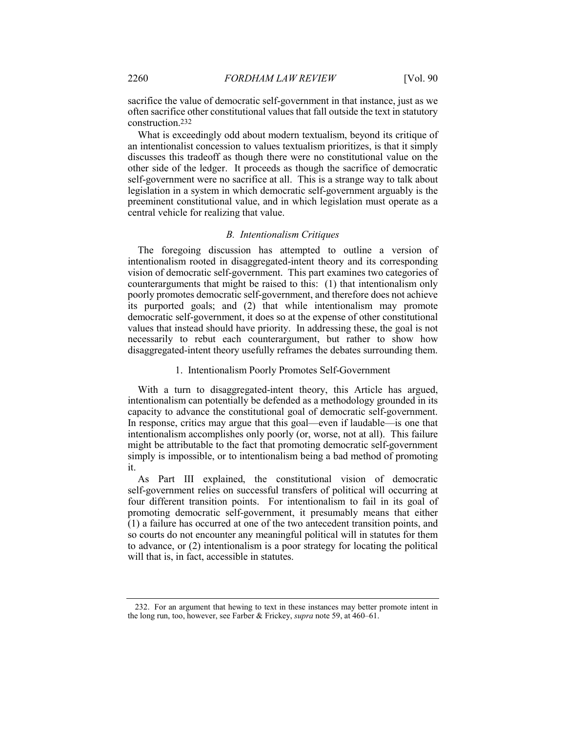sacrifice the value of democratic self-government in that instance, just as we often sacrifice other constitutional values that fall outside the text in statutory construction.232

What is exceedingly odd about modern textualism, beyond its critique of an intentionalist concession to values textualism prioritizes, is that it simply discusses this tradeoff as though there were no constitutional value on the other side of the ledger. It proceeds as though the sacrifice of democratic self-government were no sacrifice at all. This is a strange way to talk about legislation in a system in which democratic self-government arguably is the preeminent constitutional value, and in which legislation must operate as a central vehicle for realizing that value.

## *B. Intentionalism Critiques*

The foregoing discussion has attempted to outline a version of intentionalism rooted in disaggregated-intent theory and its corresponding vision of democratic self-government. This part examines two categories of counterarguments that might be raised to this: (1) that intentionalism only poorly promotes democratic self-government, and therefore does not achieve its purported goals; and (2) that while intentionalism may promote democratic self-government, it does so at the expense of other constitutional values that instead should have priority. In addressing these, the goal is not necessarily to rebut each counterargument, but rather to show how disaggregated-intent theory usefully reframes the debates surrounding them.

## 1. Intentionalism Poorly Promotes Self-Government

With a turn to disaggregated-intent theory, this Article has argued, intentionalism can potentially be defended as a methodology grounded in its capacity to advance the constitutional goal of democratic self-government. In response, critics may argue that this goal—even if laudable—is one that intentionalism accomplishes only poorly (or, worse, not at all). This failure might be attributable to the fact that promoting democratic self-government simply is impossible, or to intentionalism being a bad method of promoting it.

As Part III explained, the constitutional vision of democratic self-government relies on successful transfers of political will occurring at four different transition points. For intentionalism to fail in its goal of promoting democratic self-government, it presumably means that either (1) a failure has occurred at one of the two antecedent transition points, and so courts do not encounter any meaningful political will in statutes for them to advance, or (2) intentionalism is a poor strategy for locating the political will that is, in fact, accessible in statutes.

<sup>232.</sup> For an argument that hewing to text in these instances may better promote intent in the long run, too, however, see Farber & Frickey, *supra* note 59, at 460–61.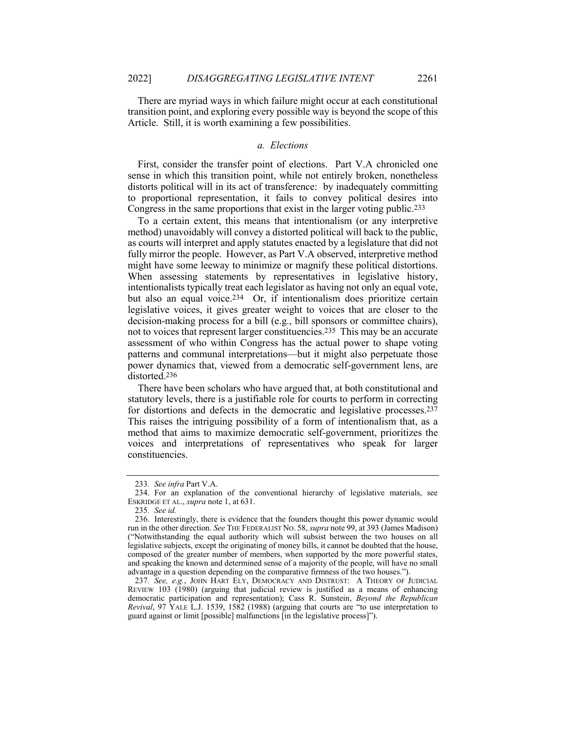There are myriad ways in which failure might occur at each constitutional transition point, and exploring every possible way is beyond the scope of this Article. Still, it is worth examining a few possibilities.

## *a. Elections*

First, consider the transfer point of elections. Part V.A chronicled one sense in which this transition point, while not entirely broken, nonetheless distorts political will in its act of transference: by inadequately committing to proportional representation, it fails to convey political desires into Congress in the same proportions that exist in the larger voting public.233

To a certain extent, this means that intentionalism (or any interpretive method) unavoidably will convey a distorted political will back to the public, as courts will interpret and apply statutes enacted by a legislature that did not fully mirror the people. However, as Part V.A observed, interpretive method might have some leeway to minimize or magnify these political distortions. When assessing statements by representatives in legislative history, intentionalists typically treat each legislator as having not only an equal vote, but also an equal voice.234 Or, if intentionalism does prioritize certain legislative voices, it gives greater weight to voices that are closer to the decision-making process for a bill (e.g., bill sponsors or committee chairs), not to voices that represent larger constituencies.235 This may be an accurate assessment of who within Congress has the actual power to shape voting patterns and communal interpretations—but it might also perpetuate those power dynamics that, viewed from a democratic self-government lens, are distorted.236

There have been scholars who have argued that, at both constitutional and statutory levels, there is a justifiable role for courts to perform in correcting for distortions and defects in the democratic and legislative processes.237 This raises the intriguing possibility of a form of intentionalism that, as a method that aims to maximize democratic self-government, prioritizes the voices and interpretations of representatives who speak for larger constituencies.

<sup>233</sup>*. See infra* Part V.A.

<sup>234.</sup> For an explanation of the conventional hierarchy of legislative materials, see ESKRIDGE ET AL., *supra* note 1, at 631.

<sup>235</sup>*. See id.*

<sup>236.</sup> Interestingly, there is evidence that the founders thought this power dynamic would run in the other direction. *See* THE FEDERALIST NO. 58, *supra* note 99, at 393 (James Madison) ("Notwithstanding the equal authority which will subsist between the two houses on all legislative subjects, except the originating of money bills, it cannot be doubted that the house, composed of the greater number of members, when supported by the more powerful states, and speaking the known and determined sense of a majority of the people, will have no small advantage in a question depending on the comparative firmness of the two houses.").

<sup>237</sup>*. See, e.g.*, JOHN HART ELY, DEMOCRACY AND DISTRUST: A THEORY OF JUDICIAL REVIEW 103 (1980) (arguing that judicial review is justified as a means of enhancing democratic participation and representation); Cass R. Sunstein, *Beyond the Republican Revival*, 97 YALE L.J. 1539, 1582 (1988) (arguing that courts are "to use interpretation to guard against or limit [possible] malfunctions [in the legislative process]").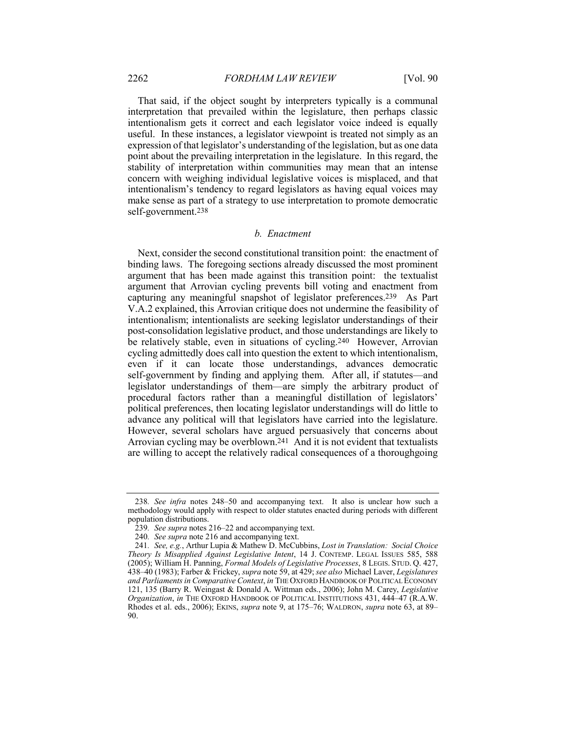That said, if the object sought by interpreters typically is a communal interpretation that prevailed within the legislature, then perhaps classic intentionalism gets it correct and each legislator voice indeed is equally useful. In these instances, a legislator viewpoint is treated not simply as an expression of that legislator's understanding of the legislation, but as one data point about the prevailing interpretation in the legislature. In this regard, the stability of interpretation within communities may mean that an intense concern with weighing individual legislative voices is misplaced, and that intentionalism's tendency to regard legislators as having equal voices may make sense as part of a strategy to use interpretation to promote democratic self-government.238

## *b. Enactment*

Next, consider the second constitutional transition point: the enactment of binding laws. The foregoing sections already discussed the most prominent argument that has been made against this transition point: the textualist argument that Arrovian cycling prevents bill voting and enactment from capturing any meaningful snapshot of legislator preferences.239 As Part V.A.2 explained, this Arrovian critique does not undermine the feasibility of intentionalism; intentionalists are seeking legislator understandings of their post-consolidation legislative product, and those understandings are likely to be relatively stable, even in situations of cycling.240 However, Arrovian cycling admittedly does call into question the extent to which intentionalism, even if it can locate those understandings, advances democratic self-government by finding and applying them. After all, if statutes—and legislator understandings of them—are simply the arbitrary product of procedural factors rather than a meaningful distillation of legislators' political preferences, then locating legislator understandings will do little to advance any political will that legislators have carried into the legislature. However, several scholars have argued persuasively that concerns about Arrovian cycling may be overblown.241 And it is not evident that textualists are willing to accept the relatively radical consequences of a thoroughgoing

<sup>238</sup>*. See infra* notes 248–50 and accompanying text. It also is unclear how such a methodology would apply with respect to older statutes enacted during periods with different population distributions.

<sup>239</sup>*. See supra* notes 216–22 and accompanying text.

<sup>240</sup>*. See supra* note 216 and accompanying text.

<sup>241</sup>*. See, e.g.*, Arthur Lupia & Mathew D. McCubbins, *Lost in Translation: Social Choice Theory Is Misapplied Against Legislative Intent*, 14 J. CONTEMP. LEGAL ISSUES 585, 588 (2005); William H. Panning, *Formal Models of Legislative Processes*, 8 LEGIS. STUD. Q. 427, 438–40 (1983); Farber & Frickey, *supra* note 59, at 429; *see also* Michael Laver, *Legislatures and Parliaments in Comparative Context*, *in* THE OXFORD HANDBOOK OF POLITICAL ECONOMY 121, 135 (Barry R. Weingast & Donald A. Wittman eds., 2006); John M. Carey, *Legislative Organization*, *in* THE OXFORD HANDBOOK OF POLITICAL INSTITUTIONS 431, 444–47 (R.A.W. Rhodes et al. eds., 2006); EKINS, *supra* note 9, at 175–76; WALDRON, *supra* note 63, at 89– 90.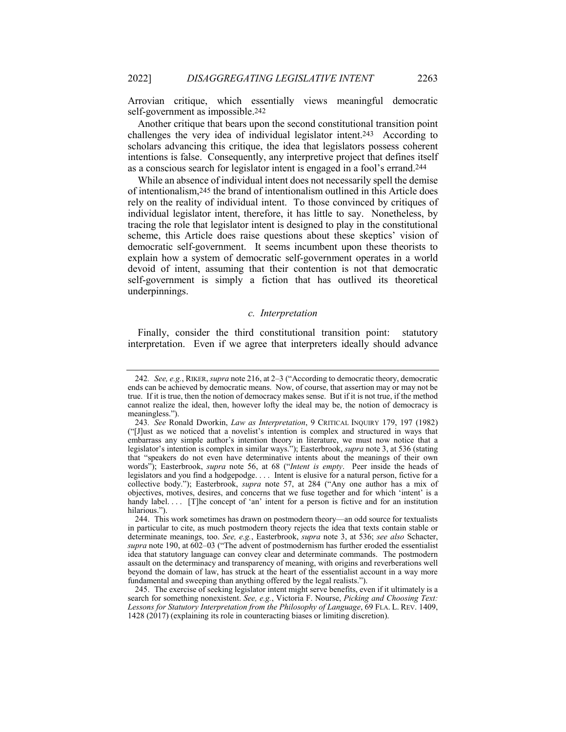Arrovian critique, which essentially views meaningful democratic self-government as impossible.242

Another critique that bears upon the second constitutional transition point challenges the very idea of individual legislator intent.243 According to scholars advancing this critique, the idea that legislators possess coherent intentions is false. Consequently, any interpretive project that defines itself as a conscious search for legislator intent is engaged in a fool's errand.244

While an absence of individual intent does not necessarily spell the demise of intentionalism,245 the brand of intentionalism outlined in this Article does rely on the reality of individual intent. To those convinced by critiques of individual legislator intent, therefore, it has little to say. Nonetheless, by tracing the role that legislator intent is designed to play in the constitutional scheme, this Article does raise questions about these skeptics' vision of democratic self-government. It seems incumbent upon these theorists to explain how a system of democratic self-government operates in a world devoid of intent, assuming that their contention is not that democratic self-government is simply a fiction that has outlived its theoretical underpinnings.

## *c. Interpretation*

Finally, consider the third constitutional transition point: statutory interpretation. Even if we agree that interpreters ideally should advance

<sup>242</sup>*. See, e.g.*, RIKER, *supra* note 216, at 2–3 ("According to democratic theory, democratic ends can be achieved by democratic means. Now, of course, that assertion may or may not be true. If it is true, then the notion of democracy makes sense. But if it is not true, if the method cannot realize the ideal, then, however lofty the ideal may be, the notion of democracy is meaningless.").

<sup>243</sup>*. See* Ronald Dworkin, *Law as Interpretation*, 9 CRITICAL INQUIRY 179, 197 (1982) ("[J]ust as we noticed that a novelist's intention is complex and structured in ways that embarrass any simple author's intention theory in literature, we must now notice that a legislator's intention is complex in similar ways."); Easterbrook, *supra* note 3, at 536 (stating that "speakers do not even have determinative intents about the meanings of their own words"); Easterbrook, *supra* note 56, at 68 ("*Intent is empty*. Peer inside the heads of legislators and you find a hodgepodge. . . . Intent is elusive for a natural person, fictive for a collective body."); Easterbrook, *supra* note 57, at 284 ("Any one author has a mix of objectives, motives, desires, and concerns that we fuse together and for which 'intent' is a handy label. . . . [T]he concept of 'an' intent for a person is fictive and for an institution hilarious.").

<sup>244.</sup> This work sometimes has drawn on postmodern theory—an odd source for textualists in particular to cite, as much postmodern theory rejects the idea that texts contain stable or determinate meanings, too. *See, e.g.*, Easterbrook, *supra* note 3, at 536; *see also* Schacter, *supra* note 190, at 602–03 ("The advent of postmodernism has further eroded the essentialist idea that statutory language can convey clear and determinate commands. The postmodern assault on the determinacy and transparency of meaning, with origins and reverberations well beyond the domain of law, has struck at the heart of the essentialist account in a way more fundamental and sweeping than anything offered by the legal realists.").

<sup>245.</sup> The exercise of seeking legislator intent might serve benefits, even if it ultimately is a search for something nonexistent. *See, e.g.*, Victoria F. Nourse, *Picking and Choosing Text: Lessons for Statutory Interpretation from the Philosophy of Language*, 69 FLA. L. REV. 1409, 1428 (2017) (explaining its role in counteracting biases or limiting discretion).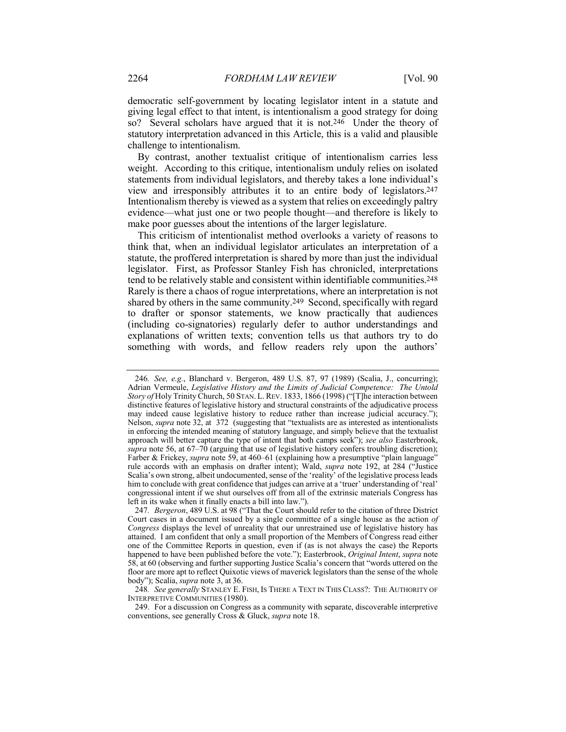democratic self-government by locating legislator intent in a statute and giving legal effect to that intent, is intentionalism a good strategy for doing so? Several scholars have argued that it is not.246 Under the theory of statutory interpretation advanced in this Article, this is a valid and plausible challenge to intentionalism.

By contrast, another textualist critique of intentionalism carries less weight. According to this critique, intentionalism unduly relies on isolated statements from individual legislators, and thereby takes a lone individual's view and irresponsibly attributes it to an entire body of legislators.247 Intentionalism thereby is viewed as a system that relies on exceedingly paltry evidence—what just one or two people thought—and therefore is likely to make poor guesses about the intentions of the larger legislature.

This criticism of intentionalist method overlooks a variety of reasons to think that, when an individual legislator articulates an interpretation of a statute, the proffered interpretation is shared by more than just the individual legislator. First, as Professor Stanley Fish has chronicled, interpretations tend to be relatively stable and consistent within identifiable communities.248 Rarely is there a chaos of rogue interpretations, where an interpretation is not shared by others in the same community.249 Second, specifically with regard to drafter or sponsor statements, we know practically that audiences (including co-signatories) regularly defer to author understandings and explanations of written texts; convention tells us that authors try to do something with words, and fellow readers rely upon the authors'

248*. See generally* STANLEY E. FISH, IS THERE A TEXT IN THIS CLASS?: THE AUTHORITY OF INTERPRETIVE COMMUNITIES (1980).

<sup>246</sup>*. See, e.g.*, Blanchard v. Bergeron, 489 U.S. 87, 97 (1989) (Scalia, J., concurring); Adrian Vermeule, *Legislative History and the Limits of Judicial Competence: The Untold Story of* Holy Trinity Church, 50 STAN. L.REV. 1833, 1866 (1998) ("[T]he interaction between distinctive features of legislative history and structural constraints of the adjudicative process may indeed cause legislative history to reduce rather than increase judicial accuracy."); Nelson, *supra* note 32, at 372 (suggesting that "textualists are as interested as intentionalists in enforcing the intended meaning of statutory language, and simply believe that the textualist approach will better capture the type of intent that both camps seek"); *see also* Easterbrook, *supra* note 56, at 67–70 (arguing that use of legislative history confers troubling discretion); Farber & Frickey, *supra* note 59, at 460–61 (explaining how a presumptive "plain language" rule accords with an emphasis on drafter intent); Wald, *supra* note 192, at 284 ("Justice Scalia's own strong, albeit undocumented, sense of the 'reality' of the legislative process leads him to conclude with great confidence that judges can arrive at a 'truer' understanding of 'real' congressional intent if we shut ourselves off from all of the extrinsic materials Congress has left in its wake when it finally enacts a bill into law.").

<sup>247</sup>*. Bergeron*, 489 U.S. at 98 ("That the Court should refer to the citation of three District Court cases in a document issued by a single committee of a single house as the action *of Congress* displays the level of unreality that our unrestrained use of legislative history has attained. I am confident that only a small proportion of the Members of Congress read either one of the Committee Reports in question, even if (as is not always the case) the Reports happened to have been published before the vote."); Easterbrook, *Original Intent*, *supra* note 58, at 60 (observing and further supporting Justice Scalia's concern that "words uttered on the floor are more apt to reflect Quixotic views of maverick legislators than the sense of the whole body"); Scalia, *supra* note 3, at 36.

<sup>249.</sup> For a discussion on Congress as a community with separate, discoverable interpretive conventions, see generally Cross & Gluck, *supra* note 18.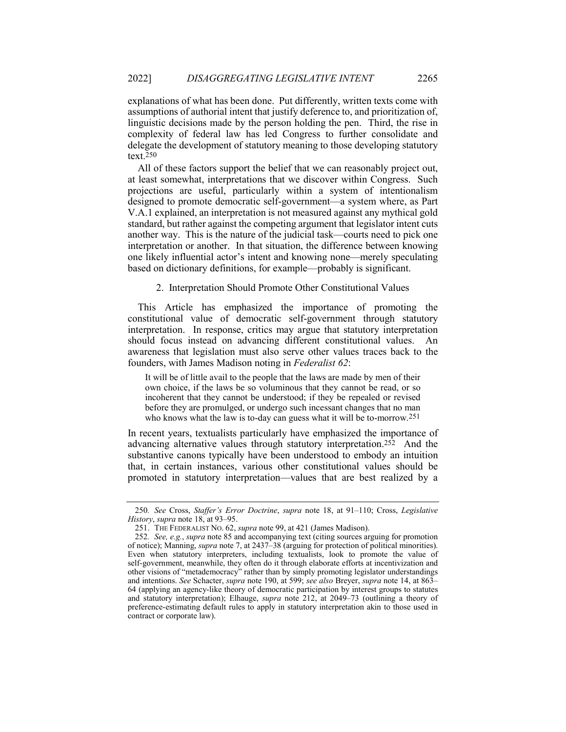explanations of what has been done. Put differently, written texts come with assumptions of authorial intent that justify deference to, and prioritization of, linguistic decisions made by the person holding the pen. Third, the rise in complexity of federal law has led Congress to further consolidate and delegate the development of statutory meaning to those developing statutory text.250

All of these factors support the belief that we can reasonably project out, at least somewhat, interpretations that we discover within Congress. Such projections are useful, particularly within a system of intentionalism designed to promote democratic self-government—a system where, as Part V.A.1 explained, an interpretation is not measured against any mythical gold standard, but rather against the competing argument that legislator intent cuts another way. This is the nature of the judicial task—courts need to pick one interpretation or another. In that situation, the difference between knowing one likely influential actor's intent and knowing none—merely speculating based on dictionary definitions, for example—probably is significant.

2. Interpretation Should Promote Other Constitutional Values

This Article has emphasized the importance of promoting the constitutional value of democratic self-government through statutory interpretation. In response, critics may argue that statutory interpretation should focus instead on advancing different constitutional values. An awareness that legislation must also serve other values traces back to the founders, with James Madison noting in *Federalist 62*:

It will be of little avail to the people that the laws are made by men of their own choice, if the laws be so voluminous that they cannot be read, or so incoherent that they cannot be understood; if they be repealed or revised before they are promulged, or undergo such incessant changes that no man who knows what the law is to-day can guess what it will be to-morrow.251

In recent years, textualists particularly have emphasized the importance of advancing alternative values through statutory interpretation.252 And the substantive canons typically have been understood to embody an intuition that, in certain instances, various other constitutional values should be promoted in statutory interpretation—values that are best realized by a

<sup>250</sup>*. See* Cross, *Staffer's Error Doctrine*, *supra* note 18, at 91–110; Cross, *Legislative History*, *supra* note 18, at 93–95.

<sup>251.</sup> THE FEDERALIST NO. 62, *supra* note 99, at 421 (James Madison).

<sup>252</sup>*. See, e.g.*, *supra* note 85 and accompanying text (citing sources arguing for promotion of notice); Manning, *supra* note 7, at 2437–38 (arguing for protection of political minorities). Even when statutory interpreters, including textualists, look to promote the value of self-government, meanwhile, they often do it through elaborate efforts at incentivization and other visions of "metademocracy" rather than by simply promoting legislator understandings and intentions. *See* Schacter, *supra* note 190, at 599; *see also* Breyer, *supra* note 14, at 863– 64 (applying an agency-like theory of democratic participation by interest groups to statutes and statutory interpretation); Elhauge, *supra* note 212, at 2049–73 (outlining a theory of preference-estimating default rules to apply in statutory interpretation akin to those used in contract or corporate law).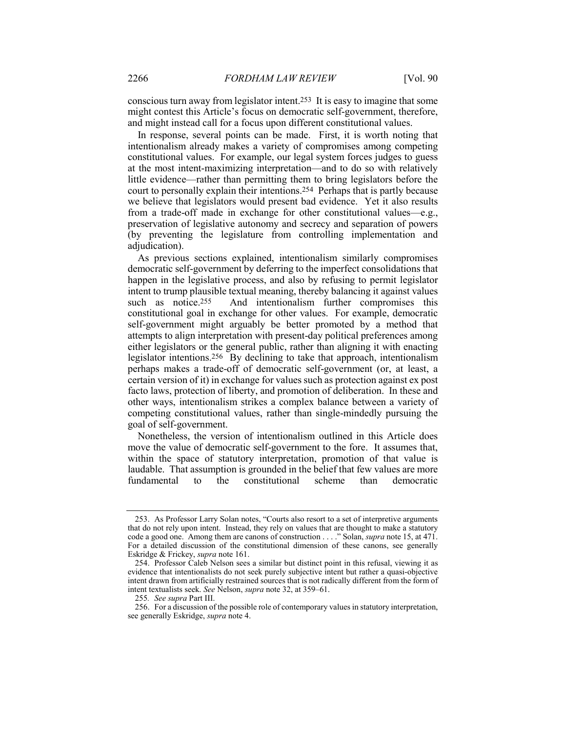conscious turn away from legislator intent.253 It is easy to imagine that some might contest this Article's focus on democratic self-government, therefore, and might instead call for a focus upon different constitutional values.

In response, several points can be made. First, it is worth noting that intentionalism already makes a variety of compromises among competing constitutional values. For example, our legal system forces judges to guess at the most intent-maximizing interpretation—and to do so with relatively little evidence—rather than permitting them to bring legislators before the court to personally explain their intentions.254 Perhaps that is partly because we believe that legislators would present bad evidence. Yet it also results from a trade-off made in exchange for other constitutional values—e.g., preservation of legislative autonomy and secrecy and separation of powers (by preventing the legislature from controlling implementation and adjudication).

As previous sections explained, intentionalism similarly compromises democratic self-government by deferring to the imperfect consolidations that happen in the legislative process, and also by refusing to permit legislator intent to trump plausible textual meaning, thereby balancing it against values such as notice.<sup>255</sup> And intentionalism further compromises this constitutional goal in exchange for other values. For example, democratic self-government might arguably be better promoted by a method that attempts to align interpretation with present-day political preferences among either legislators or the general public, rather than aligning it with enacting legislator intentions.256 By declining to take that approach, intentionalism perhaps makes a trade-off of democratic self-government (or, at least, a certain version of it) in exchange for values such as protection against ex post facto laws, protection of liberty, and promotion of deliberation. In these and other ways, intentionalism strikes a complex balance between a variety of competing constitutional values, rather than single-mindedly pursuing the goal of self-government.

Nonetheless, the version of intentionalism outlined in this Article does move the value of democratic self-government to the fore. It assumes that, within the space of statutory interpretation, promotion of that value is laudable. That assumption is grounded in the belief that few values are more fundamental to the constitutional scheme than democratic

<sup>253.</sup> As Professor Larry Solan notes, "Courts also resort to a set of interpretive arguments that do not rely upon intent. Instead, they rely on values that are thought to make a statutory code a good one. Among them are canons of construction . . . ." Solan, *supra* note 15, at 471. For a detailed discussion of the constitutional dimension of these canons, see generally Eskridge & Frickey, *supra* note 161.

<sup>254.</sup> Professor Caleb Nelson sees a similar but distinct point in this refusal, viewing it as evidence that intentionalists do not seek purely subjective intent but rather a quasi-objective intent drawn from artificially restrained sources that is not radically different from the form of intent textualists seek. *See* Nelson, *supra* note 32, at 359–61.

<sup>255</sup>*. See supra* Part III.

<sup>256.</sup> For a discussion of the possible role of contemporary values in statutory interpretation, see generally Eskridge, *supra* note 4.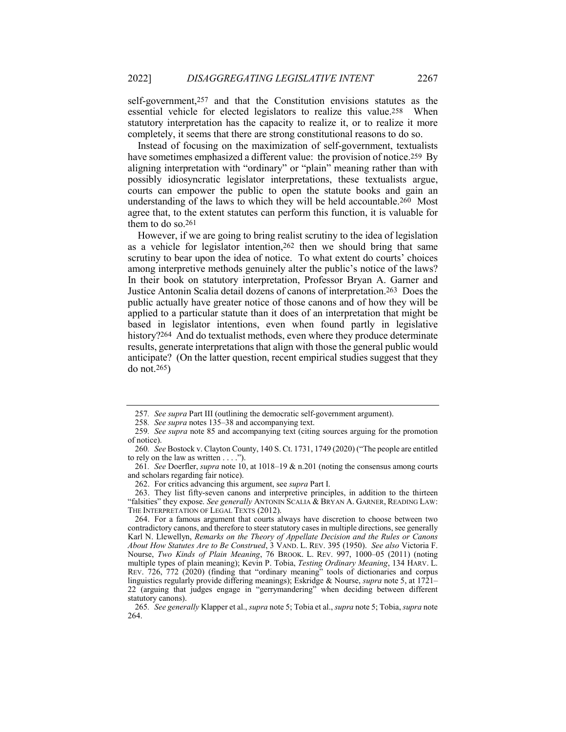self-government,257 and that the Constitution envisions statutes as the essential vehicle for elected legislators to realize this value.258 When statutory interpretation has the capacity to realize it, or to realize it more completely, it seems that there are strong constitutional reasons to do so.

Instead of focusing on the maximization of self-government, textualists have sometimes emphasized a different value: the provision of notice.<sup>259</sup> By aligning interpretation with "ordinary" or "plain" meaning rather than with possibly idiosyncratic legislator interpretations, these textualists argue, courts can empower the public to open the statute books and gain an understanding of the laws to which they will be held accountable.260 Most agree that, to the extent statutes can perform this function, it is valuable for them to do so.261

However, if we are going to bring realist scrutiny to the idea of legislation as a vehicle for legislator intention,262 then we should bring that same scrutiny to bear upon the idea of notice. To what extent do courts' choices among interpretive methods genuinely alter the public's notice of the laws? In their book on statutory interpretation, Professor Bryan A. Garner and Justice Antonin Scalia detail dozens of canons of interpretation.263 Does the public actually have greater notice of those canons and of how they will be applied to a particular statute than it does of an interpretation that might be based in legislator intentions, even when found partly in legislative history?<sup>264</sup> And do textualist methods, even where they produce determinate results, generate interpretations that align with those the general public would anticipate? (On the latter question, recent empirical studies suggest that they do not.265)

<sup>257</sup>*. See supra* Part III (outlining the democratic self-government argument).

<sup>258</sup>*. See supra* notes 135–38 and accompanying text.

<sup>259</sup>*. See supra* note 85 and accompanying text (citing sources arguing for the promotion of notice).

<sup>260</sup>*. See* Bostock v. Clayton County, 140 S. Ct. 1731, 1749 (2020) ("The people are entitled to rely on the law as written . . . .").

<sup>261</sup>*. See* Doerfler, *supra* note 10, at 1018–19 & n.201 (noting the consensus among courts and scholars regarding fair notice).

<sup>262.</sup> For critics advancing this argument, see *supra* Part I.

<sup>263.</sup> They list fifty-seven canons and interpretive principles, in addition to the thirteen "falsities" they expose. *See generally* ANTONIN SCALIA & BRYAN A. GARNER, READING LAW: THE INTERPRETATION OF LEGAL TEXTS (2012).

<sup>264.</sup> For a famous argument that courts always have discretion to choose between two contradictory canons, and therefore to steer statutory cases in multiple directions, see generally Karl N. Llewellyn, *Remarks on the Theory of Appellate Decision and the Rules or Canons About How Statutes Are to Be Construed*, 3 VAND. L. REV. 395 (1950). *See also* Victoria F. Nourse, *Two Kinds of Plain Meaning*, 76 BROOK. L. REV. 997, 1000–05 (2011) (noting multiple types of plain meaning); Kevin P. Tobia, *Testing Ordinary Meaning*, 134 HARV. L. REV. 726, 772 (2020) (finding that "ordinary meaning" tools of dictionaries and corpus linguistics regularly provide differing meanings); Eskridge & Nourse, *supra* note 5, at 1721– 22 (arguing that judges engage in "gerrymandering" when deciding between different statutory canons).

<sup>265</sup>*. See generally* Klapper et al., *supra* note 5; Tobia et al., *supra* note 5; Tobia, *supra* note 264.